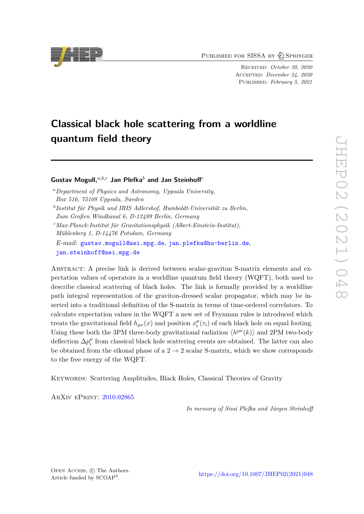PUBLISHED FOR SISSA BY 2 SPRINGER

Received: *October 30, 2020* Accepted: *December 24, 2020* Published: *February 5, 2021*

# **Classical black hole scattering from a worldline quantum field theory**

**Gustav Mogull,***a,b,c* **Jan Plefka***<sup>b</sup>* **and Jan Steinhoff***<sup>c</sup>*

- *<sup>a</sup>Department of Physics and Astronomy, Uppsala University, Box 516, 75108 Uppsala, Sweden b Institut für Physik und IRIS Adlershof, Humboldt-Universität zu Berlin,*
- *Zum Großen Windkanal 6, D-12489 Berlin, Germany*
- *<sup>c</sup>Max-Planck-Institut für Gravitationsphysik (Albert-Einstein-Institut), Mühlenberg 1, D-14476 Potsdam, Germany*

*E-mail:* [gustav.mogull@aei.mpg.de](mailto:gustav.mogull@aei.mpg.de), [jan.plefka@hu-berlin.de](mailto:jan.plefka@hu-berlin.de), [jan.steinhoff@aei.mpg.de](mailto:jan.steinhoff@aei.mpg.de)

Abstract: A precise link is derived between scalar-graviton S-matrix elements and expectation values of operators in a worldline quantum field theory (WQFT), both used to describe classical scattering of black holes. The link is formally provided by a worldline path integral representation of the graviton-dressed scalar propagator, which may be inserted into a traditional definition of the S-matrix in terms of time-ordered correlators. To calculate expectation values in the WQFT a new set of Feynman rules is introduced which treats the gravitational field  $h_{\mu\nu}(x)$  and position  $x_i^{\mu}$  $\mu_i^{\mu}(\tau_i)$  of each black hole on equal footing. Using these both the 3PM three-body gravitational radiation  $\langle h^{\mu\nu}(k) \rangle$  and 2PM two-body deflection  $\Delta p_i^{\mu}$  $i_i^{\mu}$  from classical black hole scattering events are obtained. The latter can also be obtained from the eikonal phase of a  $2 \rightarrow 2$  scalar S-matrix, which we show corresponds to the free energy of the WQFT.

Keywords: Scattering Amplitudes, Black Holes, Classical Theories of Gravity

ArXiv ePrint: [2010.02865](https://arxiv.org/abs/2010.02865)

*In memory of Sissi Plefka and Jürgen Steinhoff*

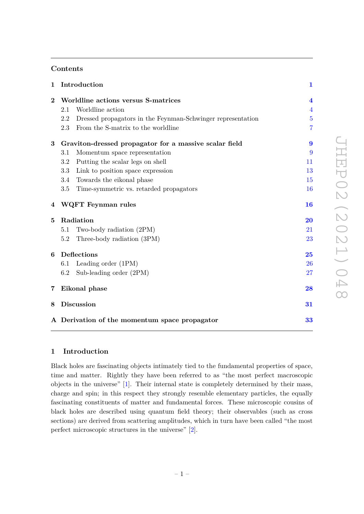## **Contents**

| $\mathbf{1}$   | Introduction                                                       | $\mathbf{1}$            |
|----------------|--------------------------------------------------------------------|-------------------------|
| $\bf{2}$       | Worldline actions versus S-matrices                                | $\overline{\mathbf{4}}$ |
|                | Worldline action<br>2.1                                            | $\overline{4}$          |
|                | Dressed propagators in the Feynman-Schwinger representation<br>2.2 | 5                       |
|                | From the S-matrix to the worldline<br>2.3                          | 7                       |
| 3              | Graviton-dressed propagator for a massive scalar field             | 9                       |
|                | Momentum space representation<br>3.1                               | 9                       |
|                | Putting the scalar legs on shell<br>3.2                            | 11                      |
|                | 3.3<br>Link to position space expression                           | 13                      |
|                | Towards the eikonal phase<br>3.4                                   | 15                      |
|                | 3.5<br>Time-symmetric vs. retarded propagators                     | 16                      |
| 4              | WQFT Feynman rules                                                 | 16                      |
| 5              | Radiation                                                          | 20                      |
|                | Two-body radiation (2PM)<br>5.1                                    | 21                      |
|                | Three-body radiation (3PM)<br>5.2                                  | 23                      |
| 6              | Deflections                                                        | 25                      |
|                | Leading order (1PM)<br>6.1                                         | 26                      |
|                | Sub-leading order (2PM)<br>6.2                                     | 27                      |
| $\overline{7}$ | Eikonal phase                                                      | 28                      |
| 8              | <b>Discussion</b>                                                  | 31                      |
|                | A Derivation of the momentum space propagator                      | 33                      |

# <span id="page-1-0"></span>**1 Introduction**

Black holes are fascinating objects intimately tied to the fundamental properties of space, time and matter. Rightly they have been referred to as "the most perfect macroscopic objects in the universe" [\[1\]](#page-34-0). Their internal state is completely determined by their mass, charge and spin; in this respect they strongly resemble elementary particles, the equally fascinating constituents of matter and fundamental forces. These microscopic cousins of black holes are described using quantum field theory; their observables (such as cross sections) are derived from scattering amplitudes, which in turn have been called "the most perfect microscopic structures in the universe" [\[2\]](#page-34-1).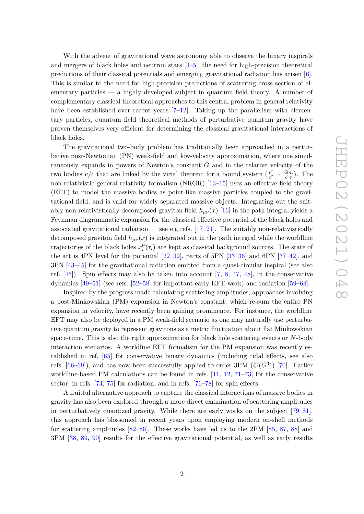With the advent of gravitational wave astronomy able to observe the binary inspirals and mergers of black holes and neutron stars [\[3–](#page-34-2)[5\]](#page-35-0), the need for high-precision theoretical predictions of their classical potentials and emerging gravitational radiation has arisen [\[6\]](#page-35-1). This is similar to the need for high-precision predictions of scattering cross section of elementary particles — a highly developed subject in quantum field theory. A number of complementary classical theoretical approaches to this central problem in general relativity have been established over recent years [\[7](#page-35-2)[–12\]](#page-35-3). Taking up the parallelism with elementary particles, quantum field theoretical methods of perturbative quantum gravity have proven themselves very efficient for determining the classical gravitational interactions of black holes.

The gravitational two-body problem has traditionally been approached in a perturbative post-Newtonian (PN) weak-field and low-velocity approximation, where one simultaneously expands in powers of Newton's constant *G* and in the relative velocity of the two bodies  $v/c$  that are linked by the virial theorem for a bound system  $\left(\frac{v^2}{c^2}\right)$  $\frac{v^2}{c^2}$  ∼  $\frac{Gm}{c^2r}$  $\frac{Gm}{c^2r}$ ). The non-relativistic general relativity formalism (NRGR) [\[13–](#page-35-4)[15\]](#page-35-5) uses an effective field theory (EFT) to model the massive bodies as point-like massive particles coupled to the gravitational field, and is valid for widely separated massive objects. Integrating out the suitably non-relativistically decomposed graviton field  $h_{\mu\nu}(x)$  [\[16\]](#page-35-6) in the path integral yields a Feynman diagrammatic expansion for the classical effective potential of the black holes and associated gravitational radiation — see e.g.refs.  $[17-21]$  $[17-21]$ . The suitably non-relativistically decomposed graviton field  $h_{\mu\nu}(x)$  is integrated out in the path integral while the worldline trajectories of the black holes  $x_i^{\mu}$  $i^{\mu}(\tau_i)$  are kept as classical background sources. The state of the art is 4PN level for the potential [\[22](#page-36-0)[–32\]](#page-36-1), parts of 5PN [\[33–](#page-36-2)[36\]](#page-36-3) and 6PN [\[37](#page-37-0)[–42\]](#page-37-1), and 3PN [\[43](#page-37-2)[–45\]](#page-37-3) for the gravitational radiation emitted from a quasi-circular inspiral (see also ref. [\[46\]](#page-37-4)). Spin effects may also be taken into account [\[7,](#page-35-2) [8,](#page-35-9) [47,](#page-37-5) [48\]](#page-37-6), in the conservative dynamics [\[49–](#page-37-7)[51\]](#page-37-8) (see refs. [\[52](#page-37-9)[–58\]](#page-38-0) for important early EFT work) and radiation [\[59](#page-38-1)[–64\]](#page-38-2).

Inspired by the progress made calculating scattering amplitudes, approaches involving a post-Minkowskian (PM) expansion in Newton's constant, which re-sum the entire PN expansion in velocity, have recently been gaining prominence. For instance, the worldline EFT may also be deployed in a PM weak-field scenario as one may naturally use perturbative quantum gravity to represent gravitons as a metric fluctuation about flat Minkowskian space-time. This is also the right approximation for black hole scattering events or *N*-body interaction scenarios. A worldline EFT formalism for the PM expansion was recently established in ref. [\[65\]](#page-38-3) for conservative binary dynamics (including tidal effects, see also refs.  $[66-69]$  $[66-69]$ ), and has now been successfully applied to order 3PM  $(\mathcal{O}(G^3))$  [\[70\]](#page-38-6). Earlier worldline-based PM calculations can be found in refs. [\[11,](#page-35-10) [12,](#page-35-3) [71–](#page-38-7)[73\]](#page-39-0) for the conservative sector, in refs. [\[74,](#page-39-1) [75\]](#page-39-2) for radiation, and in refs. [\[76](#page-39-3)[–78\]](#page-39-4) for spin effects.

A fruitful alternative approach to capture the classical interactions of massive bodies in gravity has also been explored through a more direct examination of scattering amplitudes in perturbatively quantized gravity. While there are early works on the subject [\[79–](#page-39-5)[81\]](#page-39-6), this approach has blossomed in recent years upon employing modern on-shell methods for scattering amplitudes [\[82–](#page-39-7)[86\]](#page-39-8). These works have led us to the 2PM [\[85,](#page-39-9) [87,](#page-39-10) [88\]](#page-39-11) and 3PM [\[38,](#page-37-10) [89,](#page-39-12) [90\]](#page-40-0) results for the effective gravitational potential, as well as early results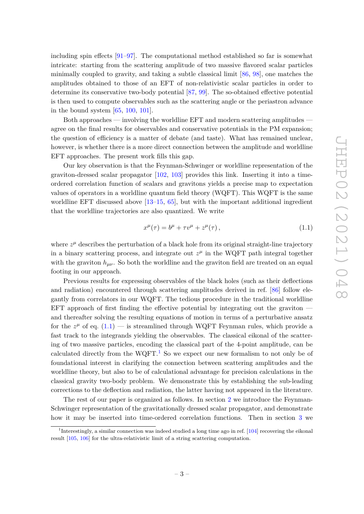including spin effects [\[91](#page-40-1)[–97\]](#page-40-2). The computational method established so far is somewhat intricate: starting from the scattering amplitude of two massive flavored scalar particles minimally coupled to gravity, and taking a subtle classical limit [\[86,](#page-39-8) [98\]](#page-40-3), one matches the amplitudes obtained to those of an EFT of non-relativistic scalar particles in order to determine its conservative two-body potential [\[87,](#page-39-10) [99\]](#page-40-4). The so-obtained effective potential is then used to compute observables such as the scattering angle or the periastron advance in the bound system [\[65,](#page-38-3) [100,](#page-40-5) [101\]](#page-40-6).

Both approaches — involving the worldline EFT and modern scattering amplitudes agree on the final results for observables and conservative potentials in the PM expansion; the question of efficiency is a matter of debate (and taste). What has remained unclear, however, is whether there is a more direct connection between the amplitude and worldline EFT approaches. The present work fills this gap.

Our key observation is that the Feynman-Schwinger or worldline representation of the graviton-dressed scalar propagator [\[102,](#page-40-7) [103\]](#page-40-8) provides this link. Inserting it into a timeordered correlation function of scalars and gravitons yields a precise map to expectation values of operators in a worldline quantum field theory (WQFT). This WQFT is the same worldline EFT discussed above  $[13-15, 65]$  $[13-15, 65]$  $[13-15, 65]$  $[13-15, 65]$ , but with the important additional ingredient that the worldline trajectories are also quantized. We write

<span id="page-3-0"></span>
$$
x^{\mu}(\tau) = b^{\mu} + \tau v^{\mu} + z^{\mu}(\tau), \qquad (1.1)
$$

where  $z^{\mu}$  describes the perturbation of a black hole from its original straight-line trajectory in a binary scattering process, and integrate out  $z^{\mu}$  in the WQFT path integral together with the graviton  $h_{\mu\nu}$ . So both the worldline and the graviton field are treated on an equal footing in our approach.

Previous results for expressing observables of the black holes (such as their deflections and radiation) encountered through scattering amplitudes derived in ref. [\[86\]](#page-39-8) follow elegantly from correlators in our WQFT. The tedious procedure in the traditional worldline  $EFT$  approach of first finding the effective potential by integrating out the graviton and thereafter solving the resulting equations of motion in terms of a perturbative ansatz for the  $z^{\mu}$  of eq.  $(1.1)$  — is streamlined through WQFT Feynman rules, which provide a fast track to the integrands yielding the observables. The classical eikonal of the scattering of two massive particles, encoding the classical part of the 4-point amplitude, can be calculated directly from the WQFT.<sup>[1](#page-3-1)</sup> So we expect our new formalism to not only be of foundational interest in clarifying the connection between scattering amplitudes and the worldline theory, but also to be of calculational advantage for precision calculations in the classical gravity two-body problem. We demonstrate this by establishing the sub-leading corrections to the deflection and radiation, the latter having not appeared in the literature.

The rest of our paper is organized as follows. In section [2](#page-4-0) we introduce the Feynman-Schwinger representation of the gravitationally dressed scalar propagator, and demonstrate how it may be inserted into time-ordered correlation functions. Then in section [3](#page-9-0) we

<span id="page-3-1"></span><sup>&</sup>lt;sup>1</sup>Interestingly, a similar connection was indeed studied a long time ago in ref. [\[104\]](#page-40-9) recovering the eikonal result [\[105,](#page-40-10) [106\]](#page-40-11) for the ultra-relativistic limit of a string scattering computation.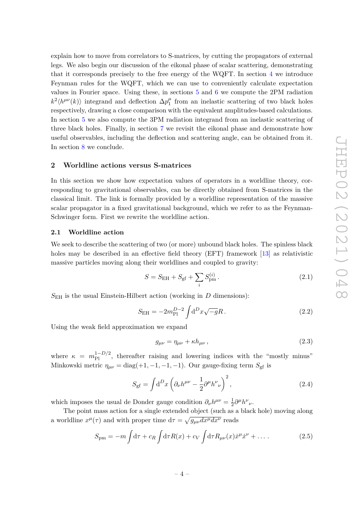explain how to move from correlators to S-matrices, by cutting the propagators of external legs. We also begin our discussion of the eikonal phase of scalar scattering, demonstrating that it corresponds precisely to the free energy of the WQFT. In section [4](#page-16-1) we introduce Feynman rules for the WQFT, which we can use to conveniently calculate expectation values in Fourier space. Using these, in sections [5](#page-20-0) and [6](#page-25-0) we compute the 2PM radiation  $k^2 \langle h^{\mu\nu}(k) \rangle$  integrand and deflection  $\Delta p_1^{\mu\nu}$  $\frac{\mu}{1}$  from an inelastic scattering of two black holes respectively, drawing a close comparison with the equivalent amplitudes-based calculations. In section [5](#page-20-0) we also compute the 3PM radiation integrand from an inelastic scattering of three black holes. Finally, in section [7](#page-28-0) we revisit the eikonal phase and demonstrate how useful observables, including the deflection and scattering angle, can be obtained from it. In section [8](#page-31-0) we conclude.

## <span id="page-4-0"></span>**2 Worldline actions versus S-matrices**

In this section we show how expectation values of operators in a worldline theory, corresponding to gravitational observables, can be directly obtained from S-matrices in the classical limit. The link is formally provided by a worldline representation of the massive scalar propagator in a fixed gravitational background, which we refer to as the Feynman-Schwinger form. First we rewrite the worldline action.

#### <span id="page-4-1"></span>**2.1 Worldline action**

We seek to describe the scattering of two (or more) unbound black holes. The spinless black holes may be described in an effective field theory (EFT) framework [\[13\]](#page-35-4) as relativistic massive particles moving along their worldlines and coupled to gravity:

<span id="page-4-3"></span>
$$
S = S_{\rm EH} + S_{\rm gf} + \sum_{i} S_{\rm pm}^{(i)}.
$$
 (2.1)

 $S_{\text{EH}}$  is the usual Einstein-Hilbert action (working in *D* dimensions):

<span id="page-4-4"></span>
$$
S_{\rm EH} = -2m_{\rm Pl}^{D-2} \int d^D x \sqrt{-g} R \,. \tag{2.2}
$$

Using the weak field approximation we expand

$$
g_{\mu\nu} = \eta_{\mu\nu} + \kappa h_{\mu\nu},\tag{2.3}
$$

where  $\kappa = m_{\rm Pl}^{1-D/2}$ , thereafter raising and lowering indices with the "mostly minus" Minkowski metric  $\eta_{\mu\nu} = \text{diag}(+1, -1, -1, -1)$ . Our gauge-fixing term  $S_{\text{gf}}$  is

$$
S_{\rm gf} = \int d^D x \left( \partial_\nu h^{\mu\nu} - \frac{1}{2} \partial^\mu h^\nu{}_\nu \right)^2, \tag{2.4}
$$

which imposes the usual de Donder gauge condition  $\partial_{\nu}h^{\mu\nu} = \frac{1}{2}$  $\frac{1}{2}\partial^{\mu}h^{\nu}{}_{\nu}$ .

The point mass action for a single extended object (such as a black hole) moving along a worldline  $x^{\mu}(\tau)$  and with proper time  $d\tau = \sqrt{g_{\mu\nu}dx^{\mu}dx^{\nu}}$  reads

<span id="page-4-2"></span>
$$
S_{\rm pm} = -m \int d\tau + c_R \int d\tau R(x) + c_V \int d\tau R_{\mu\nu}(x) \dot{x}^\mu \dot{x}^\nu + \dots \qquad (2.5)
$$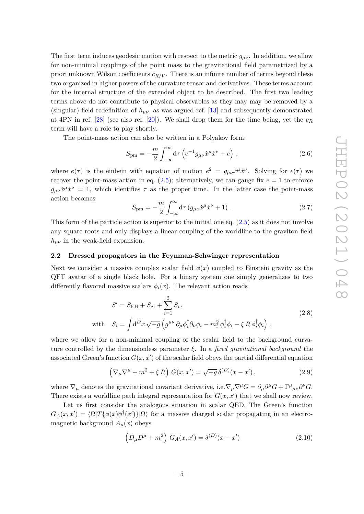The first term induces geodesic motion with respect to the metric  $g_{\mu\nu}$ . In addition, we allow for non-minimal couplings of the point mass to the gravitational field parametrized by a priori unknown Wilson coefficients *cR/V* . There is an infinite number of terms beyond these two organized in higher powers of the curvature tensor and derivatives. These terms account for the internal structure of the extended object to be described. The first two leading terms above do not contribute to physical observables as they may may be removed by a (singular) field redefinition of  $h_{\mu\nu}$ , as was argued ref. [\[13\]](#page-35-4) and subsequently demonstrated at 4PN in ref. [\[28\]](#page-36-4) (see also ref. [\[20\]](#page-35-11)). We shall drop them for the time being, yet the  $c_R$ term will have a role to play shortly.

The point-mass action can also be written in a Polyakov form:

$$
S_{\rm pm} = -\frac{m}{2} \int_{-\infty}^{\infty} d\tau \left( e^{-1} g_{\mu\nu} \dot{x}^{\mu} \dot{x}^{\nu} + e \right) , \qquad (2.6)
$$

where  $e(\tau)$  is the einbein with equation of motion  $e^2 = g_{\mu\nu}\dot{x}^{\mu}\dot{x}^{\nu}$ . Solving for  $e(\tau)$  we recover the point-mass action in eq.  $(2.5)$ ; alternatively, we can gauge fix  $e = 1$  to enforce  $g_{\mu\nu}\dot{x}^{\mu}\dot{x}^{\nu} = 1$ , which identifies  $\tau$  as the proper time. In the latter case the point-mass action becomes

<span id="page-5-2"></span><span id="page-5-1"></span>
$$
S_{\rm pm} = -\frac{m}{2} \int_{-\infty}^{\infty} d\tau \left( g_{\mu\nu} \dot{x}^{\mu} \dot{x}^{\nu} + 1 \right) . \tag{2.7}
$$

This form of the particle action is superior to the initial one eq. [\(2.5\)](#page-4-2) as it does not involve any square roots and only displays a linear coupling of the worldline to the graviton field  $h_{\mu\nu}$  in the weak-field expansion.

#### <span id="page-5-0"></span>**2.2 Dressed propagators in the Feynman-Schwinger representation**

Next we consider a massive complex scalar field  $\phi(x)$  coupled to Einstein gravity as the QFT avatar of a single black hole. For a binary system one simply generalizes to two differently flavored massive scalars  $\phi_i(x)$ . The relevant action reads

$$
S' = S_{\text{EH}} + S_{\text{gf}} + \sum_{i=1}^{2} S_i ,
$$
  
with 
$$
S_i = \int d^D x \sqrt{-g} \left( g^{\mu\nu} \partial_{\mu} \phi_i^{\dagger} \partial_{\nu} \phi_i - m_i^2 \phi_i^{\dagger} \phi_i - \xi R \phi_i^{\dagger} \phi_i \right) ,
$$
 (2.8)

where we allow for a non-minimal coupling of the scalar field to the background curvature controlled by the dimensionless parameter *ξ*. In a *fixed gravitational background* the associated Green's function  $G(x, x')$  of the scalar field obeys the partial differential equation

$$
\left(\nabla_{\mu}\nabla^{\mu} + m^{2} + \xi R\right)G(x, x') = \sqrt{-g}\,\delta^{(D)}(x - x')\,,\tag{2.9}
$$

where  $\nabla_{\mu}$  denotes the gravitational covariant derivative, i.e.  $\nabla_{\mu}\nabla^{\mu}G = \partial_{\mu}\partial^{\mu}G + \Gamma^{\mu}{}_{\mu\nu}\partial^{\nu}G$ . There exists a worldline path integral representation for  $G(x, x')$  that we shall now review.

Let us first consider the analogous situation in scalar QED. The Green's function  $G_A(x, x') = \langle \Omega | T \{ \phi(x) \phi^{\dagger}(x') \} | \Omega \rangle$  for a massive charged scalar propagating in an electromagnetic background  $A_\mu(x)$  obeys

$$
\left(D_{\mu}D^{\mu} + m^{2}\right)G_{A}(x, x') = \delta^{(D)}(x - x')
$$
\n(2.10)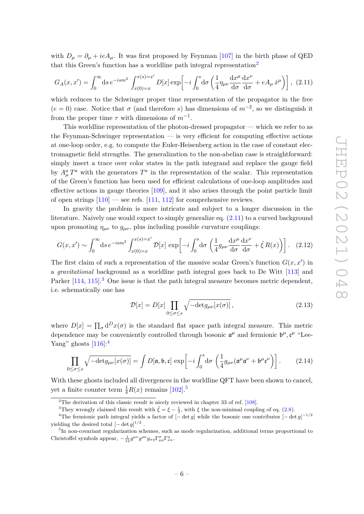with  $D_{\mu} = \partial_{\mu} + ieA_{\mu}$ . It was first proposed by Feynman [\[107\]](#page-40-12) in the birth phase of QED that this Green's function has a worldline path integral representation<sup>[2](#page-6-0)</sup>

<span id="page-6-1"></span>
$$
G_A(x, x') = \int_0^\infty ds \, e^{-ism^2} \int_{x(0) = x}^{x(s) = x'} D[x] \exp\left[-i \int_0^s d\sigma \left(\frac{1}{4} \eta_{\mu\nu} \frac{dx^\mu}{d\sigma} \frac{dx^\nu}{d\sigma} + eA_\mu \dot{x}^\mu\right)\right], \tag{2.11}
$$

which reduces to the Schwinger proper time representation of the propagator in the free  $(e = 0)$  case. Notice that  $\sigma$  (and therefore *s*) has dimensions of  $m^{-2}$ , so we distinguish it from the proper time  $\tau$  with dimensions of  $m^{-1}$ .

This worldline representation of the photon-dressed propagator — which we refer to as the Feynman-Schwinger representation — is very efficient for computing effective actions at one-loop order, e.g. to compute the Euler-Heisenberg action in the case of constant electromagnetic field strengths. The generalization to the non-abelian case is straightforward: simply insert a trace over color states in the path integrand and replace the gauge field by  $A^a_\mu T^a$  with the generators  $T^a$  in the representation of the scalar. This representation of the Green's function has been used for efficient calculations of one-loop amplitudes and effective actions in gauge theories [\[109\]](#page-41-0), and it also arises through the point particle limit of open strings  $[110]$  — see refs.  $[111, 112]$  $[111, 112]$  $[111, 112]$  for comprehensive reviews.

In gravity the problem is more intricate and subject to a longer discussion in the literature. Naively one would expect to simply generalize eq. [\(2.11\)](#page-6-1) to a curved background upon promoting  $\eta_{\mu\nu}$  to  $g_{\mu\nu}$ , plus including possible curvature couplings:

$$
G(x, x') \sim \int_0^\infty ds \, e^{-ism^2} \int_{x(0)=x}^{x(s)=x'} \mathcal{D}[x] \, \exp\left[-i \int_0^s d\sigma \, \left(\frac{1}{4} g_{\mu\nu} \frac{dx^\mu}{d\sigma} \frac{dx^\nu}{d\sigma} + \tilde{\xi} R(x)\right)\right]. \tag{2.12}
$$

The first claim of such a representation of the massive scalar Green's function  $G(x, x')$  in a *gravitational* background as a worldline path integral goes back to De Witt [\[113\]](#page-41-4) and Parker [\[114,](#page-41-5) [115\]](#page-41-6)<sup>[3](#page-6-2)</sup>. One issue is that the path integral measure becomes metric dependent, i.e. schematically one has

$$
\mathcal{D}[x] = D[x] \prod_{0 \le \sigma \le s} \sqrt{-\det g_{\mu\nu}[x(\sigma)]}, \qquad (2.13)
$$

where  $D[x] = \prod_{\sigma} d^Dx(\sigma)$  is the standard flat space path integral measure. This metric dependence may be conveniently controlled through bosonic  $\mathfrak{a}^{\mu}$  and fermionic  $\mathfrak{b}^{\mu}, \mathfrak{c}^{\mu}$  "Lee-Yang" ghosts  $[116]$ :<sup>[4](#page-6-3)</sup>

$$
\prod_{0 \le \sigma \le s} \sqrt{-\det g_{\mu\nu}[x(\sigma)]} = \int D[\mathfrak{a}, \mathfrak{b}, \mathfrak{c}] \, \exp\bigg[-i \int_0^s d\sigma \, \left(\frac{1}{4} g_{\mu\nu}(\mathfrak{a}^{\mu} \mathfrak{a}^{\nu} + \mathfrak{b}^{\mu} \mathfrak{c}^{\nu})\right]. \tag{2.14}
$$

With these ghosts included all divergences in the worldline QFT have been shown to cancel, yet a finite counter term  $\frac{1}{4}R(x)$  remains [\[102\]](#page-40-7).<sup>[5](#page-6-4)</sup>

<span id="page-6-0"></span><sup>&</sup>lt;sup>2</sup>The derivation of this classic result is nicely reviewed in chapter 33 of ref.  $[108]$ .

<span id="page-6-3"></span><span id="page-6-2"></span><sup>&</sup>lt;sup>3</sup>They wrongly claimed this result with  $\tilde{\xi} = \xi - \frac{1}{3}$ , with  $\xi$  the non-minimal coupling of eq. [\(2.8\)](#page-5-1).

<sup>&</sup>lt;sup>4</sup>The fermionic path integral yields a factor of  $[-\det g]$  while the bosonic one contributes  $[-\det g]^{-1/2}$ yielding the desired total  $[-\det g]^{1/2}$ .

<span id="page-6-4"></span><sup>&</sup>lt;sup>5</sup>In non-covariant regularization schemes, such as mode regularization, additional terms proportional to Christoffel symbols appear,  $-\frac{1}{12}g^{\mu\nu}g^{\rho\kappa}g_{\sigma\eta}\Gamma^{\sigma}_{\mu\rho}\Gamma^{\eta}_{\nu\kappa}$ .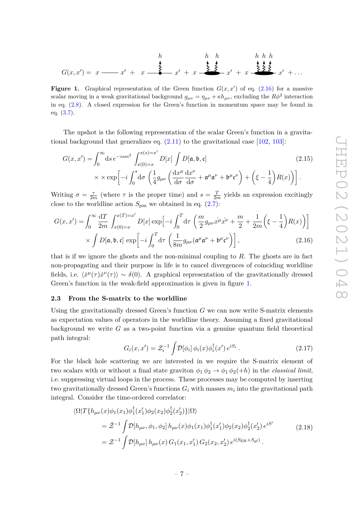<span id="page-7-2"></span>
$$
G(x,x') = x \xrightarrow{\begin{array}{c} h \\ f \\ g \\ g \end{array}} x' + x \xrightarrow{\begin{array}{c} h \\ g \\ g \\ g \end{array}} x' + x \xrightarrow{\begin{array}{c} h \\ g \\ g \\ g \end{array}} x' + x \xrightarrow{\begin{array}{c} h \\ g \\ g \\ g \end{array}} x' + x \xrightarrow{\begin{array}{c} h \\ g \\ g \\ g \end{array}} x' + \dots
$$

**Figure 1.** Graphical representation of the Green function  $G(x, x')$  of eq. [\(2.16\)](#page-7-1) for a massive scalar moving in a weak gravitational background  $g_{\mu\nu} = \eta_{\mu\nu} + \kappa h_{\mu\nu}$ , excluding the  $R\phi^2$  interaction in eq. [\(2.8\)](#page-5-1). A closed expression for the Green's function in momentum space may be found in eq. [\(3.7\)](#page-10-0).

The upshot is the following representation of the scalar Green's function in a gravitational background that generalizes eq.  $(2.11)$  to the gravitational case [\[102,](#page-40-7) [103\]](#page-40-8):

<span id="page-7-3"></span>
$$
G(x, x') = \int_0^\infty ds \, e^{-ism^2} \int_{x(0) = x}^{x(s) = x'} D[x] \int D[\mathfrak{a}, \mathfrak{b}, \mathfrak{c}]
$$
\n
$$
\times \times \exp\left[ -i \int_0^s \mathrm{d}\sigma \left( \frac{1}{4} g_{\mu\nu} \left( \frac{\mathrm{d}x^\mu}{\mathrm{d}\sigma} \frac{\mathrm{d}x^\nu}{\mathrm{d}\sigma} + \mathfrak{a}^\mu \mathfrak{a}^\nu + \mathfrak{b}^\mu \mathfrak{c}^\nu \right) + \left( \xi - \frac{1}{4} \right) R(x) \right) \right].
$$
\n(2.15)

Writing  $\sigma = \frac{\tau}{2r}$  $\frac{\tau}{2m}$  (where  $\tau$  is the proper time) and  $s = \frac{T}{2r}$  $\frac{T}{2m}$  yields an expression excitingly close to the worldline action  $S_{\text{pm}}$  we obtained in eq.  $(2.7)$ :

$$
G(x, x') = \int_0^\infty \frac{\mathrm{d}T}{2m} \int_{x(0)=x}^{x(T)=x'} D[x] \exp\left[-i \int_0^T \mathrm{d}\tau \left(\frac{m}{2} g_{\mu\nu} x^\mu x^\nu + \frac{m}{2} + \frac{1}{2m} \left(\xi - \frac{1}{4}\right) R(x)\right)\right] \times \int D[\mathfrak{a}, \mathfrak{b}, \mathfrak{c}] \exp\left[-i \int_0^T \mathrm{d}\tau \left(\frac{1}{8m} g_{\mu\nu} (\mathfrak{a}^\mu \mathfrak{a}^\nu + \mathfrak{b}^\mu \mathfrak{c}^\nu)\right)\right],
$$
(2.16)

that is if we ignore the ghosts and the non-minimal coupling to *R*. The ghosts are in fact non-propagating and their purpose in life is to cancel divergences of coinciding worldline fields, i.e.  $\langle \dot{x}^{\mu}(\tau) \dot{x}^{\nu}(\tau) \rangle \sim \delta(0)$ . A graphical representation of the gravitationally dressed Green's function in the weak-field approximation is given in figure [1.](#page-7-2)

## <span id="page-7-0"></span>**2.3 From the S-matrix to the worldline**

Using the gravitationally dressed Green's function *G* we can now write S-matrix elements as expectation values of operators in the worldline theory. Assuming a fixed gravitational background we write *G* as a two-point function via a genuine quantum field theoretical path integral:

<span id="page-7-4"></span><span id="page-7-1"></span>
$$
G_i(x, x') = \mathcal{Z}_i^{-1} \int \mathcal{D}[\phi_i] \, \phi_i(x) \phi_i^{\dagger}(x') \, e^{iS_i} \,. \tag{2.17}
$$

For the black hole scattering we are interested in we require the S-matrix element of two scalars with or without a final state graviton  $\phi_1 \phi_2 \rightarrow \phi_1 \phi_2(+h)$  in the *classical limit*, i.e. suppressing virtual loops in the process. These processes may be computed by inserting two gravitationally dressed Green's functions  $G_i$  with masses  $m_i$  into the gravitational path integral. Consider the time-ordered correlator:

$$
\langle \Omega | T \{ h_{\mu\nu}(x) \phi_1(x_1) \phi_1^{\dagger}(x_1') \phi_2(x_2) \phi_2^{\dagger}(x_2') \} | \Omega \rangle
$$
  
=  $\tilde{Z}^{-1} \int \mathcal{D} [h_{\mu\nu}, \phi_1, \phi_2] h_{\mu\nu}(x) \phi_1(x_1) \phi_1^{\dagger}(x_1') \phi_2(x_2) \phi_2^{\dagger}(x_2') e^{iS'} \qquad (2.18)$   
=  $\mathcal{Z}^{-1} \int \mathcal{D} [h_{\mu\nu}] h_{\mu\nu}(x) G_1(x_1, x_1') G_2(x_2, x_2') e^{i(S_{\text{EH}} + S_{\text{gf}})} .$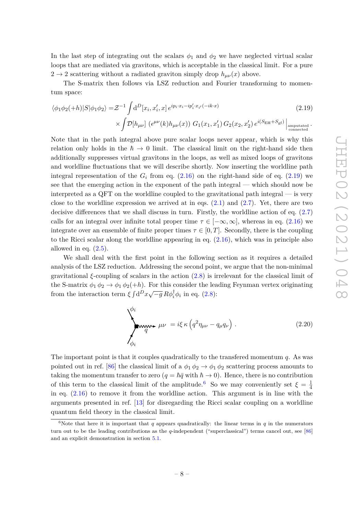In the last step of integrating out the scalars  $\phi_1$  and  $\phi_2$  we have neglected virtual scalar loops that are mediated via gravitons, which is acceptable in the classical limit. For a pure  $2 \rightarrow 2$  scattering without a radiated graviton simply drop  $h_{\mu\nu}(x)$  above.

The S-matrix then follows via LSZ reduction and Fourier transforming to momentum space:

<span id="page-8-0"></span>
$$
\langle \phi_1 \phi_2(+h)|S|\phi_1 \phi_2 \rangle = \mathcal{Z}^{-1} \int d^D[x_i, x'_i, x] e^{ip_i \cdot x_i - ip'_i \cdot x_{i'}(-ik \cdot x)} \times \int \mathcal{D}[h_{\mu\nu}] \left(e^{\mu\nu}(k)h_{\mu\nu}(x)\right) G_1(x_1, x'_1) G_2(x_2, x'_2) e^{i(S_{\text{EH}} + S_{\text{gf}})} \Big|_{\text{compulated}}.
$$
\n(2.19)

Note that in the path integral above pure scalar loops never appear, which is why this relation only holds in the  $\hbar \to 0$  limit. The classical limit on the right-hand side then additionally suppresses virtual gravitons in the loops, as well as mixed loops of gravitons and worldline fluctuations that we will describe shortly. Now inserting the worldline path integral representation of the  $G_i$  from eq.  $(2.16)$  on the right-hand side of eq.  $(2.19)$  we see that the emerging action in the exponent of the path integral — which should now be interpreted as a QFT on the worldline coupled to the gravitational path integral — is very close to the worldline expression we arrived at in eqs.  $(2.1)$  and  $(2.7)$ . Yet, there are two decisive differences that we shall discuss in turn. Firstly, the worldline action of eq. [\(2.7\)](#page-5-2) calls for an integral over infinite total proper time  $\tau \in [-\infty, \infty]$ , whereas in eq. [\(2.16\)](#page-7-1) we integrate over an ensemble of finite proper times  $\tau \in [0, T]$ . Secondly, there is the coupling to the Ricci scalar along the worldline appearing in eq. [\(2.16\)](#page-7-1), which was in principle also allowed in eq.  $(2.5)$ .

We shall deal with the first point in the following section as it requires a detailed analysis of the LSZ reduction. Addressing the second point, we argue that the non-minimal gravitational *ξ*-coupling of scalars in the action [\(2.8\)](#page-5-1) is irrelevant for the classical limit of the S-matrix  $\phi_1 \phi_2 \rightarrow \phi_1 \phi_2(+h)$ . For this consider the leading Feynman vertex originating from the interaction term  $\xi \int d^D x \sqrt{-g} R \phi_i^{\dagger} \phi_i$  in eq. [\(2.8\)](#page-5-1):

<span id="page-8-2"></span>
$$
\sum_{\phi_i}^{\phi_i} \mu \nu = i \xi \kappa \left( q^2 \eta_{\mu \nu} - q_{\mu} q_{\nu} \right).
$$
 (2.20)

The important point is that it couples quadratically to the transfered momentum *q*. As was pointed out in ref. [\[86\]](#page-39-8) the classical limit of a  $\phi_1 \phi_2 \rightarrow \phi_1 \phi_2$  scattering process amounts to taking the momentum transfer to zero  $(q = \hbar \bar{q} \text{ with } \hbar \to 0)$ . Hence, there is no contribution of this term to the classical limit of the amplitude.<sup>[6](#page-8-1)</sup> So we may conveniently set  $\xi = \frac{1}{4}$ 4 in eq. [\(2.16\)](#page-7-1) to remove it from the worldline action. This argument is in line with the arguments presented in ref. [\[13\]](#page-35-4) for disregarding the Ricci scalar coupling on a worldline quantum field theory in the classical limit.

<span id="page-8-1"></span><sup>&</sup>lt;sup>6</sup>Note that here it is important that  $q$  appears quadratically: the linear terms in  $q$  in the numerators turn out to be the leading contributions as the *q*-independent ("superclassical") terms cancel out, see [\[86\]](#page-39-8) and an explicit demonstration in section [5.1.](#page-21-0)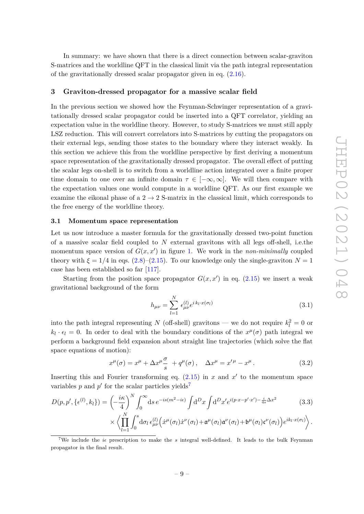In summary: we have shown that there is a direct connection between scalar-graviton S-matrices and the worldline QFT in the classical limit via the path integral representation of the gravitationally dressed scalar propagator given in eq. [\(2.16\)](#page-7-1).

## <span id="page-9-0"></span>**3 Graviton-dressed propagator for a massive scalar field**

In the previous section we showed how the Feynman-Schwinger representation of a gravitationally dressed scalar propagator could be inserted into a QFT correlator, yielding an expectation value in the worldline theory. However, to study S-matrices we must still apply LSZ reduction. This will convert correlators into S-matrices by cutting the propagators on their external legs, sending those states to the boundary where they interact weakly. In this section we achieve this from the worldline perspective by first deriving a momentum space representation of the gravitationally dressed propagator. The overall effect of putting the scalar legs on-shell is to switch from a worldline action integrated over a finite proper time domain to one over an infinite domain  $\tau \in [-\infty, \infty]$ . We will then compare with the expectation values one would compute in a worldline QFT. As our first example we examine the eikonal phase of a  $2 \rightarrow 2$  S-matrix in the classical limit, which corresponds to the free energy of the worldline theory.

## <span id="page-9-1"></span>**3.1 Momentum space representation**

Let us now introduce a master formula for the gravitationally dressed two-point function of a massive scalar field coupled to *N* external gravitons with all legs off-shell, i.e.the momentum space version of  $G(x, x')$  in figure [1.](#page-7-2) We work in the *non-minimally* coupled theory with  $\xi = 1/4$  in eqs.  $(2.8)$ – $(2.15)$ . To our knowledge only the single-graviton  $N = 1$ case has been established so far [\[117\]](#page-41-8).

Starting from the position space propagator  $G(x, x')$  in eq. [\(2.15\)](#page-7-3) we insert a weak gravitational background of the form

<span id="page-9-4"></span><span id="page-9-3"></span>
$$
h_{\mu\nu} = \sum_{l=1}^{N} \epsilon_{\mu\nu}^{(l)} e^{i k_l \cdot x(\sigma_l)}
$$
(3.1)

into the path integral representing *N* (off-shell) gravitons — we do not require  $k_l^2 = 0$  or  $k_l \cdot \epsilon_l = 0$ . In order to deal with the boundary conditions of the  $x^{\mu}(\sigma)$  path integral we perform a background field expansion about straight line trajectories (which solve the flat space equations of motion):

$$
x^{\mu}(\sigma) = x^{\mu} + \Delta x^{\mu} \frac{\sigma}{s} + q^{\mu}(\sigma), \quad \Delta x^{\mu} = x'^{\mu} - x^{\mu}.
$$
 (3.2)

Inserting this and Fourier transforming eq.  $(2.15)$  in *x* and *x'* to the momentum space variables  $p$  and  $p'$  for the scalar particles yields<sup>[7](#page-9-2)</sup>

$$
D(p, p', \{\epsilon^{(l)}, k_l\}) = \left(-\frac{i\kappa}{4}\right)^N \int_0^\infty ds \, e^{-is(m^2 - i\epsilon)} \int d^D x \int d^D x' e^{i(p \cdot x - p' \cdot x') - \frac{i}{4s} \Delta x^2}
$$
(3.3)

$$
\times \left\langle \prod_{l=1}^N \int_0^s d\sigma_l \,\epsilon_{\mu\nu}^{(l)} \Big( \dot{x}^\mu(\sigma_l) \dot{x}^\nu(\sigma_l) + \mathfrak{a}^\mu(\sigma_l) \mathfrak{a}^\nu(\sigma_l) + \mathfrak{b}^\mu(\sigma_l) \mathfrak{c}^\nu(\sigma_l) \Big) e^{ik_l \cdot x(\sigma_l)} \right\rangle.
$$

<span id="page-9-2"></span><sup>7</sup>We include the  $i\epsilon$  prescription to make the  $s$  integral well-defined. It leads to the bulk Feynman propagator in the final result.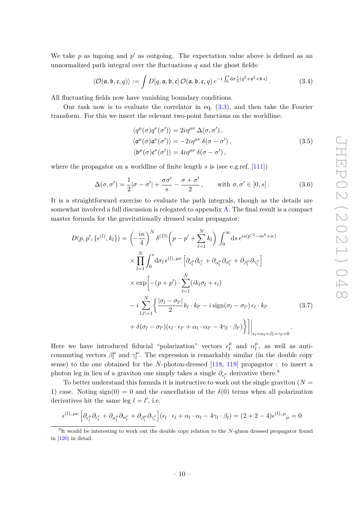We take  $p$  as ingoing and  $p'$  as outgoing. The expectation value above is defined as an unnormalized path integral over the fluctuations *q* and the ghost fields:

$$
\langle \mathcal{O}(\mathfrak{a}, \mathfrak{b}, \mathfrak{c}, q) \rangle := \int D[q, \mathfrak{a}, \mathfrak{b}, \mathfrak{c}] \, \mathcal{O}(\mathfrak{a}, \mathfrak{b}, \mathfrak{c}, q) \, e^{-i \int_0^s d\sigma \frac{1}{4} (\dot{q}^2 + \mathfrak{a}^2 + \mathfrak{b} \cdot \mathfrak{c})} \,. \tag{3.4}
$$

All fluctuating fields now have vanishing boundary conditions.

Our task now is to evaluate the correlator in eq. [\(3.3\)](#page-9-3), and then take the Fourier transform. For this we insert the relevant two-point functions on the worldline:

<span id="page-10-2"></span>
$$
\langle q^{\mu}(\sigma)q^{\nu}(\sigma')\rangle = 2i\eta^{\mu\nu}\Delta(\sigma,\sigma'),\langle \alpha^{\mu}(\sigma) \alpha^{\nu}(\sigma')\rangle = -2i\eta^{\mu\nu}\delta(\sigma-\sigma'),\langle \mathfrak{b}^{\mu}(\sigma) \mathfrak{c}^{\nu}(\sigma')\rangle = 4i\eta^{\mu\nu}\delta(\sigma-\sigma'),
$$
\n(3.5)

where the propagator on a worldline of finite length *s* is (see e.g.ref. [\[111\]](#page-41-2))

<span id="page-10-0"></span>
$$
\Delta(\sigma, \sigma') = \frac{1}{2} |\sigma - \sigma'| + \frac{\sigma \sigma'}{s} - \frac{\sigma + \sigma'}{2}, \quad \text{with } \sigma, \sigma' \in [0, s].
$$
 (3.6)

It is a straightforward exercise to evaluate the path integrals, though as the details are somewhat involved a full discussion is relegated to appendix [A.](#page-33-0) The final result is a compact master formula for the gravitationally dressed scalar propagator:

$$
D(p, p', \{\epsilon^{(l)}, k_l\}) = \left(-\frac{i\kappa}{4}\right)^N \delta^{(D)}\left(p - p' + \sum_{l=1}^N k_l\right) \int_0^\infty ds \, e^{is(p'^2 - m^2 + i\epsilon)} \times \prod_{l=1}^N \int_0^s d\sigma_l \, \epsilon^{(l), \, \mu\nu} \left[\partial_{\epsilon_l^\mu} \partial_{\epsilon_l^\nu} + \partial_{\alpha_l^\mu} \partial_{\alpha_l^\nu} + \partial_{\beta_l^\mu} \partial_{\gamma_l^\nu}\right] \times \exp\left[-(p + p') \cdot \sum_{l=1}^N (ik_l \sigma_l + \epsilon_l) - i \sum_{l,l'=1}^N \left\{\frac{|\sigma_l - \sigma_{l'}|}{2} k_l \cdot k_{l'} - i \operatorname{sign}(\sigma_l - \sigma_{l'}) \epsilon_l \cdot k_{l'} - \delta(\sigma_l - \sigma_{l'}) (\epsilon_l \cdot \epsilon_{l'} + \alpha_l \cdot \alpha_{l'} - 4\gamma_l \cdot \beta_{l'})\right\}\right]\Big|_{\epsilon_l = \alpha_l = \beta_l = \gamma_l = 0} .
$$
\n(3.7)

Here we have introduced fiducial "polarization" vectors  $\epsilon_l^{\mu}$  $\mu$ <sup>*l*</sup> and  $\alpha_l^{\mu}$  $\mu_l^{\mu}$ , as well as anticommuting vectors  $\beta_l^{\mu}$  $\eta_l^{\mu}$  and  $\gamma_l^{\mu}$  $\mu$ <sup> $\mu$ </sup>. The expression is remarkably similar (in the double copy sense) to the one obtained for the *N*-photon-dressed [\[118,](#page-41-9) [119\]](#page-41-10) propagator : to insert a photon leg in lieu of a graviton one simply takes a single  $\partial_{\epsilon_l^{\mu}}$  derivative there.<sup>[8](#page-10-1)</sup>

To better understand this formula it is instructive to work out the single graviton  $(N =$ 1) case. Noting sign(0) = 0 and the cancellation of the  $\delta$ (0) terms when all polarization derivatives hit the same leg  $l = l'$ , i.e.

$$
\epsilon^{(l),\,\mu\nu}\left[\partial_{\epsilon_l^{\mu}}\partial_{\epsilon_l^{\nu}} + \partial_{\alpha_l^{\mu}}\partial_{\alpha_l^{\nu}} + \partial_{\beta_l^{\mu}}\partial_{\gamma_l^{\nu}}\right](\epsilon_l \cdot \epsilon_l + \alpha_l \cdot \alpha_l - 4\gamma_l \cdot \beta_l) = (2 + 2 - 4)\epsilon^{(l),\,\mu}{}_{\mu} = 0
$$

<span id="page-10-1"></span><sup>8</sup> It would be interesting to work out the double copy relation to the *N*-gluon dressed propagator found in [\[120\]](#page-41-11) in detail.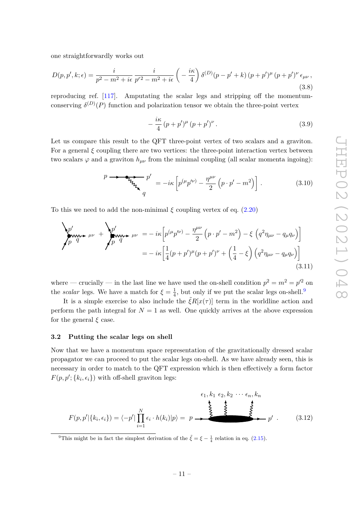one straightforwardly works out

$$
D(p, p', k; \epsilon) = \frac{i}{p^2 - m^2 + i\epsilon} \frac{i}{p'^2 - m^2 + i\epsilon} \left( -\frac{i\kappa}{4} \right) \delta^{(D)}(p - p' + k) (p + p')^\mu (p + p')^\nu \epsilon_{\mu\nu},
$$
\n(3.8)

reproducing ref. [\[117\]](#page-41-8). Amputating the scalar legs and stripping off the momentumconserving  $\delta^{(D)}(P)$  function and polarization tensor we obtain the three-point vertex

$$
-\frac{i\kappa}{4}(p+p')^{\mu}(p+p')^{\nu}.
$$
 (3.9)

Let us compare this result to the QFT three-point vertex of two scalars and a graviton. For a general  $\xi$  coupling there are two vertices: the three-point interaction vertex between two scalars  $\varphi$  and a graviton  $h_{\mu\nu}$  from the minimal coupling (all scalar momenta ingoing):

$$
p \longrightarrow \underbrace{\mathbf{F}_{\mathbf{V}_{\mathbf{V}_{\mathbf{V}_{\mathbf{V}_{\mathbf{V}}}}}} p'}_{q} = -i\kappa \left[ p^{(\mu} p'^{\nu)} - \frac{\eta^{\mu \nu}}{2} \left( p \cdot p' - m^2 \right) \right]. \tag{3.10}
$$

To this we need to add the non-minimal  $\xi$  coupling vertex of eq. [\(2.20\)](#page-8-2)

$$
\sum_{p}^{p} \mu_{q} + \mu_{p} + \sum_{p}^{p} \mu_{q} = -i\kappa \left[ p^{(\mu_{p}(\nu)} - \frac{\eta^{\mu\nu}}{2} \left( p \cdot p' - m^{2} \right) - \xi \left( q^{2} \eta_{\mu\nu} - q_{\mu} q_{\nu} \right) \right]
$$
  
= 
$$
-i\kappa \left[ \frac{1}{4} (p + p')^{\mu} (p + p')^{\nu} + \left( \frac{1}{4} - \xi \right) \left( q^{2} \eta_{\mu\nu} - q_{\mu} q_{\nu} \right) \right]
$$
(3.11)

where — crucially — in the last line we have used the on-shell condition  $p^2 = m^2 = p'^2$  on the *scalar* legs. We have a match for  $\xi = \frac{1}{4}$  $\frac{1}{4}$ , but only if we put the scalar legs on-shell.<sup>[9](#page-11-1)</sup>

It is a simple exercise to also include the  $\tilde{\xi}R[x(\tau)]$  term in the worldline action and perform the path integral for  $N = 1$  as well. One quickly arrives at the above expression for the general *ξ* case.

## <span id="page-11-0"></span>**3.2 Putting the scalar legs on shell**

Now that we have a momentum space representation of the gravitationally dressed scalar propagator we can proceed to put the scalar legs on-shell. As we have already seen, this is necessary in order to match to the QFT expression which is then effectively a form factor  $F(p, p'; \{k_i, \epsilon_i\})$  with off-shell graviton legs:

$$
F(p, p' | \{k_i, \epsilon_i\}) = \langle -p' | \prod_{i=1}^N \epsilon_i \cdot h(k_i) | p \rangle = p \longrightarrow \begin{cases} \epsilon_1, k_1 \epsilon_2, k_2 \cdots \epsilon_n, k_n \\ \epsilon_2, k_3 \cdots \epsilon_n, k_n \end{cases}
$$
 (3.12)

<span id="page-11-1"></span><sup>9</sup>This might be in fact the simplest derivation of the  $\tilde{\xi} = \xi - \frac{1}{4}$  relation in eq. [\(2.15\)](#page-7-3).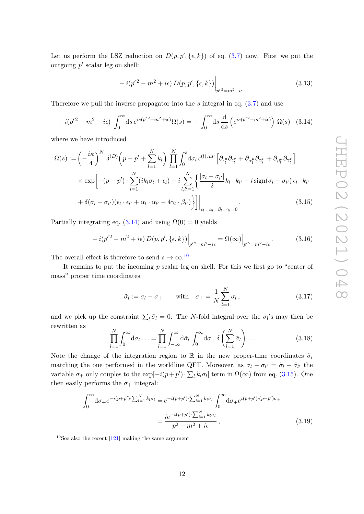Let us perform the LSZ reduction on  $D(p, p', \{\epsilon, k\})$  of eq. [\(3.7\)](#page-10-0) now. First we put the outgoing  $p'$  scalar leg on shell:

$$
-i(p'^2 - m^2 + i\epsilon) D(p, p', \{\epsilon, k\})\Big|_{p'^2 = m^2 - i\epsilon}.
$$
 (3.13)

Therefore we pull the inverse propagator into the *s* integral in eq. [\(3.7\)](#page-10-0) and use

<span id="page-12-0"></span>
$$
-i(p'^2 - m^2 + i\epsilon) \int_0^\infty ds \, e^{is(p'^2 - m^2 + i\epsilon)} \Omega(s) = -\int_0^\infty ds \, \frac{d}{ds} \left( e^{is(p'^2 - m^2 + i\epsilon)} \right) \Omega(s) \tag{3.14}
$$

where we have introduced

$$
\Omega(s) := \left(-\frac{i\kappa}{4}\right)^N \delta^{(D)}\left(p - p' + \sum_{l=1}^N k_l\right) \prod_{l=1}^N \int_0^s d\sigma_l \,\epsilon^{(l),\,\mu\nu} \left[\partial_{\epsilon_l^{\mu}} \partial_{\epsilon_l^{\nu}} + \partial_{\alpha_l^{\mu}} \partial_{\alpha_l^{\nu}} + \partial_{\beta_l^{\mu}} \partial_{\gamma_l^{\nu}}\right] \times \exp\left[-(p + p')\cdot \sum_{l=1}^N (ik_l\sigma_l + \epsilon_l) - i \sum_{l,l'=1}^N \left\{\frac{|\sigma_l - \sigma_{l'}|}{2}k_l \cdot k_{l'} - i \operatorname{sign}(\sigma_l - \sigma_{l'})\,\epsilon_l \cdot k_{l'}\right.\right. \\ \left. + \delta(\sigma_l - \sigma_{l'})(\epsilon_l \cdot \epsilon_{l'} + \alpha_l \cdot \alpha_{l'} - 4\gamma_l \cdot \beta_{l'})\right\}\right]\right| \tag{3.15}
$$

$$
+ \delta(\sigma_l - \sigma_{l'}) (\epsilon_l \cdot \epsilon_{l'} + \alpha_l \cdot \alpha_{l'} - 4\gamma_l \cdot \beta_{l'}) \Big\} \Big] \Big|_{\epsilon_l = \alpha_l = \beta_l = \gamma_l = 0} . \tag{3.15}
$$

Partially integrating eq.  $(3.14)$  and using  $\Omega(0) = 0$  yields

$$
-i(p'^2 - m^2 + i\epsilon) D(p, p', \{\epsilon, k\})\Big|_{p'^2 = m^2 - i\epsilon} = \Omega(\infty)\Big|_{p'^2 = m^2 - i\epsilon}.
$$
 (3.16)

The overall effect is therefore to send  $s \to \infty$ .<sup>[10](#page-12-1)</sup>

It remains to put the incoming *p* scalar leg on shell. For this we first go to "center of mass" proper time coordinates:

<span id="page-12-3"></span><span id="page-12-2"></span>
$$
\tilde{\sigma}_l := \sigma_l - \sigma_+ \quad \text{with} \quad \sigma_+ = \frac{1}{N} \sum_{l=1}^N \sigma_l \,, \tag{3.17}
$$

and we pick up the constraint  $\sum_l \tilde{\sigma}_l = 0$ . The *N*-fold integral over the  $\sigma_l$ 's may then be rewritten as

$$
\prod_{l=1}^{N} \int_{0}^{\infty} d\sigma_{l} \dots = \prod_{l=1}^{N} \int_{-\infty}^{\infty} d\tilde{\sigma}_{l} \int_{0}^{\infty} d\sigma_{+} \delta \left(\sum_{l=1}^{N} \tilde{\sigma}_{l}\right) \dots
$$
\n(3.18)

Note the change of the integration region to R in the new proper-time coordinates  $\tilde{\sigma}_l$ matching the one performed in the worldline QFT. Moreover, as  $\sigma_l - \sigma_{l'} = \tilde{\sigma}_{l} - \tilde{\sigma}_{l'}$  the variable  $\sigma_+$  only couples to the  $\exp[-i(p+p') \cdot \sum_l k_l \sigma_l]$  term in  $\Omega(\infty)$  from eq. [\(3.15\)](#page-12-2). One then easily performs the  $\sigma_{+}$  integral:

$$
\int_0^{\infty} d\sigma_{+} e^{-i(p+p') \cdot \sum_{l=1}^N k_l \sigma_l} = e^{-i(p+p') \cdot \sum_{l=1}^N k_l \tilde{\sigma}_l} \int_0^{\infty} d\sigma_{+} e^{i(p+p') \cdot (p-p')\sigma_{+}}
$$

$$
= \frac{ie^{-i(p+p') \cdot \sum_{l=1}^N k_l \tilde{\sigma}_l}}{p^2 - m^2 + i\epsilon},
$$
(3.19)

<span id="page-12-1"></span> $10$ See also the recent [\[121\]](#page-41-12) making the same argument.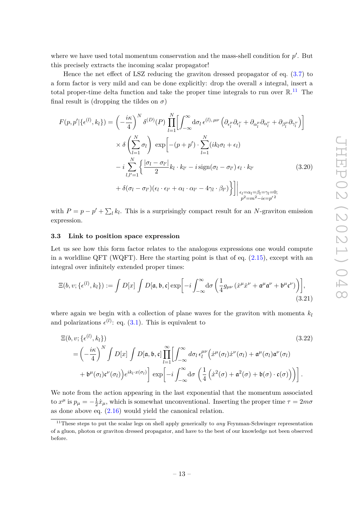where we have used total momentum conservation and the mass-shell condition for  $p'$ . But this precisely extracts the incoming scalar propagator!

Hence the net effect of LSZ reducing the graviton dressed propagator of eq. [\(3.7\)](#page-10-0) to a form factor is very mild and can be done explicitly: drop the overall *s* integral, insert a total proper-time delta function and take the proper time integrals to run over  $\mathbb{R}^{11}$  $\mathbb{R}^{11}$  $\mathbb{R}^{11}$ . The final result is (dropping the tildes on  $\sigma$ )

<span id="page-13-2"></span>
$$
F(p, p'|\{\epsilon^{(l)}, k_l\}) = \left(-\frac{i\kappa}{4}\right)^N \delta^{(D)}(P) \prod_{l=1}^N \left[\int_{-\infty}^{\infty} d\sigma_l \,\epsilon^{(l), \,\mu\nu} \left(\partial_{\epsilon_l^{\mu}} \partial_{\epsilon_l^{\nu}} + \partial_{\alpha_l^{\mu}} \partial_{\alpha_l^{\nu}} + \partial_{\beta_l^{\mu}} \partial_{\gamma_l^{\nu}}\right)\right]
$$

$$
\times \delta \left(\sum_{l=1}^N \sigma_l\right) \exp\left[-(p+p') \cdot \sum_{l=1}^N (ik_l \sigma_l + \epsilon_l) -i \sum_{l,l'=1}^N \left(\frac{|\sigma_l - \sigma_{l'}|}{2} k_l \cdot k_{l'} - i \operatorname{sign}(\sigma_l - \sigma_{l'}) \epsilon_l \cdot k_{l'} - \delta_{l'} \right)\right]
$$

$$
+ \delta(\sigma_l - \sigma_{l'}) (\epsilon_l \cdot \epsilon_{l'} + \alpha_l \cdot \alpha_{l'} - 4\gamma_l \cdot \beta_{l'}) \bigg\}\bigg]\bigg|_{\epsilon_l = \alpha_l = \beta_l = \gamma_l = 0; \atop p^2 = m^2 - i\epsilon = p'^2} (3.20)
$$

with  $P = p - p' + \sum_l k_l$ . This is a surprisingly compact result for an *N*-graviton emission expression.

## <span id="page-13-0"></span>**3.3 Link to position space expression**

Let us see how this form factor relates to the analogous expressions one would compute in a worldline QFT (WQFT). Here the starting point is that of eq.  $(2.15)$ , except with an integral over infinitely extended proper times:

$$
\Xi(b, v; \{ \epsilon^{(l)}, k_l \}) := \int D[x] \int D[\mathfrak{a}, \mathfrak{b}, \mathfrak{c}] \exp \left[ -i \int_{-\infty}^{\infty} d\sigma \left( \frac{1}{4} g_{\mu\nu} \left( \dot{x}^{\mu} \dot{x}^{\nu} + \mathfrak{a}^{\mu} \mathfrak{a}^{\nu} + \mathfrak{b}^{\mu} \mathfrak{c}^{\nu} \right) \right) \right],
$$
\n(3.21)

where again we begin with a collection of plane waves for the graviton with momenta  $k_l$ and polarizations  $\epsilon^{(l)}$ : eq. [\(3.1\)](#page-9-4). This is equivalent to

$$
\begin{split} \Xi(b, v; \{ \epsilon^{(l)}, k_l \}) \\ &= \left( -\frac{i\kappa}{4} \right)^N \int D[x] \int D[\mathfrak{a}, \mathfrak{b}, \mathfrak{c}] \prod_{l=1}^{\infty} \left[ \int_{-\infty}^{\infty} d\sigma_l \, \epsilon_l^{\mu\nu} \Big( \dot{x}^{\mu}(\sigma_l) \dot{x}^{\nu}(\sigma_l) + \mathfrak{a}^{\mu}(\sigma_l) \mathfrak{a}^{\nu}(\sigma_l) \right. \\ &\left. + \mathfrak{b}^{\mu}(\sigma_l) \mathfrak{c}^{\nu}(\sigma_l) \Big) e^{ik_l \cdot x(\sigma_l)} \right] \exp \left[ -i \int_{-\infty}^{\infty} d\sigma \, \left( \frac{1}{4} \left( \dot{x}^2(\sigma) + \mathfrak{a}^2(\sigma) + \mathfrak{b}(\sigma) \cdot \mathfrak{c}(\sigma) \right) \right) \right]. \end{split} \tag{3.22}
$$

We note from the action appearing in the last exponential that the momentum associated to  $x^{\mu}$  is  $p_{\mu} = -\frac{1}{2}$  $\frac{1}{2}\dot{x}_{\mu}$ , which is somewhat unconventional. Inserting the proper time  $\tau = 2m\sigma$ as done above eq. [\(2.16\)](#page-7-1) would yield the canonical relation.

<span id="page-13-1"></span><sup>&</sup>lt;sup>11</sup>These steps to put the scalar legs on shell apply generically to *any* Feynman-Schwinger representation of a gluon, photon or graviton dressed propagator, and have to the best of our knowledge not been observed before.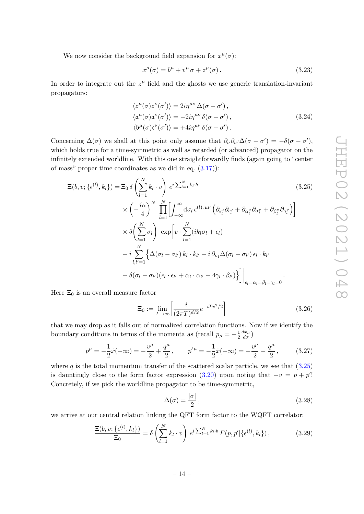We now consider the background field expansion for  $x^{\mu}(\sigma)$ :

<span id="page-14-3"></span>
$$
x^{\mu}(\sigma) = b^{\mu} + v^{\mu} \sigma + z^{\mu}(\sigma). \qquad (3.23)
$$

In order to integrate out the  $z^{\mu}$  field and the ghosts we use generic translation-invariant propagators:

<span id="page-14-0"></span>
$$
\langle z^{\mu}(\sigma) z^{\nu}(\sigma') \rangle = 2i\eta^{\mu\nu} \Delta(\sigma - \sigma'),
$$
  

$$
\langle \mathfrak{a}^{\mu}(\sigma) \mathfrak{a}^{\nu}(\sigma') \rangle = -2i\eta^{\mu\nu} \delta(\sigma - \sigma'),
$$
  

$$
\langle \mathfrak{b}^{\mu}(\sigma) \mathfrak{c}^{\nu}(\sigma') \rangle = +4i\eta^{\mu\nu} \delta(\sigma - \sigma').
$$
 (3.24)

Concerning  $\Delta(\sigma)$  we shall at this point only assume that  $\partial_{\sigma}\partial_{\sigma'}\Delta(\sigma - \sigma') = -\delta(\sigma - \sigma')$ , which holds true for a time-symmetric as well as retarded (or advanced) propagator on the infinitely extended worldline. With this one straightforwardly finds (again going to "center of mass" proper time coordinates as we did in eq.  $(3.17)$ :

$$
\begin{split} \Xi(b, v; \{ \epsilon^{(l)}, k_l \}) &= \Xi_0 \, \delta \left( \sum_{l=1}^N k_l \cdot v \right) \, e^{i \sum_{l=1}^N k_l \cdot b} & \tag{3.25} \\ & \times \left( -\frac{i\kappa}{4} \right)^N \, \prod_{l=1}^N \bigg[ \int_{-\infty}^{\infty} \mathrm{d}\sigma_l \, \epsilon^{(l), \,\mu\nu} \left( \partial_{\epsilon_l^{\mu}} \partial_{\epsilon_l^{\nu}} + \partial_{\alpha_l^{\mu}} \partial_{\alpha_l^{\nu}} + \partial_{\beta_l^{\mu}} \partial_{\gamma_l^{\nu}} \right) \bigg] \\ & \times \delta \bigg( \sum_{l=1}^N \sigma_l \bigg) \, \exp \bigg[ v \cdot \sum_{l=1}^N (ik_l \sigma_l + \epsilon_l) \\ & \quad - i \sum_{l,l'=1}^N \bigg\{ \Delta(\sigma_l - \sigma_{l'}) \, k_l \cdot k_{l'} - i \, \partial_{\sigma_l} \Delta(\sigma_l - \sigma_{l'}) \, \epsilon_l \cdot k_{l'} \bigg. \\ & \quad + \delta(\sigma_l - \sigma_{l'}) (\epsilon_l \cdot \epsilon_{l'} + \alpha_l \cdot \alpha_{l'} - 4\gamma_l \cdot \beta_{l'}) \bigg\} \bigg] \bigg|_{\epsilon_l = \alpha_l = \beta_l = \gamma_l = 0} . \end{split}
$$

Here  $\Xi_0$  is an overall measure factor

$$
\Xi_0 := \lim_{T \to \infty} \left[ \frac{i}{(2\pi T)^{d/2}} e^{-iTv^2/2} \right]
$$
\n(3.26)

that we may drop as it falls out of normalized correlation functions. Now if we identify the boundary conditions in terms of the momenta as (recall  $p_{\mu} = -\frac{1}{2}$ 2  $\frac{dx_\mu}{d\sigma}$ 

$$
p^{\mu} = -\frac{1}{2}\dot{x}(-\infty) = -\frac{v^{\mu}}{2} + \frac{q^{\mu}}{2}, \qquad p^{\prime \mu} = -\frac{1}{2}\dot{x}(+\infty) = -\frac{v^{\mu}}{2} - \frac{q^{\mu}}{2}, \qquad (3.27)
$$

where  $q$  is the total momentum transfer of the scattered scalar particle, we see that  $(3.25)$ is dauntingly close to the form factor expression  $(3.20)$  upon noting that  $-v = p + p'$ ! Concretely, if we pick the worldline propagator to be time-symmetric,

<span id="page-14-2"></span>
$$
\Delta(\sigma) = \frac{|\sigma|}{2},\tag{3.28}
$$

we arrive at our central relation linking the QFT form factor to the WQFT correlator:

<span id="page-14-1"></span>
$$
\frac{\Xi(b, v; \{\epsilon^{(l)}, k_l\})}{\Xi_0} = \delta \left( \sum_{l=1}^N k_l \cdot v \right) e^{i \sum_{l=1}^N k_l \cdot b} F(p, p' | \{\epsilon^{(l)}, k_l\}), \tag{3.29}
$$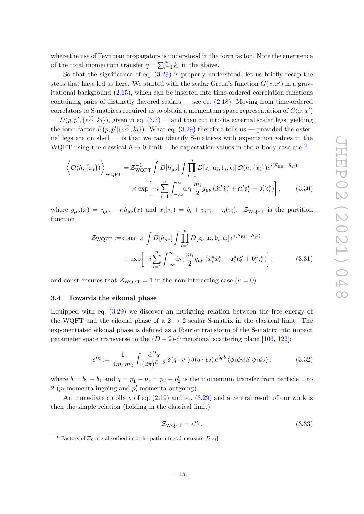where the use of Feynman propagators is understood in the form factor. Note the emergence of the total momentum transfer  $q = \sum_{l=1}^{N} k_l$  in the above.

So that the significance of eq.  $(3.29)$  is properly understood, let us briefly recap the steps that have led us here. We started with the scalar Green's function  $G(x, x')$  in a gravitational background [\(2.15\)](#page-7-3), which can be inserted into time-ordered correlation functions containing pairs of distinctly flavored scalars — see eq. [\(2.18\)](#page-7-4). Moving from time-ordered correlators to S-matrices required us to obtain a momentum space representation of  $G(x, x')$  $-D(p, p', \{\epsilon^{(l)}, k_l\})$ , given in eq. [\(3.7\)](#page-10-0) — and then cut into its external scalar legs, yielding the form factor  $F(p, p' | \{ \epsilon^{(l)}, k_l \})$ . What eq. [\(3.29\)](#page-14-1) therefore tells us — provided the external legs are on shell — is that we can identify S-matrices with expectation values in the WQFT using the classical  $\hbar \to 0$  limit. The expectation values in the *n*-body case are<sup>[12](#page-15-1)</sup>

$$
\left\langle \mathcal{O}(h, \{x_i\}) \right\rangle_{\text{WQFT}} = \mathcal{Z}_{\text{WQFT}}^{-1} \int D[h_{\mu\nu}] \int \prod_{i=1}^{n} D[z_i, \mathfrak{a}_i, \mathfrak{b}_i, \mathfrak{c}_i] \mathcal{O}(h, \{x_i\}) e^{i(S_{\text{EH}} + S_{\text{gf}})}
$$

$$
\times \exp \left[ -i \sum_{i=1}^{n} \int_{-\infty}^{\infty} d\tau_i \frac{m_i}{2} g_{\mu\nu} \left( \dot{x}_i^{\mu} \dot{x}_i^{\nu} + \mathfrak{a}_i^{\mu} \mathfrak{a}_i^{\nu} + \mathfrak{b}_i^{\mu} \mathfrak{c}_i^{\nu} \right) \right], \tag{3.30}
$$

where  $g_{\mu\nu}(x) = \eta_{\mu\nu} + \kappa h_{\mu\nu}(x)$  and  $x_i(\tau_i) = b_i + v_i \tau_i + z_i(\tau_i)$ .  $\mathcal{Z}_{WQFT}$  is the partition function

<span id="page-15-4"></span><span id="page-15-2"></span>
$$
\mathcal{Z}_{\text{WQFT}} := \text{const} \times \int D[h_{\mu\nu}] \int \prod_{i=1}^{n} D[z_i, \mathfrak{a}_i, \mathfrak{b}_i, \mathfrak{c}_i] e^{i(S_{\text{EH}} + S_{\text{gf}})}
$$

$$
\times \exp \left[ -i \sum_{i=1}^{n} \int_{-\infty}^{\infty} d\tau_i \frac{m_i}{2} g_{\mu\nu} (\dot{x}_i^{\mu} \dot{x}_i^{\nu} + \mathfrak{a}_i^{\mu} \mathfrak{a}_i^{\nu} + \mathfrak{b}_i^{\mu} \mathfrak{c}_i^{\nu}) \right],
$$
(3.31)

and const ensures that  $\mathcal{Z}_{WQFT} = 1$  in the non-interacting case  $(\kappa = 0)$ .

## <span id="page-15-0"></span>**3.4 Towards the eikonal phase**

Equipped with eq. [\(3.29\)](#page-14-1) we discover an intriguing relation between the free energy of the WQFT and the eikonal phase of a  $2 \rightarrow 2$  scalar S-matrix in the classical limit. The exponentiated eikonal phase is defined as a Fourier transform of the S-matrix into impact parameter space transverse to the  $(D-2)$ -dimensional scattering plane [\[106,](#page-40-11) [122\]](#page-41-13):

<span id="page-15-3"></span>
$$
e^{i\chi} := \frac{1}{4m_1m_2} \int \frac{\mathrm{d}^D q}{(2\pi)^{D-2}} \,\delta(q \cdot v_1) \,\delta(q \cdot v_2) \, e^{iq \cdot b} \, \langle \phi_1 \phi_2 | S | \phi_1 \phi_2 \rangle \,. \tag{3.32}
$$

where  $b = b_2 - b_1$  and  $q = p'_1 - p_1 = p_2 - p'_2$  is the momentum transfer from particle 1 to 2 ( $p_i$  momenta ingoing and  $p'_i$  momenta outgoing).

An immediate corollary of eq. [\(2.19\)](#page-8-0) and eq. [\(3.29\)](#page-14-1) and a central result of our work is then the simple relation (holding in the classical limit)

<span id="page-15-5"></span>
$$
\mathcal{Z}_{\text{WQFT}} = e^{i\chi},\tag{3.33}
$$

<span id="page-15-1"></span><sup>&</sup>lt;sup>12</sup>Factors of  $\Xi_0$  are absorbed into the path integral measure  $D[z_i]$ .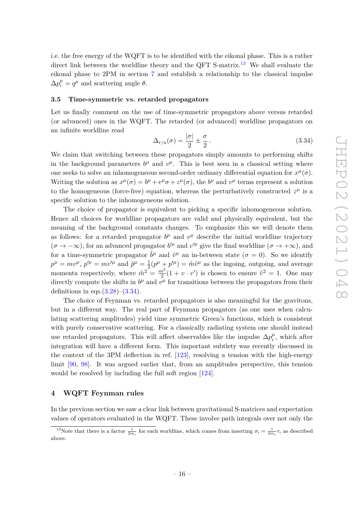i.e. the free energy of the WQFT is to be identified with the eikonal phase. This is a rather direct link between the worldline theory and the QFT S-matrix.<sup>[13](#page-16-2)</sup> We shall evaluate the eikonal phase to 2PM in section [7](#page-28-0) and establish a relationship to the classical impulse  $\Delta p_i^{\mu} = q^{\mu}$  and scattering angle  $\theta$ .

## <span id="page-16-0"></span>**3.5 Time-symmetric vs. retarded propagators**

Let us finally comment on the use of time-symmetric propagators above versus retarded (or advanced) ones in the WQFT. The retarded (or advanced) worldline propagators on an infinite worldline read

<span id="page-16-3"></span>
$$
\Delta_{r/a}(\sigma) = \frac{|\sigma|}{2} \pm \frac{\sigma}{2}.
$$
\n(3.34)

We claim that switching between these propagators simply amounts to performing shifts in the background parameters  $b^{\mu}$  and  $v^{\mu}$ . This is best seen in a classical setting where one seeks to solve an inhomogeneous second-order ordinary differential equation for  $x^{\mu}(\sigma)$ . Writing the solution as  $x^{\mu}(\sigma) = b^{\mu} + v^{\mu}\sigma + z^{\mu}(\sigma)$ , the  $b^{\mu}$  and  $v^{\mu}$  terms represent a solution to the homogeneous (force-free) equation, whereas the perturbatively constructed  $z^{\mu}$  is a specific solution to the inhomogeneous solution.

The choice of propagator is equivalent to picking a specific inhomogeneous solution. Hence all choices for worldline propagators are valid and physically equivalent, but the meaning of the background constants changes. To emphasize this we will denote them as follows: for a retarded propagator  $b^{\mu}$  and  $v^{\mu}$  describe the initial worldline trajectory  $(\sigma \to -\infty)$ , for an advanced propagator  $b'^\mu$  and  $v'^\mu$  give the final worldline  $(\sigma \to +\infty)$ , and for a time-symmetric propagator  $\hat{b}^{\mu}$  and  $\hat{v}^{\mu}$  an in-between state ( $\sigma = 0$ ). So we identify  $p^{\mu} = mv^{\mu}$ ,  $p'^{\mu} = mv'^{\mu}$  and  $\hat{p}^{\mu} = \frac{1}{2}(p^{\mu} + p'^{\mu}) = \hat{m}\hat{v}^{\mu}$  as the ingoing, outgoing, and average  $\overline{2}$ momenta respectively, where  $\hat{m}^2 = \frac{m^2}{2}$  $\frac{n^2}{2}(1 + v \cdot v')$  is chosen to ensure  $\hat{v}^2 = 1$ . One may directly compute the shifts in  $b^{\mu}$  and  $v^{\mu}$  for transitions between the propagators from their definitions in eqs. $(3.28)$ – $(3.34)$ .

The choice of Feynman vs. retarded propagators is also meaningful for the gravitons, but in a different way. The real part of Feynman propagators (as one uses when calculating scattering amplitudes) yield time symmetric Green's functions, which is consistent with purely conservative scattering. For a classically radiating system one should instead use retarded propagators. This will affect observables like the impulse  $\Delta p_i^{\mu}$  $u_i^{\mu}$ , which after integration will have a different form. This important subtlety was recently discussed in the context of the 3PM deflection in ref. [\[123\]](#page-41-14), resolving a tension with the high-energy limit [\[90,](#page-40-0) [98\]](#page-40-3). It was argued earlier that, from an amplitudes perspective, this tension would be resolved by including the full soft region [\[124\]](#page-41-15).

## <span id="page-16-1"></span>**4 WQFT Feynman rules**

In the previous section we saw a clear link between gravitational S-matrices and expectation values of operators evaluated in the WQFT. These involve path integrals over not only the

<span id="page-16-2"></span><sup>&</sup>lt;sup>13</sup>Note that there is a factor  $\frac{1}{2m_i}$  for each worldline, which comes from inserting  $\sigma_i = \frac{1}{2m_i}\tau_i$  as described above.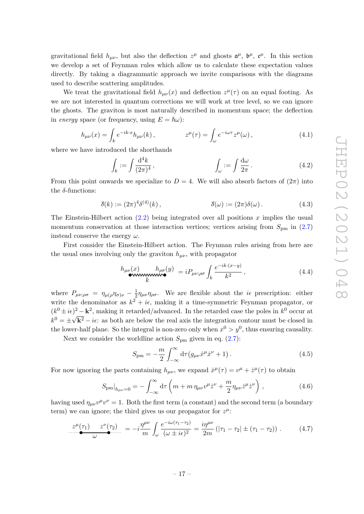gravitational field  $h_{\mu\nu}$ , but also the deflection  $z^{\mu}$  and ghosts  $\mathfrak{a}^{\mu}$ ,  $\mathfrak{b}^{\mu}$ ,  $\mathfrak{c}^{\mu}$ . In this section we develop a set of Feynman rules which allow us to calculate these expectation values directly. By taking a diagrammatic approach we invite comparisons with the diagrams used to describe scattering amplitudes.

We treat the gravitational field  $h_{\mu\nu}(x)$  and deflection  $z^{\mu}(\tau)$  on an equal footing. As we are not interested in quantum corrections we will work at tree level, so we can ignore the ghosts. The graviton is most naturally described in momentum space; the deflection in *energy* space (or frequency, using  $E = \hbar \omega$ ):

$$
h_{\mu\nu}(x) = \int_k e^{-ik \cdot x} h_{\mu\nu}(k) , \qquad z^{\mu}(\tau) = \int_{\omega} e^{-i\omega \tau} z^{\mu}(\omega) , \qquad (4.1)
$$

where we have introduced the shorthands

<span id="page-17-1"></span>
$$
\int_{k} := \int \frac{\mathrm{d}^4 k}{(2\pi)^4}, \qquad \qquad \int_{\omega} := \int \frac{\mathrm{d}\omega}{2\pi}.
$$
\n(4.2)

From this point onwards we specialize to  $D = 4$ . We will also absorb factors of  $(2\pi)$  into the *δ*-functions:

$$
\delta(k) := (2\pi)^4 \delta^{(4)}(k) ,\qquad \delta(\omega) := (2\pi) \delta(\omega) . \tag{4.3}
$$

The Einstein-Hilbert action [\(2.2\)](#page-4-4) being integrated over all positions *x* implies the usual momentum conservation at those interaction vertices; vertices arising from  $S_{\text{pm}}$  in [\(2.7\)](#page-5-2) instead conserve the energy *ω*.

First consider the Einstein-Hilbert action. The Feynman rules arising from here are the usual ones involving only the graviton  $h_{\mu\nu}$ , with propagator

$$
h_{\mu\nu}(x) \qquad h_{\rho\sigma}(y) = iP_{\mu\nu;\rho\sigma} \int_{k} \frac{e^{-ik \cdot (x-y)}}{k^2}, \qquad (4.4)
$$

where  $P_{\mu\nu;\rho\sigma} = \eta_{\mu(\rho}\eta_{\sigma)\nu} - \frac{1}{2}$  $\frac{1}{2}\eta_{\mu\nu}\eta_{\rho\sigma}$ . We are flexible about the *i* $\epsilon$  prescription: either write the denominator as  $k^2 + i\epsilon$ , making it a time-symmetric Feynman propagator, or  $(k^{0} \pm i\epsilon)^{2} - \mathbf{k}^{2}$ , making it retarded/advanced. In the retarded case the poles in  $k^{0}$  occur at  $k^0 = \pm$  $^{\prime}$  $k^2 - i\epsilon$ : as both are below the real axis the integration contour must be closed in the lower-half plane. So the integral is non-zero only when  $x^0 > y^0$ , thus ensuring causality.

Next we consider the worldline action  $S_{\text{pm}}$  given in eq. [\(2.7\)](#page-5-2):

<span id="page-17-0"></span>
$$
S_{\rm pm} = -\frac{m}{2} \int_{-\infty}^{\infty} d\tau (g_{\mu\nu} \dot{x}^{\mu} \dot{x}^{\nu} + 1).
$$
 (4.5)

For now ignoring the parts containing  $h_{\mu\nu}$ , we expand  $\dot{x}^{\mu}(\tau) = v^{\mu} + \dot{z}^{\mu}(\tau)$  to obtain

$$
S_{\text{pm}}|_{h_{\mu\nu}=0} = -\int_{-\infty}^{\infty} d\tau \left( m + m \,\eta_{\mu\nu} v^{\mu} \dot{z}^{\nu} + \frac{m}{2} \eta_{\mu\nu} \dot{z}^{\mu} \dot{z}^{\nu} \right),\tag{4.6}
$$

having used  $\eta_{\mu\nu}v^{\mu}v^{\nu} = 1$ . Both the first term (a constant) and the second term (a boundary term) we can ignore; the third gives us our propagator for  $z^{\mu}$ .

$$
\frac{z^{\mu}(\tau_1)}{\omega} \frac{z^{\nu}(\tau_2)}{\omega} = -i \frac{\eta^{\mu\nu}}{m} \int_{\omega} \frac{e^{-i\omega(\tau_1 - \tau_2)}}{(\omega \pm i\epsilon)^2} = \frac{i\eta^{\mu\nu}}{2m} \left( |\tau_1 - \tau_2| \pm (\tau_1 - \tau_2) \right). \tag{4.7}
$$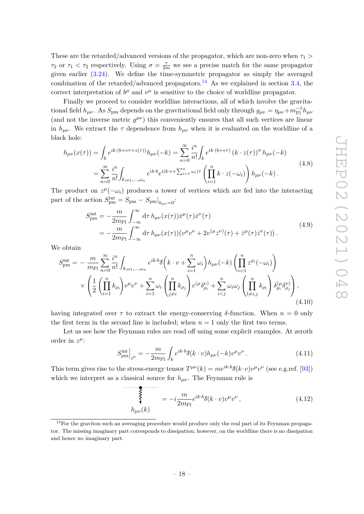These are the retarded/advanced versions of the propagator, which are non-zero when *τ*<sup>1</sup> *> τ*<sub>2</sub> or  $\tau_1 < \tau_2$  respectively. Using  $\sigma = \frac{\tau}{2m}$  we see a precise match for the same propagator given earlier [\(3.24\)](#page-14-3). We define the time-symmetric propagator as simply the averaged combination of the retarded/advanced propagators.<sup>[14](#page-18-0)</sup> As we explained in section [3.4,](#page-15-0) the correct interpretation of  $b^{\mu}$  and  $v^{\mu}$  is sensitive to the choice of worldline propagator.

Finally we proceed to consider worldline interactions, all of which involve the gravitational field  $h_{\mu\nu}$ . As  $S_{\text{pm}}$  depends on the gravitational field only through  $g_{\mu\nu} = \eta_{\mu\nu} + m_{\text{Pl}}^{-1} h_{\mu\nu}$ (and not the inverse metric  $g^{\mu\nu}$ ) this conveniently ensures that all such vertices are linear in  $h_{\mu\nu}$ . We extract the  $\tau$  dependence from  $h_{\mu\nu}$  when it is evaluated on the worldline of a black hole:

$$
h_{\mu\nu}(x(\tau)) = \int_{k} e^{ik \cdot (b + v\tau + z(\tau))} h_{\mu\nu}(-k) = \sum_{n=0}^{\infty} \frac{i^{n}}{n!} \int_{k} e^{ik \cdot (b + v\tau)} (k \cdot z(\tau))^{n} h_{\mu\nu}(-k)
$$
  
= 
$$
\sum_{n=0}^{\infty} \frac{i^{n}}{n!} \int_{k, \omega_{1}, \dots, \omega_{n}} e^{ik \cdot b} e^{i(k \cdot v + \sum_{i=1}^{n} \omega_{i})\tau} \left( \prod_{i=1}^{n} k \cdot z(-\omega_{i}) \right) h_{\mu\nu}(-k).
$$
 (4.8)

The product on  $z^{\mu}(-\omega_i)$  produces a tower of vertices which are fed into the interacting part of the action  $S_{\text{pm}}^{\text{int}} = S_{\text{pm}} - S_{\text{pm}}|_{h_{\mu\nu}=0}$ :

$$
S_{\rm pm}^{\rm int} = -\frac{m}{2m_{\rm Pl}} \int_{-\infty}^{\infty} d\tau \, h_{\mu\nu}(x(\tau)) \dot{x}^{\mu}(\tau) \dot{x}^{\nu}(\tau) = -\frac{m}{2m_{\rm Pl}} \int_{-\infty}^{\infty} d\tau \, h_{\mu\nu}(x(\tau)) (v^{\mu}v^{\nu} + 2v^{(\mu}\dot{z}^{\nu)}(\tau) + \dot{z}^{\mu}(\tau)\dot{z}^{\nu}(\tau)).
$$
(4.9)

We obtain

$$
S_{\rm pm}^{\rm int} = -\frac{m}{m_{\rm Pl}} \sum_{n=0}^{\infty} \frac{i^n}{n!} \int_{k,\omega_1,\dots,\omega_n} e^{ik \cdot b} \delta\left(k \cdot v + \sum_{i=1}^n \omega_i\right) h_{\mu\nu}(-k) \left(\prod_{i=1}^n z^{\rho_i}(-\omega_i)\right) \times \left(\frac{1}{2} \left(\prod_{i=1}^n k_{\rho_i}\right) v^{\mu} v^{\nu} + \sum_{i=1}^n \omega_i \left(\prod_{j\neq i}^n k_{\rho_j}\right) v^{(\mu} \delta_{\rho_i}^{\nu)} + \sum_{i\n(4.10)
$$

having integrated over  $\tau$  to extract the energy-conserving  $\delta$ -function. When  $n = 0$  only the first term in the second line is included; when  $n = 1$  only the first two terms.

Let us see how the Feynman rules are read off using some explicit examples. At zeroth order in  $z^{\mu}$ :

<span id="page-18-1"></span>
$$
S_{\rm pm}^{\rm int}\Big|_{z^0} = -\frac{m}{2m_{\rm Pl}} \int_k e^{ik \cdot b} \delta(k \cdot v) h_{\mu\nu}(-k) v^{\mu} v^{\nu} \,. \tag{4.11}
$$

This term gives rise to the stress-energy tensor  $T^{\mu\nu}(k) = me^{ik \cdot b} \delta(k \cdot v) v^{\mu} v^{\nu}$  (see e.g.ref. [\[93\]](#page-40-14)) which we interpret as a classical source for  $h_{\mu\nu}$ . The Feynman rule is

<span id="page-18-2"></span>
$$
\begin{cases}\n\ddot{\xi} & = -i \frac{m}{2m_{\text{Pl}}} e^{ik \cdot b} \delta(k \cdot v) v^{\mu} v^{\nu}, \\
h_{\mu\nu}(k)\n\end{cases} \tag{4.12}
$$

<span id="page-18-0"></span> $14$  For the graviton such an averaging procedure would produce only the real part of its Feynman propagator. The missing imaginary part corresponds to dissipation; however, on the worldline there is no dissipation and hence no imaginary part.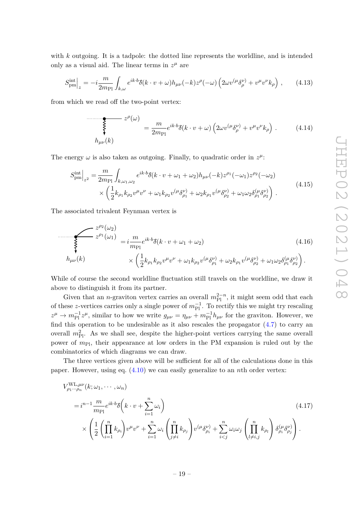with *k* outgoing. It is a tadpole: the dotted line represents the worldline, and is intended only as a visual aid. The linear terms in  $z^{\mu}$  are

$$
S_{\text{pm}}^{\text{int}}\Big|_{z} = -i\frac{m}{2m_{\text{Pl}}} \int_{k,\omega} e^{ik \cdot b} \delta(k \cdot v + \omega) h_{\mu\nu}(-k) z^{\rho}(-\omega) \left(2\omega v^{(\mu} \delta^{\nu)}_{\rho} + v^{\mu} v^{\nu} k_{\rho}\right) ,\qquad(4.13)
$$

from which we read off the two-point vertex:

$$
\sum_{h_{\mu\nu}(k)}^{2^{\rho}(\omega)} = \frac{m}{2m_{\text{Pl}}} e^{ik \cdot b} \delta(k \cdot v + \omega) \left(2\omega v^{(\mu} \delta^{\nu)}_{\rho} + v^{\mu} v^{\nu} k_{\rho}\right). \tag{4.14}
$$

The energy  $\omega$  is also taken as outgoing. Finally, to quadratic order in  $z^{\mu}$ :

$$
S_{\text{pm}}^{\text{int}}\Big|_{z^2} = \frac{m}{2m_{\text{Pl}}} \int_{k,\omega_1,\omega_2} e^{ik \cdot b} \delta(k \cdot v + \omega_1 + \omega_2) h_{\mu\nu}(-k) z^{\rho_1}(-\omega_1) z^{\rho_2}(-\omega_2) \times \left(\frac{1}{2} k_{\rho_1} k_{\rho_2} v^{\mu} v^{\nu} + \omega_1 k_{\rho_2} v^{(\mu} \delta_{\rho_1}^{\nu)} + \omega_2 k_{\rho_1} v^{(\mu} \delta_{\rho_2}^{\nu)} + \omega_1 \omega_2 \delta_{\rho_1}^{(\mu} \delta_{\rho_2}^{\nu)}\right) .
$$
\n(4.15)

The associated trivalent Feynman vertex is

$$
\sum_{\lambda} z^{\rho_2}(\omega_2)
$$
\n
$$
= i \frac{m}{m_{\text{Pl}}} e^{ik \cdot b} \delta(k \cdot v + \omega_1 + \omega_2)
$$
\n
$$
= i \frac{m}{m_{\text{Pl}}} e^{ik \cdot b} \delta(k \cdot v + \omega_1 + \omega_2)
$$
\n
$$
\times \left( \frac{1}{2} k_{\rho_1} k_{\rho_2} v^{\mu} v^{\nu} + \omega_1 k_{\rho_2} v^{(\mu} \delta_{\rho_1}^{\nu)} + \omega_2 k_{\rho_1} v^{(\mu} \delta_{\rho_2}^{\nu)} + \omega_1 \omega_2 \delta_{\rho_1}^{(\mu} \delta_{\rho_2}^{\nu)} \right).
$$
\n(4.16)

While of course the second worldline fluctuation still travels on the worldline, we draw it above to distinguish it from its partner.

Given that an *n*-graviton vertex carries an overall  $m_{\text{Pl}}^{2-n}$ , it might seem odd that each of these *z*-vertices carries only a single power of  $m_{\text{Pl}}^{-1}$ . To rectify this we might try rescaling  $z^{\mu} \to m_{\text{Pl}}^{-1} z^{\mu}$ , similar to how we write  $g_{\mu\nu} = \eta_{\mu\nu} + m_{\text{Pl}}^{-1} h_{\mu\nu}$  for the graviton. However, we find this operation to be undesirable as it also rescales the propagator  $(4.7)$  to carry an overall  $m_{\text{Pl}}^2$ . As we shall see, despite the higher-point vertices carrying the same overall power of *m*Pl, their appearance at low orders in the PM expansion is ruled out by the combinatorics of which diagrams we can draw.

The three vertices given above will be sufficient for all of the calculations done in this paper. However, using eq. [\(4.10\)](#page-18-1) we can easily generalize to an *n*th order vertex:

$$
V_{\rho_1\cdots\rho_n}^{\text{WL},\mu\nu}(k;\omega_1,\cdots,\omega_n)
$$
  
= $i^{n-1}\frac{m}{m_{\text{Pl}}}e^{ik\cdot b}\delta\left(k\cdot v+\sum_{i=1}^n\omega_i\right)$   

$$
\times\left(\frac{1}{2}\left(\prod_{i=1}^n k_{\rho_i}\right)v^{\mu}v^{\nu}+\sum_{i=1}^n\omega_i\left(\prod_{j\neq i}^n k_{\rho_j}\right)v^{(\mu}\delta_{\rho_i}^{\nu)}+\sum_{i(4.17)
$$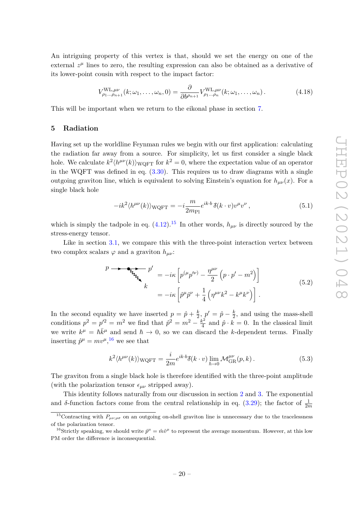An intriguing property of this vertex is that, should we set the energy on one of the external  $z^{\mu}$  lines to zero, the resulting expression can also be obtained as a derivative of its lower-point cousin with respect to the impact factor:

<span id="page-20-4"></span>
$$
V_{\rho_1...\rho_{n+1}}^{\text{WL},\mu\nu}(k;\omega_1,\ldots,\omega_n,0) = \frac{\partial}{\partial b^{\rho_{n+1}}} V_{\rho_1...\rho_n}^{\text{WL},\mu\nu}(k;\omega_1,\ldots,\omega_n).
$$
 (4.18)

This will be important when we return to the eikonal phase in section [7.](#page-28-0)

## <span id="page-20-0"></span>**5 Radiation**

Having set up the worldline Feynman rules we begin with our first application: calculating the radiation far away from a source. For simplicity, let us first consider a single black hole. We calculate  $k^2 \langle h^{\mu\nu}(k) \rangle_{\text{WQFT}}$  for  $k^2 = 0$ , where the expectation value of an operator in the WQFT was defined in eq.  $(3.30)$ . This requires us to draw diagrams with a single outgoing graviton line, which is equivalent to solving Einstein's equation for  $h_{\mu\nu}(x)$ . For a single black hole

$$
-ik^2\langle h^{\mu\nu}(k)\rangle_{\text{WQFT}} = -i\frac{m}{2m_{\text{Pl}}}e^{ik\cdot b}\,\delta(k\cdot v)v^{\mu}v^{\nu}\,,\tag{5.1}
$$

which is simply the tadpole in eq.  $(4.12)$ .<sup>[15](#page-20-1)</sup> In other words,  $h_{\mu\nu}$  is directly sourced by the stress-energy tensor.

Like in section [3.1,](#page-9-1) we compare this with the three-point interaction vertex between two complex scalars  $\varphi$  and a graviton  $h_{\mu\nu}$ :

<span id="page-20-3"></span>
$$
p \longrightarrow \underbrace{\mathbf{E}_{\mathbf{Z}_{\mathbf{Z}_{\mathbf{Z}_{\mathbf{Z}}}}} p'}_{k} = -i\kappa \left[ p^{(\mu} p'^{\nu)} - \frac{\eta^{\mu \nu}}{2} \left( p \cdot p' - m^{2} \right) \right]
$$
\n
$$
= -i\kappa \left[ \hat{p}^{\mu} \hat{p}^{\nu} + \frac{1}{4} \left( \eta^{\mu \nu} k^{2} - k^{\mu} k^{\nu} \right) \right].
$$
\n(5.2)

In the second equality we have inserted  $p = \hat{p} + \frac{k}{2}$  $\frac{k}{2}, p' = \hat{p} - \frac{k}{2}$  $\frac{k}{2}$ , and using the mass-shell conditions  $p^2 = p'^2 = m^2$  we find that  $\hat{p}^2 = m^2 - \frac{k^2}{4}$  $\frac{k^2}{4}$  and  $\hat{p} \cdot k = 0$ . In the classical limit we write  $k^{\mu} = \hbar \bar{k}^{\mu}$  and send  $\hbar \to 0$ , so we can discard the *k*-dependent terms. Finally inserting  $\hat{p}^{\mu} = mv^{\mu}$ , <sup>[16](#page-20-2)</sup> we see that

$$
k^2 \langle h^{\mu\nu}(k) \rangle_{\text{WQFT}} = \frac{i}{2m} e^{ik \cdot b} \delta(k \cdot v) \lim_{\hbar \to 0} \mathcal{M}_{\text{GR}}^{\mu\nu}(p, k) \,. \tag{5.3}
$$

The graviton from a single black hole is therefore identified with the three-point amplitude (with the polarization tensor  $\epsilon_{\mu\nu}$  stripped away).

This identity follows naturally from our discussion in section [2](#page-4-0) and [3.](#page-9-0) The exponential and *δ*-function factors come from the central relationship in eq. [\(3.29\)](#page-14-1); the factor of  $\frac{1}{2m}$ 

<span id="page-20-1"></span><sup>&</sup>lt;sup>15</sup>Contracting with  $P_{\mu\nu;\rho\sigma}$  on an outgoing on-shell graviton line is unnecessary due to the tracelessness of the polarization tensor.

<span id="page-20-2"></span><sup>&</sup>lt;sup>16</sup>Strictly speaking, we should write  $\hat{p}^{\mu} = \hat{m}\hat{v}^{\mu}$  to represent the average momentum. However, at this low PM order the difference is inconsequential.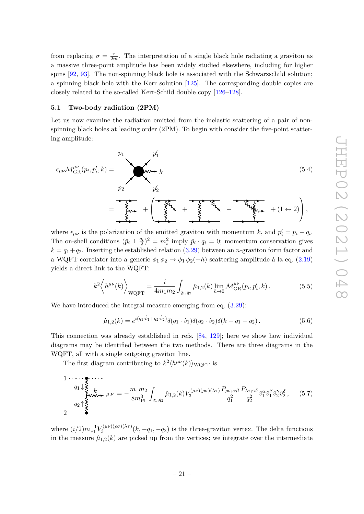from replacing  $\sigma = \frac{\tau}{2r}$  $\frac{\tau}{2m}$ . The interpretation of a single black hole radiating a graviton as a massive three-point amplitude has been widely studied elsewhere, including for higher spins [\[92,](#page-40-15) [93\]](#page-40-14). The non-spinning black hole is associated with the Schwarzschild solution; a spinning black hole with the Kerr solution [\[125\]](#page-41-16). The corresponding double copies are closely related to the so-called Kerr-Schild double copy [\[126](#page-41-17)[–128\]](#page-41-18).

## <span id="page-21-0"></span>**5.1 Two-body radiation (2PM)**

Let us now examine the radiation emitted from the inelastic scattering of a pair of nonspinning black holes at leading order (2PM). To begin with consider the five-point scattering amplitude:

$$
\epsilon_{\mu\nu} \mathcal{M}_{GR}^{\mu\nu}(p_i, p_i', k) = \mathbf{w}_{\mu\nu} + \mathbf{w}_{\mu\nu} + \mathbf{w}_{\mu\nu} + \mathbf{w}_{\mu\nu} + \mathbf{w}_{\mu\nu} + \mathbf{w}_{\mu\nu} + \mathbf{w}_{\mu\nu} + \mathbf{w}_{\mu\nu} + \mathbf{w}_{\mu\nu} + \mathbf{w}_{\mu\nu} + \mathbf{w}_{\mu\nu} + \mathbf{w}_{\mu\nu} + \mathbf{w}_{\mu\nu} + \mathbf{w}_{\mu\nu} + \mathbf{w}_{\mu\nu} + \mathbf{w}_{\mu\nu} + \mathbf{w}_{\mu\nu} + \mathbf{w}_{\mu\nu} + \mathbf{w}_{\mu\nu} + \mathbf{w}_{\mu\nu} + \mathbf{w}_{\mu\nu} + \mathbf{w}_{\mu\nu} + \mathbf{w}_{\mu\nu} + \mathbf{w}_{\mu\nu} + \mathbf{w}_{\mu\nu} + \mathbf{w}_{\mu\nu} + \mathbf{w}_{\mu\nu} + \mathbf{w}_{\mu\nu} + \mathbf{w}_{\mu\nu} + \mathbf{w}_{\mu\nu} + \mathbf{w}_{\mu\nu} + \mathbf{w}_{\mu\nu} + \mathbf{w}_{\mu\nu} + \mathbf{w}_{\mu\nu} + \mathbf{w}_{\mu\nu} + \mathbf{w}_{\mu\nu} + \mathbf{w}_{\mu\nu} + \mathbf{w}_{\mu\nu} + \mathbf{w}_{\mu\nu} + \mathbf{w}_{\mu\nu} + \mathbf{w}_{\mu\nu} + \mathbf{w}_{\mu\nu} + \mathbf{w}_{\mu\nu} + \mathbf{w}_{\mu\nu} + \mathbf{w}_{\mu\nu} + \mathbf{w}_{\mu\nu} + \mathbf{w}_{\mu\nu} + \mathbf{w}_{\mu\nu} + \mathbf{w}_{\mu\nu} + \mathbf{w}_{\mu\nu} + \mathbf{w}_{\mu\nu} + \mathbf{w}_{\mu\nu} + \mathbf{w}_{\mu\nu} + \mathbf{w}_{\mu\nu} + \mathbf{w}_{\mu\nu} + \mathbf{w}_{\mu\nu} + \mathbf{w}_{\mu\nu} + \mathbf{w}_{\mu\nu} + \mathbf{w}_{\mu\nu} + \mathbf{w}_{\mu\nu} + \mathbf{w}_{\mu
$$

where  $\epsilon_{\mu\nu}$  is the polarization of the emitted graviton with momentum *k*, and  $p'_i = p_i - q_i$ . The on-shell conditions  $(\hat{p}_i \pm \frac{q_i}{2})^2 = m_i^2$  imply  $\hat{p}_i \cdot q_i = 0$ ; momentum conservation gives  $k = q_1 + q_2$ . Inserting the established relation [\(3.29\)](#page-14-1) between an *n*-graviton form factor and a WQFT correlator into a generic  $\phi_1 \phi_2 \rightarrow \phi_1 \phi_2(+h)$  scattering amplitude à la eq. [\(2.19\)](#page-8-0) yields a direct link to the WQFT:

<span id="page-21-2"></span><span id="page-21-1"></span>
$$
k^2 \left\langle h^{\mu\nu}(k) \right\rangle_{\text{WQFT}} = \frac{i}{4m_1m_2} \int_{q_1, q_2} \hat{\mu}_{1,2}(k) \lim_{\hbar \to 0} \mathcal{M}_{\text{GR}}^{\mu\nu}(p_i, p_i', k). \tag{5.5}
$$

We have introduced the integral measure emerging from eq.  $(3.29)$ :

$$
\hat{\mu}_{1,2}(k) = e^{i(q_1 \cdot \hat{b}_1 + q_2 \cdot \hat{b}_2)} \delta(q_1 \cdot \hat{v}_1) \delta(q_2 \cdot \hat{v}_2) \delta(k - q_1 - q_2).
$$
\n(5.6)

This connection was already established in refs. [\[84,](#page-39-13) [129\]](#page-42-0); here we show how individual diagrams may be identified between the two methods. There are three diagrams in the WQFT, all with a single outgoing graviton line.

The first diagram contributing to  $k^2 \langle h^{\mu\nu}(k) \rangle_{\text{WQFT}}$  is

$$
1 \longrightarrow_{q_1 \downarrow \underbrace{\xi}_{\text{www}}}
$$
  
\n
$$
q_2 \uparrow \underbrace{\xi}_{\text{www}} \downarrow_{\mu,\nu} = -\frac{m_1 m_2}{8m_{\text{Pl}}^3} \int_{q_1, q_2} \hat{\mu}_{1,2}(k) V_3^{(\mu\nu)(\rho\sigma)(\lambda\tau)} \frac{P_{\rho\sigma;\alpha\beta}}{q_1^2} \frac{P_{\lambda\tau;\gamma\delta}}{q_2^2} \hat{v}_1^{\alpha} \hat{v}_1^{\beta} \hat{v}_2^{\gamma} \hat{v}_2^{\delta}, \quad (5.7)
$$

where  $(i/2)m_{\text{Pl}}^{-1}V_3^{(\mu\nu)(\rho\sigma)(\lambda\tau)}$  $\int_3^{(\mu\nu)(\rho\sigma)(\lambda\tau)} (k, -q_1, -q_2)$  is the three-graviton vertex. The delta functions in the measure  $\hat{\mu}_{1,2}(k)$  are picked up from the vertices; we integrate over the intermediate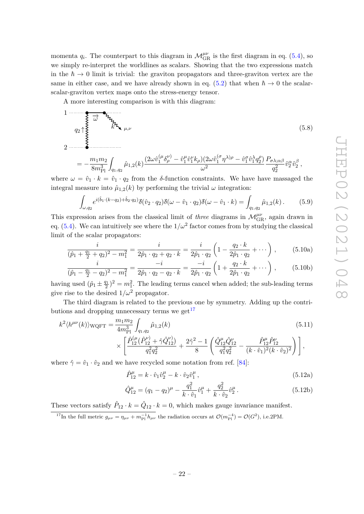momenta  $q_i$ . The counterpart to this diagram in  $\mathcal{M}_{GR}^{\mu\nu}$  is the first diagram in eq. [\(5.4\)](#page-21-1), so we simply re-interpret the worldlines as scalars. Showing that the two expressions match in the  $\hbar \to 0$  limit is trivial: the graviton propagators and three-graviton vertex are the same in either case, and we have already shown in eq. [\(5.2\)](#page-20-3) that when  $\hbar \rightarrow 0$  the scalarscalar-graviton vertex maps onto the stress-energy tensor.

A more interesting comparison is with this diagram:



$$
= -\frac{m_1 m_2}{8m_{\text{Pl}}^3} \int_{q_1, q_2} \hat{\mu}_{1,2}(k) \frac{(2\omega \hat{v}_1^{(\mu} \delta_{\rho}^{\nu)} - \hat{v}_1^{\mu} \hat{v}_1^{\nu} k_{\rho})(2\omega \hat{v}_1^{(\sigma} \eta^{\lambda)\rho} - \hat{v}_1^{\sigma} \hat{v}_1^{\lambda} q_2^{\rho})}{\omega^2} \frac{P_{\sigma \lambda; \alpha \beta}}{q_2^2} \hat{v}_2^{\alpha} \hat{v}_2^{\beta} ,
$$

where  $\omega = \hat{v}_1 \cdot k = \hat{v}_1 \cdot q_2$  from the *δ*-function constraints. We have have massaged the integral measure into  $\hat{\mu}_{1,2}(k)$  by performing the trivial  $\omega$  integration:

<span id="page-22-1"></span>
$$
\int_{\omega,q_2} e^{i(\hat{b}_1 \cdot (k-q_2) + \hat{b}_2 \cdot q_2)} \delta(\hat{v}_2 \cdot q_2) \delta(\omega - \hat{v}_1 \cdot q_2) \delta(\omega - \hat{v}_1 \cdot k) = \int_{q_1,q_2} \hat{\mu}_{1,2}(k).
$$
 (5.9)

This expression arises from the classical limit of *three* diagrams in  $\mathcal{M}_{\text{GR}}^{\mu\nu}$ , again drawn in eq.  $(5.4)$ . We can intuitively see where the  $1/\omega^2$  factor comes from by studying the classical limit of the scalar propagators:

$$
\frac{i}{(\hat{p}_1 + \frac{q_1}{2} + q_2)^2 - m_1^2} = \frac{i}{2\hat{p}_1 \cdot q_2 + q_2 \cdot k} = \frac{i}{2\hat{p}_1 \cdot q_2} \left(1 - \frac{q_2 \cdot k}{2\hat{p}_1 \cdot q_2} + \cdots \right), \quad (5.10a)
$$

$$
\frac{i}{(\hat{p}_1 - \frac{q_1}{2} - q_2)^2 - m_1^2} = \frac{-i}{2\hat{p}_1 \cdot q_2 - q_2 \cdot k} = \frac{-i}{2\hat{p}_1 \cdot q_2} \left( 1 + \frac{q_2 \cdot k}{2\hat{p}_1 \cdot q_2} + \cdots \right), \quad (5.10b)
$$

having used  $(\hat{p}_1 \pm \frac{q_1}{2})^2 = m_1^2$ . The leading terms cancel when added; the sub-leading terms give rise to the desired  $1/\omega^2$  propagator.

The third diagram is related to the previous one by symmetry. Adding up the contri-butions and dropping unnecessary terms we get<sup>[17](#page-22-0)</sup>

$$
k^{2} \langle h^{\mu\nu}(k) \rangle_{\text{WQFT}} = \frac{m_{1} m_{2}}{4 m_{\text{Pl}}^{3}} \int_{q_{1},q_{2}} \hat{\mu}_{1,2}(k)
$$
\n
$$
\times \left[ \frac{\hat{P}_{12}^{(\mu)} (\hat{P}_{12}^{\nu)} + \hat{\gamma} \hat{Q}_{12}^{\nu})}{q_{1}^{2} q_{2}^{2}} + \frac{2 \hat{\gamma}^{2} - 1}{8} \left( \frac{\hat{Q}_{12}^{\mu} \hat{Q}_{12}^{\nu}}{q_{1}^{2} q_{2}^{2}} - \frac{\hat{P}_{12}^{\mu} \hat{P}_{12}^{\nu}}{(k \cdot \hat{v}_{1})^{2} (k \cdot \hat{v}_{2})^{2}} \right) \right],
$$
\n(5.11)

where  $\hat{\gamma} = \hat{v}_1 \cdot \hat{v}_2$  and we have recycled some notation from ref. [\[84\]](#page-39-13):

$$
\hat{P}_{12}^{\mu} = k \cdot \hat{v}_1 \hat{v}_2^{\mu} - k \cdot \hat{v}_2 \hat{v}_1^{\mu},\tag{5.12a}
$$

$$
\hat{Q}_{12}^{\mu} = (q_1 - q_2)^{\mu} - \frac{q_1^2}{k \cdot \hat{v}_1} \hat{v}_1^{\mu} + \frac{q_2^2}{k \cdot \hat{v}_2} \hat{v}_2^{\mu}.
$$
\n(5.12b)

These vectors satisfy  $\hat{P}_{12} \cdot k = \hat{Q}_{12} \cdot k = 0$ , which makes gauge invariance manifest.

<span id="page-22-0"></span><sup>17</sup>In the full metric  $g_{\mu\nu} = \eta_{\mu\nu} + m_{\rm Pl}^{-1} h_{\mu\nu}$  the radiation occurs at  $\mathcal{O}(m_{\rm Pl}^{-4}) = \mathcal{O}(G^2)$ , i.e.2PM.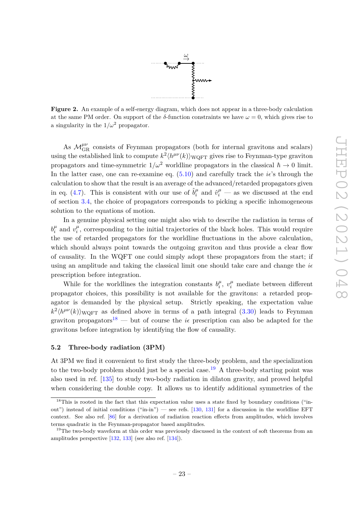

<span id="page-23-3"></span>**Figure 2.** An example of a self-energy diagram, which does not appear in a three-body calculation at the same PM order. On support of the  $\delta$ -function constraints we have  $\omega = 0$ , which gives rise to a singularity in the  $1/\omega^2$  propagator.

As  $\mathcal{M}_{\rm GR}^{\mu\nu}$  consists of Feynman propagators (both for internal gravitons and scalars) using the established link to compute  $k^2 \langle h^{\mu\nu}(k) \rangle_{\text{WQFT}}$  gives rise to Feynman-type graviton propagators and time-symmetric  $1/\omega^2$  worldline propagators in the classical  $\hbar \to 0$  limit. In the latter case, one can re-examine eq.  $(5.10)$  and carefully track the  $i\epsilon$ 's through the calculation to show that the result is an average of the advanced/retarded propagators given in eq. [\(4.7\)](#page-17-0). This is consistent with our use of  $\hat{b}^{\mu}_{i}$  $v_i^{\mu}$  and  $\hat{v}_i^{\mu}$  — as we discussed at the end of section [3.4,](#page-15-0) the choice of propagators corresponds to picking a specific inhomogeneous solution to the equations of motion.

In a genuine physical setting one might also wish to describe the radiation in terms of  $b_i^{\mu}$  $\mu$ <sup>*i*</sup> and  $v_i^{\mu}$  $\mu$ <sup> $\mu$ </sup>, corresponding to the initial trajectories of the black holes. This would require the use of retarded propagators for the worldline fluctuations in the above calculation, which should always point towards the outgoing graviton and thus provide a clear flow of causality. In the WQFT one could simply adopt these propagators from the start; if using an amplitude and taking the classical limit one should take care and change the  $i\epsilon$ prescription before integration.

While for the worldlines the integration constants  $b_i^{\mu}$  $v_i^{\mu}$ ,  $v_i^{\mu}$  mediate between different propagator choices, this possibility is not available for the gravitons: a retarded propagator is demanded by the physical setup. Strictly speaking, the expectation value  $k^2 \langle h^{\mu\nu}(k) \rangle$ <sub>WQFT</sub> as defined above in terms of a path integral [\(3.30\)](#page-15-2) leads to Feynman graviton propagators<sup>[18](#page-23-1)</sup> — but of course the  $i\epsilon$  prescription can also be adapted for the gravitons before integration by identifying the flow of causality.

## <span id="page-23-0"></span>**5.2 Three-body radiation (3PM)**

At 3PM we find it convenient to first study the three-body problem, and the specialization to the two-body problem should just be a special case.<sup>[19](#page-23-2)</sup> A three-body starting point was also used in ref. [\[135\]](#page-42-1) to study two-body radiation in dilaton gravity, and proved helpful when considering the double copy. It allows us to identify additional symmetries of the

<span id="page-23-1"></span><sup>&</sup>lt;sup>18</sup>This is rooted in the fact that this expectation value uses a state fixed by boundary conditions ("inout") instead of initial conditions ("in-in") — see refs. [\[130,](#page-42-2) [131\]](#page-42-3) for a discussion in the worldline EFT context. See also ref. [\[86\]](#page-39-8) for a derivation of radiation reaction effects from amplitudes, which involves terms quadratic in the Feynman-propagator based amplitudes.

<span id="page-23-2"></span><sup>&</sup>lt;sup>19</sup>The two-body waveform at this order was previously discussed in the context of soft theorems from an amplitudes perspective [\[132,](#page-42-4) [133\]](#page-42-5) (see also ref. [\[134\]](#page-42-6)).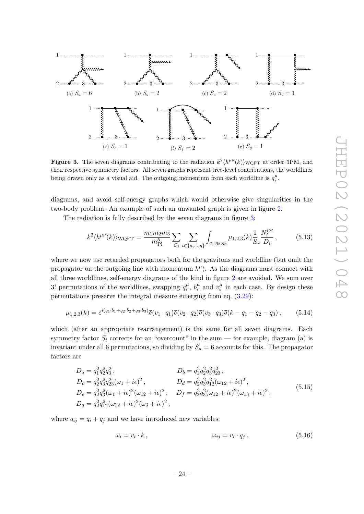<span id="page-24-0"></span>

**Figure 3.** The seven diagrams contributing to the radiation  $k^2 \langle h^{\mu\nu}(k) \rangle_{\text{WQFT}}$  at order 3PM, and their respective symmetry factors. All seven graphs represent tree-level contributions, the worldlines being drawn only as a visual aid. The outgoing momentum from each worldline is  $q_i^{\mu}$ .

diagrams, and avoid self-energy graphs which would otherwise give singularities in the two-body problem. An example of such an unwanted graph is given in figure [2.](#page-23-3)

The radiation is fully described by the seven diagrams in figure [3:](#page-24-0)

$$
k^2 \langle h^{\mu\nu}(k) \rangle_{\text{WQFT}} = \frac{m_1 m_2 m_3}{m_{\text{Pl}}^5} \sum_{S_3} \sum_{i \in \{a, \dots, g\}} \int_{q_1, q_2, q_3} \mu_{1,2,3}(k) \frac{1}{S} \frac{N_i^{\mu\nu}}{D_i},\tag{5.13}
$$

where we now use retarded propagators both for the gravitons and worldline (but omit the propagator on the outgoing line with momentum  $k^{\mu}$ ). As the diagrams must connect with all three worldlines, self-energy diagrams of the kind in figure [2](#page-23-3) are avoided. We sum over 3! permutations of the worldlines, swapping  $q_i^{\mu}$  $\int_i^\mu$ ,  $b_i^\mu$  $v_i^{\mu}$  and  $v_i^{\mu}$  $\frac{\mu}{i}$  in each case. By design these permutations preserve the integral measure emerging from eq. [\(3.29\)](#page-14-1):

$$
\mu_{1,2,3}(k) = e^{i(q_1 \cdot b_1 + q_2 \cdot b_2 + q_3 \cdot b_3)} \delta(v_1 \cdot q_1) \delta(v_2 \cdot q_2) \delta(v_3 \cdot q_3) \delta(k - q_1 - q_2 - q_3), \tag{5.14}
$$

which (after an appropriate rearrangement) is the same for all seven diagrams. Each symmetry factor  $S_i$  corrects for an "overcount" in the sum — for example, diagram (a) is invariant under all 6 permutations, so dividing by  $S_a = 6$  accounts for this. The propagator factors are

$$
D_a = q_1^2 q_2^2 q_3^2 ,
$$
  
\n
$$
D_c = q_2^2 q_3^2 q_{23}^2 (\omega_1 + i\epsilon)^2 ,
$$
  
\n
$$
D_e = q_2^2 q_3^2 (\omega_1 + i\epsilon)^2 ,
$$
  
\n
$$
D_d = q_2^2 q_3^2 q_{12}^2 (\omega_{12} + i\epsilon)^2 ,
$$
  
\n
$$
D_f = q_2^2 q_3^2 (\omega_{12} + i\epsilon)^2 (\omega_{13} + i\epsilon)^2 ,
$$
  
\n
$$
D_g = q_2^2 q_{12}^2 (\omega_{12} + i\epsilon)^2 (\omega_3 + i\epsilon)^2 ,
$$
  
\n(5.15)  
\n
$$
D_g = q_2^2 q_{12}^2 (\omega_{12} + i\epsilon)^2 (\omega_3 + i\epsilon)^2 ,
$$

where  $q_{ij} = q_i + q_j$  and we have introduced new variables:

$$
\omega_i = v_i \cdot k \,, \qquad \qquad \omega_{ij} = v_i \cdot q_j \,. \tag{5.16}
$$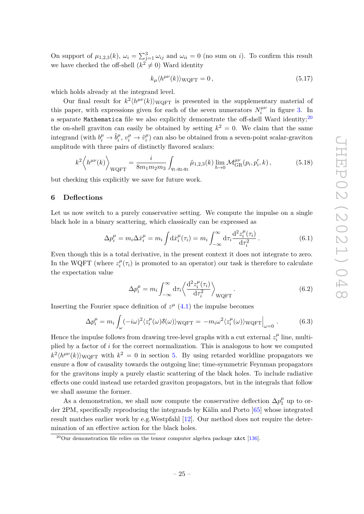On support of  $\mu_{1,2,3}(k)$ ,  $\omega_i = \sum_{j=1}^3 \omega_{ij}$  and  $\omega_{ii} = 0$  (no sum on *i*). To confirm this result we have checked the off-shell  $(k^2 \neq 0)$  Ward identity

$$
k_{\mu} \langle h^{\mu\nu}(k) \rangle_{\text{WQFT}} = 0, \qquad (5.17)
$$

which holds already at the integrand level.

Our final result for  $k^2 \langle h^{\mu\nu}(k) \rangle_{\text{WQFT}}$  is presented in the supplementary material of this paper, with expressions given for each of the seven numerators  $N_i^{\mu\nu}$  $\int_i^{\mu\nu}$  in figure [3.](#page-24-0) In a separate Mathematica file we also explicitly demonstrate the off-shell Ward identity;<sup>[20](#page-25-1)</sup> the on-shell graviton can easily be obtained by setting  $k^2 = 0$ . We claim that the same integrand (with  $b_i^{\mu} \rightarrow \hat{b}_i^{\mu}$  $v_i^{\mu}, v_i^{\mu} \rightarrow \hat{v}_i^{\mu}$  $\binom{\mu}{i}$  can also be obtained from a seven-point scalar-graviton amplitude with three pairs of distinctly flavored scalars:

$$
k^{2} \left\langle h^{\mu\nu}(k) \right\rangle_{\text{WQFT}} = \frac{i}{8m_{1}m_{2}m_{3}} \int_{q_{1},q_{2},q_{3}} \hat{\mu}_{1,2,3}(k) \lim_{\hbar \to 0} \mathcal{M}_{\text{GR}}^{\mu\nu}(p_{i},p'_{i},k), \tag{5.18}
$$

but checking this explicitly we save for future work.

## <span id="page-25-0"></span>**6 Deflections**

Let us now switch to a purely conservative setting. We compute the impulse on a single black hole in a binary scattering, which classically can be expressed as

$$
\Delta p_i^{\mu} = m_i \Delta \dot{x}_i^{\mu} = m_i \int \mathrm{d}\dot{x}_i^{\mu}(\tau_i) = m_i \int_{-\infty}^{\infty} \mathrm{d}\tau_i \frac{\mathrm{d}^2 z_i^{\mu}(\tau_i)}{\mathrm{d}\tau_i^2} \,. \tag{6.1}
$$

Even though this is a total derivative, in the present context it does not integrate to zero. In the WQFT (where  $z_i^{\mu}$  $\mu_i^{\mu}(\tau_i)$  is promoted to an operator) our task is therefore to calculate the expectation value

<span id="page-25-2"></span>
$$
\Delta p_i^{\mu} = m_i \int_{-\infty}^{\infty} d\tau_i \left\langle \frac{d^2 z_i^{\mu}(\tau_i)}{d\tau_i^2} \right\rangle_{\text{WQFT}}.
$$
\n(6.2)

Inserting the Fourier space definition of  $z^{\mu}$  [\(4.1\)](#page-17-1) the impulse becomes

$$
\Delta p_i^{\mu} = m_i \int_{\omega} (-i\omega)^2 \langle z_i^{\mu}(\omega) \delta(\omega) \rangle_{\text{WQFT}} = -m_i \omega^2 \langle z_i^{\mu}(\omega) \rangle_{\text{WQFT}} \Big|_{\omega=0}.
$$
 (6.3)

Hence the impulse follows from drawing tree-level graphs with a cut external  $z_i^{\mu}$  $u_i^{\mu}$  line, multiplied by a factor of *i* for the correct normalization. This is analogous to how we computed  $k^2 \langle h^{\mu\nu}(k) \rangle$ <sub>WQFT</sub> with  $k^2 = 0$  in section [5.](#page-20-0) By using retarded worldline propagators we ensure a flow of causality towards the outgoing line; time-symmetric Feynman propagators for the gravitons imply a purely elastic scattering of the black holes. To include radiative effects one could instead use retarded graviton propagators, but in the integrals that follow we shall assume the former.

As a demonstration, we shall now compute the conservative deflection  $\Delta p_1^{\mu}$  up to order 2PM, specifically reproducing the integrands by Kälin and Porto [\[65\]](#page-38-3) whose integrated result matches earlier work by e.g.Westpfahl [\[12\]](#page-35-3). Our method does not require the determination of an effective action for the black holes.

<span id="page-25-1"></span><sup>&</sup>lt;sup>20</sup>Our demonstration file relies on the tensor computer algebra package  $x$ Act [\[136\]](#page-42-7).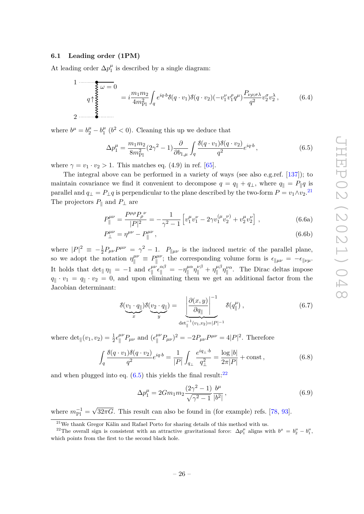## <span id="page-26-0"></span>**6.1 Leading order (1PM)**

At leading order  $\Delta p_1^{\mu}$  $\frac{\mu}{1}$  is described by a single diagram:

$$
1 \frac{\partial}{\partial \phi} = 0
$$
\n
$$
q \uparrow \xi \psi = 0
$$
\n
$$
2 \frac{m_1 m_2}{4m_{\text{Pl}}^2} \int_q e^{iq \cdot b} \delta(q \cdot v_1) \delta(q \cdot v_2) (-v_1^{\nu} v_1^{\rho} q^{\mu}) \frac{P_{\nu \rho; \sigma \lambda}}{q^2} v_2^{\sigma} v_2^{\lambda},
$$
\n(6.4)

where  $b^{\mu} = b^{\mu}_2 - b^{\mu}_1$  $\frac{\mu}{1}$  ( $b^2$  < 0). Cleaning this up we deduce that

<span id="page-26-2"></span>
$$
\Delta p_1^{\mu} = \frac{m_1 m_2}{8m_{\rm Pl}^2} (2\gamma^2 - 1) \frac{\partial}{\partial b_{1,\mu}} \int_q \frac{\delta(q \cdot v_1) \delta(q \cdot v_2)}{q^2} e^{iq \cdot b}, \qquad (6.5)
$$

where  $\gamma = v_1 \cdot v_2 > 1$ . This matches eq. (4.9) in ref. [\[65\]](#page-38-3).

The integral above can be performed in a variety of ways (see also e.g.ref. [\[137\]](#page-42-8)); to maintain covariance we find it convenient to decompose  $q = q_k + q_k$ , where  $q_k = P_k q$  is parallel and  $q_{\perp} = P_{\perp}q$  is perpendicular to the plane described by the two-form  $P = v_1 \wedge v_2$ .<sup>[21](#page-26-1)</sup> The projectors  $P_{\parallel}$  and  $P_{\perp}$  are

$$
P_{\parallel}^{\mu\nu} = \frac{P^{\mu\rho} P_{\rho}^{\ \nu}}{|P|^2} = -\frac{1}{\gamma^2 - 1} \left[ v_1^{\mu} v_1^{\nu} - 2\gamma v_1^{(\mu} v_2^{\nu)} + v_2^{\mu} v_2^{\nu} \right] , \qquad (6.6a)
$$

$$
P_{\perp}^{\mu\nu} = \eta^{\mu\nu} - P_{\parallel}^{\mu\nu},\tag{6.6b}
$$

where  $|P|^2 \equiv -\frac{1}{2}P_{\mu\nu}P^{\mu\nu} = \gamma^2 - 1$ .  $P_{\|\mu\nu}$  is the induced metric of the parallel plane, so we adopt the notation  $\eta_{\parallel}^{\mu\nu} \equiv P_{\parallel}^{\mu\nu}$ <sup> $k^{\mu\nu}$ </sup>; the corresponding volume form is  $\epsilon_{\|\mu\nu} = -\epsilon_{\|\nu\mu}$ . It holds that  $\det_{\parallel} \eta_{\parallel} = -1$  and  $\epsilon_{\parallel}^{\mu\nu}$  $\int_{\|\alpha}^{\mu\nu} \epsilon_{\|\alpha}^{\alpha\beta} = -\eta_{\|\alpha}^{\mu\alpha}$  $\eta_{\parallel}^{\mu\alpha}\eta_{\parallel}^{\nu\beta}+\eta_{\parallel}^{\mu\beta}$  $\int_{\parallel}^{\mu\beta} \eta_{\parallel}^{\nu\alpha}$ . The Dirac deltas impose  $q_{\parallel} \cdot v_1 = q_{\parallel} \cdot v_2 = 0$ , and upon eliminating them we get an additional factor from the Jacobian determinant:

$$
\delta(\underbrace{v_1 \cdot q_{\parallel}}_{x}) \delta(\underbrace{v_2 \cdot q_{\parallel}}_{y}) = \underbrace{\left|\frac{\partial(x, y)}{\partial q_{\parallel}}\right|^{-1}}_{\det_{\parallel}^{-1}(v_1, v_2) = |P|^{-1}} \delta(q^{\mu}_{\parallel}), \qquad (6.7)
$$

where  $\det_{\parallel}(v_1, v_2) = \frac{1}{2} \epsilon_{\parallel}^{\mu\nu}$  $\int_{\parallel}^{\mu\nu} P_{\mu\nu}$  and  $(\epsilon_{\parallel}^{\mu\nu})$  $\int_{\parallel}^{\mu\nu} P_{\mu\nu}$ )<sup>2</sup> = -2 $P_{\mu\nu}P^{\mu\nu}$  = 4| $P$ |<sup>2</sup>. Therefore

$$
\int_{q} \frac{\delta(q \cdot v_1)\delta(q \cdot v_2)}{q^2} e^{iq \cdot b} = \frac{1}{|P|} \int_{q_{\perp}} \frac{e^{iq_{\perp} \cdot b}}{q_{\perp}^2} = \frac{\log |b|}{2\pi |P|} + \text{const},\tag{6.8}
$$

and when plugged into eq.  $(6.5)$  this yields the final result:<sup>[22](#page-26-3)</sup>

<span id="page-26-4"></span>
$$
\Delta p_1^{\mu} = 2Gm_1m_2 \frac{(2\gamma^2 - 1)}{\sqrt{\gamma^2 - 1}} \frac{b^{\mu}}{|b^2|},\tag{6.9}
$$

where  $m_{\rm Pl}^{-1} =$ √  $32\pi G$ . This result can also be found in (for example) refs. [\[78,](#page-39-4) [93\]](#page-40-14).

<span id="page-26-3"></span><span id="page-26-1"></span> $^{21}$ We thank Gregor Kälin and Rafael Porto for sharing details of this method with us.

<sup>&</sup>lt;sup>22</sup>The overall sign is consistent with an attractive gravitational force:  $\Delta p_1^{\mu}$  aligns with  $b^{\mu} = b_2^{\mu} - b_1^{\mu}$ , which points from the first to the second black hole.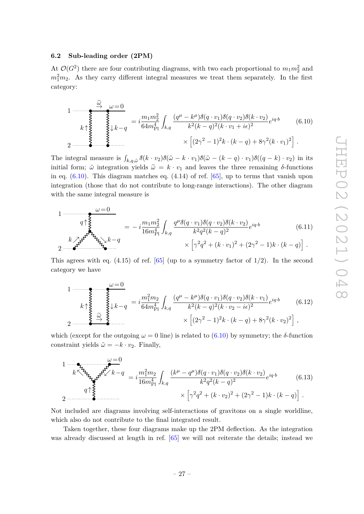## <span id="page-27-0"></span>**6.2 Sub-leading order (2PM)**

At  $\mathcal{O}(G^2)$  there are four contributing diagrams, with two each proportional to  $m_1 m_2^2$  and  $m_1^2m_2$ . As they carry different integral measures we treat them separately. In the first category:

<span id="page-27-1"></span>
$$
1 \longrightarrow \sum_{k \uparrow} \sum_{\substack{\geq \atop \geq \geq \cdots \geq \geq k - q}}^{\sim} = i \frac{m_1 m_2^2}{64 m_{\rm Pl}^4} \int_{k,q} \frac{(q^{\mu} - k^{\mu}) \delta(q \cdot v_1) \delta(q \cdot v_2) \delta(k \cdot v_2)}{k^2 (k - q)^2 (k \cdot v_1 + i\epsilon)^2} e^{iq \cdot b}
$$
(6.10)  
2  $\longrightarrow$  
$$
\times \left[ (2\gamma^2 - 1)^2 k \cdot (k - q) + 8\gamma^2 (k \cdot v_1)^2 \right].
$$

The integral measure is  $\int_{k,q,\tilde{\omega}} \delta(k \cdot v_2) \delta(\tilde{\omega} - k \cdot v_1) \delta(\tilde{\omega} - (k-q) \cdot v_1) \delta((q-k) \cdot v_2)$  in its initial form;  $\tilde{\omega}$  integration yields  $\tilde{\omega} = k \cdot v_1$  and leaves the three remaining  $\delta$ -functions in eq.  $(6.10)$ . This diagram matches eq.  $(4.14)$  of ref.  $[65]$ , up to terms that vanish upon integration (those that do not contribute to long-range interactions). The other diagram with the same integral measure is

$$
1 \frac{\omega = 0}{q \uparrow \frac{2}{3}} = -i \frac{m_1 m_2^2}{16 m_{\text{Pl}}^4} \int_{k,q} \frac{q^{\mu} \delta(q \cdot v_1) \delta(q \cdot v_2) \delta(k \cdot v_2)}{k^2 q^2 (k-q)^2} e^{iq \cdot b}
$$
(6.11)  

$$
2 \frac{k}{q \uparrow \frac{2}{3}} e^{iq \cdot b} \times \left[ \gamma^2 q^2 + (k \cdot v_1)^2 + (2\gamma^2 - 1)k \cdot (k-q) \right].
$$

This agrees with eq. (4.15) of ref. [\[65\]](#page-38-3) (up to a symmetry factor of 1*/*2). In the second category we have

$$
k \uparrow \underbrace{\begin{cases}\n\omega = 0 \\
k \downarrow \omega \\
\omega = 0 \\
\omega = 0\n\end{cases}}_{2 \text{ times } \omega} = i \frac{m_1^2 m_2}{64 m_{\text{Pl}}^4} \int_{k,q} \frac{(q^{\mu} - k^{\mu}) \delta(q \cdot v_1) \delta(q \cdot v_2) \delta(k \cdot v_1)}{k^2 (k - q)^2 (k \cdot v_2 - i\epsilon)^2} e^{iq \cdot b} \qquad (6.12)
$$
\n
$$
\times \left[ (2\gamma^2 - 1)^2 k \cdot (k - q) + 8\gamma^2 (k \cdot v_2)^2 \right],
$$

which (except for the outgoing  $\omega = 0$  line) is related to [\(6.10\)](#page-27-1) by symmetry; the  $\delta$ -function constraint yields  $\tilde{\omega} = -k \cdot v_2$ . Finally,

$$
1 - \sum_{k \leq k} \sum_{k \leq k} \sum_{k=0}^{\infty} \sum_{k=q} \frac{(-1)^{k} (1+2)^{k}}{k! (1+2)^{k}} \int_{k,q} \frac{(k^{\mu} - q^{\mu}) \delta(q \cdot v_{1}) \delta(q \cdot v_{2}) \delta(k \cdot v_{2})}{k^{2} q^{2} (k-q)^{2}} e^{iq \cdot b}
$$
\n
$$
2 - \sum_{k=0}^{\infty} \sum_{k=0}^{\infty} \sum_{k=0}^{\infty} \left[ \gamma^{2} q^{2} + (k \cdot v_{2})^{2} + (2\gamma^{2} - 1)k \cdot (k-q) \right].
$$
\n(6.13)

Not included are diagrams involving self-interactions of gravitons on a single worldline, which also do not contribute to the final integrated result.

Taken together, these four diagrams make up the 2PM deflection. As the integration was already discussed at length in ref. [\[65\]](#page-38-3) we will not reiterate the details; instead we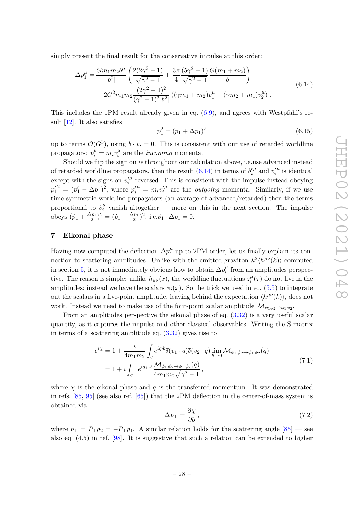simply present the final result for the conservative impulse at this order:

$$
\Delta p_1^{\mu} = \frac{Gm_1m_2b^{\mu}}{|b^2|} \left( \frac{2(2\gamma^2 - 1)}{\sqrt{\gamma^2 - 1}} + \frac{3\pi}{4} \frac{(5\gamma^2 - 1)}{\sqrt{\gamma^2 - 1}} \frac{G(m_1 + m_2)}{|b|} \right)
$$
  
- 2G<sup>2</sup>m<sub>1</sub>m<sub>2</sub>  $\frac{(2\gamma^2 - 1)^2}{(\gamma^2 - 1)^2|b^2|} \left( (\gamma m_1 + m_2)v_1^{\mu} - (\gamma m_2 + m_1)v_2^{\mu} \right).$  (6.14)

This includes the 1PM result already given in eq. [\(6.9\)](#page-26-4), and agrees with Westpfahl's result [\[12\]](#page-35-3). It also satisfies

<span id="page-28-1"></span>
$$
p_1^2 = (p_1 + \Delta p_1)^2 \tag{6.15}
$$

up to terms  $\mathcal{O}(G^3)$ , using  $b \cdot v_i = 0$ . This is consistent with our use of retarded worldline propagators:  $p_i^{\mu} = m_i v_i^{\mu}$  $\mu$ <sup> $\mu$ </sup> are the *incoming* momenta.

Should we flip the sign on  $i\epsilon$  throughout our calculation above, i.e.use advanced instead % of retarded worldline propagators, then the result  $(6.14)$  in terms of  $b_i'$  $\mu$  and  $v_i'$  $^\mu$  is identical except with the signs on  $v_i'$  $\mu$  reversed. This is consistent with the impulse instead obeying  $p'_1{}^2 = (p'_1 - \Delta p_1)^2$ , where  $p'^{\mu}_i = m_i v'_i$  $\mu$  are the *outgoing* momenta. Similarly, if we use time-symmetric worldline propagators (an average of advanced/retarded) then the terms proportional to  $\hat{v}_i^{\mu}$  $\frac{\mu}{i}$  vanish altogether — more on this in the next section. The impulse obeys  $(\hat{p}_1 + \frac{\Delta p_1}{2})^2 = (\hat{p}_1 - \frac{\Delta p_1}{2})^2$ , i.e. $\hat{p}_1 \cdot \Delta p_1 = 0$ .

## <span id="page-28-0"></span>**7 Eikonal phase**

Having now computed the deflection  $\Delta p_1^{\mu}$  up to 2PM order, let us finally explain its connection to scattering amplitudes. Unlike with the emitted graviton  $k^2 \langle h^{\mu\nu}(k) \rangle$  computed in section [5,](#page-20-0) it is not immediately obvious how to obtain  $\Delta p_i^{\mu}$  $\mu_i^{\mu}$  from an amplitudes perspective. The reason is simple: unlike  $h_{\mu\nu}(x)$ , the worldline fluctuations  $z_i^{\mu}$  $\int_i^{\mu}(\tau)$  do not live in the amplitudes; instead we have the scalars  $\phi_i(x)$ . So the trick we used in eq. [\(5.5\)](#page-21-2) to integrate out the scalars in a five-point amplitude, leaving behind the expectation  $\langle h^{\mu\nu}(k) \rangle$ , does not work. Instead we need to make use of the four-point scalar amplitude  $\mathcal{M}_{\phi_1 \phi_2 \to \phi_1 \phi_2}$ .

From an amplitudes perspective the eikonal phase of eq. [\(3.32\)](#page-15-3) is a very useful scalar quantity, as it captures the impulse and other classical observables. Writing the S-matrix in terms of a scattering amplitude eq.  $(3.32)$  gives rise to

$$
e^{i\chi} = 1 + \frac{i}{4m_1m_2} \int_q e^{iq \cdot b} \delta(v_1 \cdot q) \delta(v_2 \cdot q) \lim_{\hbar \to 0} \mathcal{M}_{\phi_1 \phi_2 \to \phi_1 \phi_2}(q)
$$
  
=  $1 + i \int_{q_\perp} e^{iq_\perp \cdot b} \frac{\mathcal{M}_{\phi_1 \phi_2 \to \phi_1 \phi_2}(q)}{4m_1m_2\sqrt{\gamma^2 - 1}},$  (7.1)

where  $\chi$  is the eikonal phase and  $q$  is the transferred momentum. It was demonstrated in refs. [\[85,](#page-39-9) [95\]](#page-40-16) (see also ref. [\[65\]](#page-38-3)) that the 2PM deflection in the center-of-mass system is obtained via

<span id="page-28-2"></span>
$$
\Delta p_{\perp} = \frac{\partial \chi}{\partial b} \,, \tag{7.2}
$$

where  $p_{\perp} = P_{\perp}p_2 = -P_{\perp}p_1$ . A similar relation holds for the scattering angle [\[85\]](#page-39-9) — see also eq. (4.5) in ref. [\[98\]](#page-40-3). It is suggestive that such a relation can be extended to higher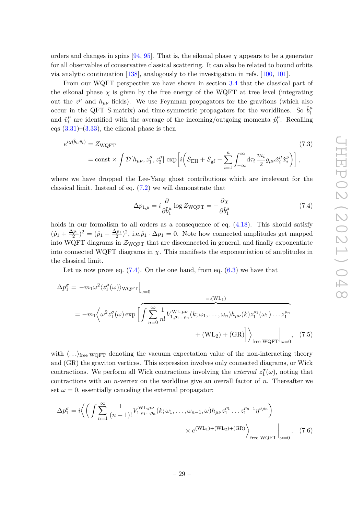orders and changes in spins [\[94,](#page-40-17) [95\]](#page-40-16). That is, the eikonal phase *χ* appears to be a generator for all observables of conservative classical scattering. It can also be related to bound orbits via analytic continuation [\[138\]](#page-42-9), analogously to the investigation in refs. [\[100,](#page-40-5) [101\]](#page-40-6).

From our WQFT perspective we have shown in section [3.4](#page-15-0) that the classical part of the eikonal phase  $\chi$  is given by the free energy of the WQFT at tree level (integrating out the  $z^{\mu}$  and  $h_{\mu\nu}$  fields). We use Feynman propagators for the gravitons (which also occur in the QFT S-matrix) and time-symmetric propagators for the worldlines. So  $\hat{b}^{\mu}_{i}$ *i* and  $\hat{v}_i^{\mu}$  $\hat{p}^{\mu}_i$  are identified with the average of the incoming/outgoing momenta  $\hat{p}^{\mu}_i$  $i^{\mu}$ . Recalling eqs  $(3.31)$ – $(3.33)$ , the eikonal phase is then

$$
e^{i\chi(\hat{b}_i,\hat{v}_i)} = Z_{\text{WQFT}} \tag{7.3}
$$

$$
= \text{const} \times \int \mathcal{D}[h_{\mu\nu}, z_1^{\mu}, z_2^{\mu}] \exp\left[i\left(S_{\text{EH}} + S_{\text{gf}} - \sum_{i=1}^n \int_{-\infty}^{\infty} d\tau_i \frac{m_i}{2} g_{\mu\nu} \dot{x}_i^{\mu} \dot{x}_i^{\nu}\right)\right],
$$

where we have dropped the Lee-Yang ghost contributions which are irrelevant for the classical limit. Instead of eq. [\(7.2\)](#page-28-2) we will demonstrate that

<span id="page-29-0"></span>
$$
\Delta p_{1,\mu} = i \frac{\partial}{\partial \hat{b}_1^{\mu}} \log Z_{\text{WQFT}} = -\frac{\partial \chi}{\partial \hat{b}_1^{\mu}} \tag{7.4}
$$

holds in our formalism to all orders as a consequence of eq.  $(4.18)$ . This should satisfy  $(\hat{p}_1 + \frac{\Delta p_1}{2})^2 = (\hat{p}_1 - \frac{\Delta p_1}{2})^2$ , i.e. $\hat{p}_1 \cdot \Delta p_1 = 0$ . Note how connected amplitudes get mapped into WQFT diagrams in  $\mathcal{Z}_{WQFT}$  that are disconnected in general, and finally exponentiate into connected WQFT diagrams in  $\chi$ . This manifests the exponentiation of amplitudes in the classical limit.

Let us now prove eq.  $(7.4)$ . On the one hand, from eq.  $(6.3)$  we have that

$$
\Delta p_1^{\sigma} = -m_1 \omega^2 \langle z_1^{\mu}(\omega) \rangle_{\text{WQFT}} \Big|_{\omega=0}
$$
  
= 
$$
-m_1 \langle \omega^2 z_1^{\sigma}(\omega) \exp \left[ \int \sum_{n=0}^{\infty} \frac{1}{n!} V_{1,\rho_1...\rho_n}^{\text{WL},\mu\nu}(k; \omega_1, \dots, \omega_n) h_{\mu\nu}(k) z_1^{\rho_1}(\omega_1) \dots z_1^{\rho_n} + (\text{WL}_2) + (\text{GR}) \right] \rangle_{\text{free WQFT}} \Big|_{\omega=0}, \quad (7.5)
$$

with  $\langle \ldots \rangle_{\text{free WQFT}}$  denoting the vacuum expectation value of the non-interacting theory and (GR) the graviton vertices. This expression involves only connected diagrams, or Wick contractions. We perform all Wick contractions involving the *external*  $z_1^{\sigma}(\omega)$ , noting that contractions with an *n*-vertex on the worldline give an overall factor of *n*. Thereafter we set  $\omega = 0$ , essentially canceling the external propagator:

$$
\Delta p_1^{\sigma} = i \left\langle \left( \int \sum_{n=1}^{\infty} \frac{1}{(n-1)!} V_{1, \rho_1 \dots \rho_n}^{\text{WL}, \mu\nu}(k; \omega_1, \dots, \omega_{n-1}, \omega) h_{\mu\nu} z_1^{\rho_1} \dots z_1^{\rho_{n-1}} \eta^{\sigma \rho_n} \right) \times e^{(\text{WL}_1) + (\text{WL}_2) + (\text{GR})} \right\rangle_{\text{free WQFT}} \Big|_{\omega=0}.
$$
 (7.6)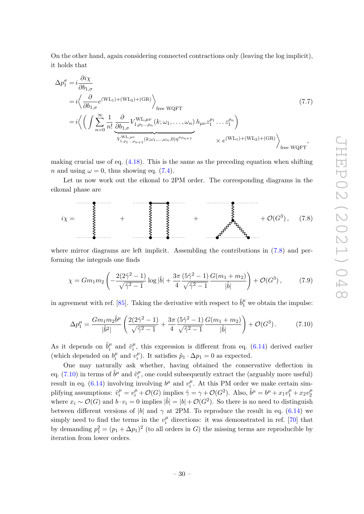On the other hand, again considering connected contractions only (leaving the log implicit), it holds that

$$
\Delta p_1^{\sigma} = i \frac{\partial i \chi}{\partial b_{1,\sigma}} \n= i \left\langle \frac{\partial}{\partial b_{1,\sigma}} e^{(\text{WL}_1) + (\text{WL}_2) + (\text{GR})} \right\rangle_{\text{free WQFT}} \n= i \left\langle \left( \int \sum_{n=0}^{\infty} \frac{1}{n!} \frac{\partial}{\partial b_{1,\sigma}} V_{1,\rho_1...\rho_n}^{\text{WL},\mu\nu}(k; \omega_1, \dots, \omega_n) h_{\mu\nu} z_1^{\rho_1} \dots z_1^{\rho_n} \right) \right\rangle_{\text{free WQFT}} \n\times e^{(\text{WL}_1) + (\text{WL}_2) + (\text{GR})} \left\rangle_{\text{free WQFT}},
$$
\n(7.7)

making crucial use of eq.  $(4.18)$ . This is the same as the preceding equation when shifting *n* and using  $\omega = 0$ , thus showing eq. [\(7.4\)](#page-29-0).

Let us now work out the eikonal to 2PM order. The corresponding diagrams in the eikonal phase are



where mirror diagrams are left implicit. Assembling the contributions in  $(7.8)$  and performing the integrals one finds

<span id="page-30-0"></span>
$$
\chi = Gm_1m_2 \left( -\frac{2(2\hat{\gamma}^2 - 1)}{\sqrt{\hat{\gamma}^2 - 1}} \log |\hat{b}| + \frac{3\pi}{4} \frac{(5\hat{\gamma}^2 - 1)}{\sqrt{\hat{\gamma}^2 - 1}} \frac{G(m_1 + m_2)}{|\hat{b}|} \right) + \mathcal{O}(G^3),\tag{7.9}
$$

in agreement with ref. [\[85\]](#page-39-9). Taking the derivative with respect to  $\hat{b}^{\mu}_1$  we obtain the impulse:

<span id="page-30-1"></span>
$$
\Delta p_1^{\mu} = \frac{Gm_1m_2\hat{b}^{\mu}}{|\hat{b}^2|} \left( \frac{2(2\hat{\gamma}^2 - 1)}{\sqrt{\hat{\gamma}^2 - 1}} + \frac{3\pi}{4} \frac{(5\hat{\gamma}^2 - 1)}{\sqrt{\hat{\gamma}^2 - 1}} \frac{G(m_1 + m_2)}{|\hat{b}|} \right) + \mathcal{O}(G^3). \tag{7.10}
$$

As it depends on  $\hat{b}^{\mu}_{i}$  $\hat{v}_i^{\mu}$  and  $\hat{v}_i^{\mu}$  $i$ <sup> $\mu$ </sup>, this expression is different from eq. [\(6.14\)](#page-28-1) derived earlier (which depended on  $b_i^{\mu}$  $\mu$ <sup>*i*</sup> and  $v_i^{\mu}$  $\hat{i}$ <sup> $\mu$ </sup>). It satisfies  $\hat{p}_1 \cdot \Delta p_1 = 0$  as expected.

One may naturally ask whether, having obtained the conservative deflection in eq. [\(7.10\)](#page-30-1) in terms of  $\hat{b}^{\mu}$  and  $\hat{v}^{\mu}_{i}$  $i<sub>i</sub><sup>\mu</sup>$ , one could subsequently extract the (arguably more useful) result in eq. [\(6.14\)](#page-28-1) involving involving  $b^{\mu}$  and  $v_i^{\mu}$  $\mu$ <sup> $\mu$ </sup>. At this PM order we make certain simplifying assumptions:  $\hat{v}_i^{\mu} = v_i^{\mu} + \mathcal{O}(G)$  implies  $\hat{\gamma} = \gamma + \mathcal{O}(G^2)$ . Also,  $\hat{b}^{\mu} = b^{\mu} + x_1 v_1^{\mu} + x_2 v_2^{\mu}$ 2 where  $x_i \sim \mathcal{O}(G)$  and  $b \cdot v_i = 0$  implies  $|\hat{b}| = |b| + \mathcal{O}(G^2)$ . So there is no need to distinguish between different versions of |*b*| and  $\gamma$  at 2PM. To reproduce the result in eq. [\(6.14\)](#page-28-1) we simply need to find the terms in the  $v_i^{\mu}$  $\mu_i^{\mu}$  directions: it was demonstrated in ref. [\[70\]](#page-38-6) that by demanding  $p_1^2 = (p_1 + \Delta p_1)^2$  (to all orders in *G*) the missing terms are reproducible by iteration from lower orders.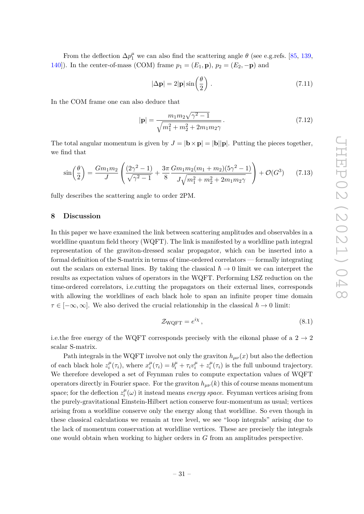From the deflection  $\Delta p_1^{\mu}$  we can also find the scattering angle  $\theta$  (see e.g.refs. [\[85,](#page-39-9) [139,](#page-42-10) 140). In the center-of-mass (COM) frame  $p_1 = (E_1, \mathbf{p})$ ,  $p_2 = (E_2, -\mathbf{p})$  and

$$
|\Delta \mathbf{p}| = 2|\mathbf{p}| \sin\left(\frac{\theta}{2}\right). \tag{7.11}
$$

In the COM frame one can also deduce that

$$
|\mathbf{p}| = \frac{m_1 m_2 \sqrt{\gamma^2 - 1}}{\sqrt{m_1^2 + m_2^2 + 2m_1 m_2 \gamma}}.
$$
\n(7.12)

The total angular momentum is given by  $J = |\mathbf{b} \times \mathbf{p}| = |\mathbf{b}||\mathbf{p}|$ . Putting the pieces together, we find that

$$
\sin\left(\frac{\theta}{2}\right) = \frac{Gm_1m_2}{J} \left( \frac{(2\gamma^2 - 1)}{\sqrt{\gamma^2 - 1}} + \frac{3\pi}{8} \frac{Gm_1m_2(m_1 + m_2)(5\gamma^2 - 1)}{J\sqrt{m_1^2 + m_2^2 + 2m_1m_2\gamma}} \right) + \mathcal{O}(G^3) \tag{7.13}
$$

fully describes the scattering angle to order 2PM.

## <span id="page-31-0"></span>**8 Discussion**

In this paper we have examined the link between scattering amplitudes and observables in a worldline quantum field theory (WQFT). The link is manifested by a worldline path integral representation of the graviton-dressed scalar propagator, which can be inserted into a formal definition of the S-matrix in terms of time-ordered correlators — formally integrating out the scalars on external lines. By taking the classical  $\hbar \to 0$  limit we can interpret the results as expectation values of operators in the WQFT. Performing LSZ reduction on the time-ordered correlators, i.e.cutting the propagators on their external lines, corresponds with allowing the worldlines of each black hole to span an infinite proper time domain  $\tau \in [-\infty, \infty]$ . We also derived the crucial relationship in the classical  $\hbar \to 0$  limit:

$$
\mathcal{Z}_{\text{WQFT}} = e^{i\chi},\tag{8.1}
$$

i.e.the free energy of the WQFT corresponds precisely with the eikonal phase of a  $2 \rightarrow 2$ scalar S-matrix.

Path integrals in the WQFT involve not only the graviton  $h_{\mu\nu}(x)$  but also the deflection of each black hole  $z_i^{\mu}$  $i^{\mu}(\tau_i)$ , where  $x_i^{\mu}$  $b_i^{\mu}(\tau_i) = b_i^{\mu} + \tau_i v_i^{\mu} + z_i^{\mu}$  $\int_i^\mu(\tau_i)$  is the full unbound trajectory. We therefore developed a set of Feynman rules to compute expectation values of WQFT operators directly in Fourier space. For the graviton  $h_{\mu\nu}(k)$  this of course means momentum space; for the deflection  $z_i^{\mu}$  $i^{\mu}(\omega)$  it instead means *energy space*. Feynman vertices arising from the purely-gravitational Einstein-Hilbert action conserve four-momentum as usual; vertices arising from a worldline conserve only the energy along that worldline. So even though in these classical calculations we remain at tree level, we see "loop integrals" arising due to the lack of momentum conservation at worldline vertices. These are precisely the integrals one would obtain when working to higher orders in *G* from an amplitudes perspective.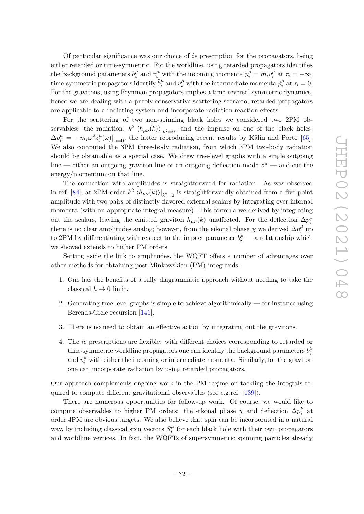Of particular significance was our choice of  $i\epsilon$  prescription for the propagators, being either retarded or time-symmetric. For the worldline, using retarded propagators identifies the background parameters  $b_i^{\mu}$  $\mu_i^{\mu}$  and  $v_i^{\mu}$  with the incoming momenta  $p_i^{\mu} = m_i v_i^{\mu}$  $\tau_i^{\mu}$  at  $\tau_i = -\infty;$  $time\text{-symmetric propagators identify  $\hat{b}^\mu_i$$  $\hat{p}^{\mu}_i$  and  $\hat{v}^{\mu}_i$  with the intermediate momenta  $\hat{p}^{\mu}_i$  $\sigma_i^{\mu}$  at  $\tau_i = 0$ . For the gravitons, using Feynman propagators implies a time-reversal symmetric dynamics, hence we are dealing with a purely conservative scattering scenario; retarded propagators are applicable to a radiating system and incorporate radiation-reaction effects.

For the scattering of two non-spinning black holes we considered two 2PM observables: the radiation,  $k^2 \langle h_{\mu\nu}(k) \rangle |_{k^2=0}$ , and the impulse on one of the black holes,  $\Delta p_i^{\mu} = -m_i \omega^2 z_i^{\mu}$  $\left.\frac{\mu}{i}(\omega)\right|_{\omega=0}$ , the latter reproducing recent results by Kälin and Porto [\[65\]](#page-38-3). We also computed the 3PM three-body radiation, from which 3PM two-body radiation should be obtainable as a special case. We drew tree-level graphs with a single outgoing line — either an outgoing graviton line or an outgoing deflection mode  $z^{\mu}$  — and cut the energy/momentum on that line.

The connection with amplitudes is straightforward for radiation. As was observed in ref. [\[84\]](#page-39-13), at 2PM order  $k^2 \langle h_{\mu\nu}(k) \rangle |_{k^2=0}$  is straightforwardly obtained from a five-point amplitude with two pairs of distinctly flavored external scalars by integrating over internal momenta (with an appropriate integral measure). This formula we derived by integrating out the scalars, leaving the emitted graviton  $h_{\mu\nu}(k)$  unaffected. For the deflection  $\Delta p_i^{\mu}$ *i* there is no clear amplitudes analog; however, from the eikonal phase  $\chi$  we derived  $\Delta p_i^{\mu}$  $u_i^{\mu}$  up to 2PM by differentiating with respect to the impact parameter  $b_i^{\mu}$  — a relationship which we showed extends to higher PM orders.

Setting aside the link to amplitudes, the WQFT offers a number of advantages over other methods for obtaining post-Minkowskian (PM) integrands:

- 1. One has the benefits of a fully diagrammatic approach without needing to take the classical  $\hbar \to 0$  limit.
- 2. Generating tree-level graphs is simple to achieve algorithmically for instance using Berends-Giele recursion [\[141\]](#page-42-12).
- 3. There is no need to obtain an effective action by integrating out the gravitons.
- 4. The *i* prescriptions are flexible: with different choices corresponding to retarded or time-symmetric worldline propagators one can identify the background parameters  $b_i^{\mu}$ *i* and  $v_i^{\mu}$  with either the incoming or intermediate momenta. Similarly, for the graviton one can incorporate radiation by using retarded propagators.

Our approach complements ongoing work in the PM regime on tackling the integrals required to compute different gravitational observables (see e.g.ref. [\[139\]](#page-42-10)).

There are numerous opportunities for follow-up work. Of course, we would like to compute observables to higher PM orders: the eikonal phase  $\chi$  and deflection  $\Delta p_i^{\mu}$  $\int_i^\mu$  at order 4PM are obvious targets. We also believe that spin can be incorporated in a natural way, by including classical spin vectors  $S_i^{\mu}$  $\mu$ <sup> $\mu$ </sup> for each black hole with their own propagators and worldline vertices. In fact, the WQFTs of supersymmetric spinning particles already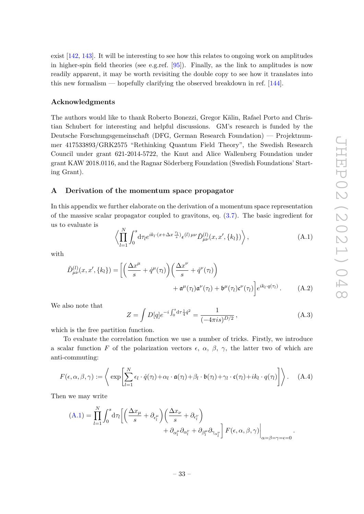exist [\[142,](#page-42-13) [143\]](#page-42-14). It will be interesting to see how this relates to ongoing work on amplitudes in higher-spin field theories (see e.g.ref.  $[95]$ ). Finally, as the link to amplitudes is now readily apparent, it may be worth revisiting the double copy to see how it translates into this new formalism — hopefully clarifying the observed breakdown in ref. [\[144\]](#page-42-15).

## **Acknowledgments**

The authors would like to thank Roberto Bonezzi, Gregor Kälin, Rafael Porto and Christian Schubert for interesting and helpful discussions. GM's research is funded by the Deutsche Forschungsgemeinschaft (DFG, German Research Foundation) — Projektnummer 417533893/GRK2575 "Rethinking Quantum Field Theory", the Swedish Research Council under grant 621-2014-5722, the Knut and Alice Wallenberg Foundation under grant KAW 2018.0116, and the Ragnar Söderberg Foundation (Swedish Foundations' Starting Grant).

## <span id="page-33-0"></span>**A Derivation of the momentum space propagator**

In this appendix we further elaborate on the derivation of a momentum space representation of the massive scalar propagator coupled to gravitons, eq. [\(3.7\)](#page-10-0). The basic ingredient for us to evaluate is

<span id="page-33-1"></span>
$$
\left\langle \prod_{l=1}^{N} \int_{0}^{s} d\tau_{l} e^{ik_{l} \cdot (x + \Delta x \frac{\tau_{l}}{s})} \epsilon^{(l) \, \mu \nu} \tilde{D}^{(l)}_{\mu \nu}(x, x', \{k_{l}\}) \right\rangle, \tag{A.1}
$$

with

$$
\tilde{D}^{(l)}_{\mu\nu}(x, x', \{k_l\}) = \left[ \left( \frac{\Delta x^{\mu}}{s} + \dot{q}^{\mu}(\tau_l) \right) \left( \frac{\Delta x^{\nu}}{s} + \dot{q}^{\nu}(\tau_l) \right) + \mathfrak{a}^{\mu}(\tau_l) \mathfrak{a}^{\nu}(\tau_l) + \mathfrak{b}^{\mu}(\tau_l) \mathfrak{c}^{\nu}(\tau_l) \right] e^{ik_l \cdot q(\tau_l)} . \tag{A.2}
$$

We also note that

<span id="page-33-2"></span>
$$
Z = \int D[q] e^{-i \int_0^s d\tau \frac{1}{4} \dot{q}^2} = \frac{1}{(-4\pi i s)^{D/2}},
$$
\n(A.3)

which is the free partition function.

To evaluate the correlation function we use a number of tricks. Firstly, we introduce a scalar function *F* of the polarization vectors  $\epsilon$ ,  $\alpha$ ,  $\beta$ ,  $\gamma$ , the latter two of which are anti-commuting:

$$
F(\epsilon, \alpha, \beta, \gamma) := \left\langle \exp \left[ \sum_{l=1}^{N} \epsilon_l \cdot \dot{q}(\tau_l) + \alpha_l \cdot \mathfrak{a}(\tau_l) + \beta_l \cdot \mathfrak{b}(\tau_l) + \gamma_l \cdot \mathfrak{c}(\tau_l) + i k_l \cdot q(\tau_l) \right] \right\rangle. \quad (A.4)
$$

Then we may write

$$
(A.1) = \prod_{l=1}^{N} \int_{0}^{s} d\tau_{l} \left[ \left( \frac{\Delta x_{\mu}}{s} + \partial_{\epsilon_{l}^{\mu}} \right) \left( \frac{\Delta x_{\nu}}{s} + \partial_{\epsilon_{l}^{\nu}} \right) + \partial_{\alpha_{l}^{\mu}} \partial_{\alpha_{l}^{\nu}} + \partial_{\beta_{l}^{\mu}} \partial_{\gamma_{\alpha_{l}^{\nu}}} \right] F(\epsilon, \alpha, \beta, \gamma) \Big|_{\alpha = \beta = \gamma = \epsilon = 0}.
$$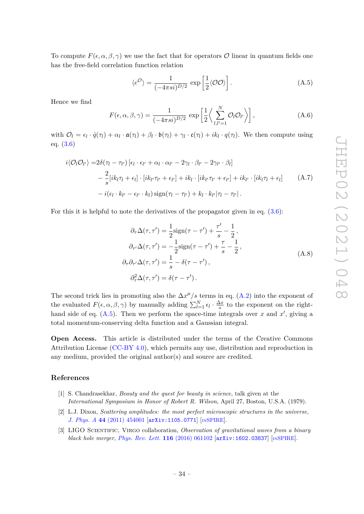To compute  $F(\epsilon, \alpha, \beta, \gamma)$  we use the fact that for operators O linear in quantum fields one has the free-field correlation function relation

<span id="page-34-3"></span>
$$
\langle e^{\mathcal{O}} \rangle = \frac{1}{(-4\pi s i)^{D/2}} \exp\left[\frac{1}{2} \langle \mathcal{O}\mathcal{O} \rangle\right]. \tag{A.5}
$$

Hence we find

$$
F(\epsilon, \alpha, \beta, \gamma) = \frac{1}{(-4\pi s i)^{D/2}} \exp\left[\frac{1}{2}\left\langle \sum_{l,l'=1}^{N} \mathcal{O}_l \mathcal{O}_{l'} \right\rangle \right],
$$
 (A.6)

with  $\mathcal{O}_l = \epsilon_l \cdot \dot{q}(\tau_l) + \alpha_l \cdot \mathfrak{a}(\tau_l) + \beta_l \cdot \mathfrak{b}(\tau_l) + \gamma_l \cdot \mathfrak{c}(\tau_l) + ik_l \cdot q(\tau_l)$ . We then compute using eq. [\(3.6\)](#page-10-2)

$$
i\langle \mathcal{O}_l \mathcal{O}_{l'} \rangle = 2\delta(\tau_l - \tau_{l'}) \left[ \epsilon_l \cdot \epsilon_{l'} + \alpha_l \cdot \alpha_{l'} - 2\gamma_l \cdot \beta_{l'} - 2\gamma_{l'} \cdot \beta_l \right] - \frac{2}{s} [ik_l \tau_l + \epsilon_l] \cdot [ik_{l'} \tau_{l'} + \epsilon_{l'}] + ik_l \cdot [ik_{l'} \tau_{l'} + \epsilon_{l'}] + ik_{l'} \cdot [ik_l \tau_l + \epsilon_l] - i(\epsilon_l \cdot k_{l'} - \epsilon_{l'} \cdot k_l) \operatorname{sign}(\tau_l - \tau_{l'}) + k_l \cdot k_{l'} |\tau_l - \tau_{l'}|.
$$
\n(A.7)

For this it is helpful to note the derivatives of the propagator given in eq. [\(3.6\)](#page-10-2):

$$
\partial_{\tau} \Delta(\tau, \tau') = \frac{1}{2} \text{sign}(\tau - \tau') + \frac{\tau'}{s} - \frac{1}{2},
$$
  
\n
$$
\partial_{\tau'} \Delta(\tau, \tau') = -\frac{1}{2} \text{sign}(\tau - \tau') + \frac{\tau}{s} - \frac{1}{2},
$$
  
\n
$$
\partial_{\tau} \partial_{\tau'} \Delta(\tau, \tau') = \frac{1}{s} - \delta(\tau - \tau'),
$$
  
\n
$$
\partial_{\tau}^2 \Delta(\tau, \tau') = \delta(\tau - \tau').
$$
\n(A.8)

The second trick lies in promoting also the  $\Delta x^{\mu}/s$  terms in eq. [\(A.2\)](#page-33-2) into the exponent of the evaluated  $F(\epsilon, \alpha, \beta, \gamma)$  by manually adding  $\sum_{l=1}^{N} \epsilon_l \cdot \frac{\Delta x}{s}$  $\frac{\Delta x}{s}$  to the exponent on the righthand side of eq.  $(A.5)$ . Then we perform the space-time integrals over x and x', giving a total momentum-conserving delta function and a Gaussian integral.

**Open Access.** This article is distributed under the terms of the Creative Commons Attribution License [\(CC-BY 4.0\)](https://creativecommons.org/licenses/by/4.0/), which permits any use, distribution and reproduction in any medium, provided the original author(s) and source are credited.

## **References**

- <span id="page-34-0"></span>[1] S. Chandrasekhar, *Beauty and the quest for beauty in science*, talk given at the *International Symposium in Honor of Robert R. Wilson*, April 27, Boston, U.S.A. (1979).
- <span id="page-34-1"></span>[2] L.J. Dixon, *Scattering amplitudes: the most perfect microscopic structures in the universe*, *J. Phys. A* **44** [\(2011\) 454001](https://doi.org/10.1088/1751-8113/44/45/454001) [[arXiv:1105.0771](https://arxiv.org/abs/1105.0771)] [IN[SPIRE](https://inspirehep.net/search?p=find+EPRINT%2BarXiv%3A1105.0771)].
- <span id="page-34-2"></span>[3] LIGO Scientific, Virgo collaboration, *Observation of gravitational waves from a binary black hole merger, [Phys. Rev. Lett.](https://doi.org/10.1103/PhysRevLett.116.061102)* **116** (2016) 061102 [[arXiv:1602.03837](https://arxiv.org/abs/1602.03837)] [IN[SPIRE](https://inspirehep.net/search?p=find+EPRINT%2BarXiv%3A1602.03837)].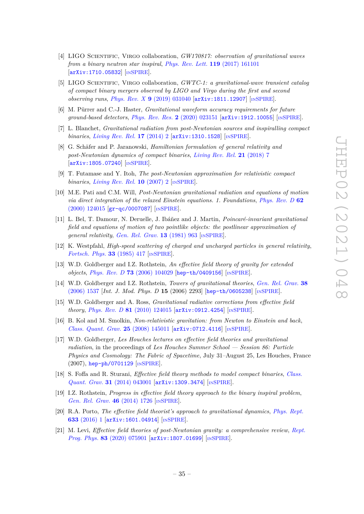- [4] LIGO Scientific, Virgo collaboration, *GW170817: observation of gravitational waves from a binary neutron star inspiral*, *[Phys. Rev. Lett.](https://doi.org/10.1103/PhysRevLett.119.161101)* **119** (2017) 161101 [[arXiv:1710.05832](https://arxiv.org/abs/1710.05832)] [IN[SPIRE](https://inspirehep.net/search?p=find+EPRINT%2BarXiv%3A1710.05832)].
- <span id="page-35-0"></span>[5] LIGO Scientific, Virgo collaboration, *GWTC-1: a gravitational-wave transient catalog of compact binary mergers observed by LIGO and Virgo during the first and second observing runs*, *Phys. Rev. X* **9** [\(2019\) 031040](https://doi.org/10.1103/PhysRevX.9.031040) [[arXiv:1811.12907](https://arxiv.org/abs/1811.12907)] [IN[SPIRE](https://inspirehep.net/search?p=find+EPRINT%2BarXiv%3A1811.12907)].
- <span id="page-35-1"></span>[6] M. Pürrer and C.-J. Haster, *Gravitational waveform accuracy requirements for future ground-based detectors*, *[Phys. Rev. Res.](https://doi.org/10.1103/PhysRevResearch.2.023151)* **2** (2020) 023151 [[arXiv:1912.10055](https://arxiv.org/abs/1912.10055)] [IN[SPIRE](https://inspirehep.net/search?p=find+EPRINT%2BarXiv%3A1912.10055)].
- <span id="page-35-2"></span>[7] L. Blanchet, *Gravitational radiation from post-Newtonian sources and inspiralling compact binaries*, *[Living Rev. Rel.](https://doi.org/10.12942/lrr-2014-2)* **17** (2014) 2 [[arXiv:1310.1528](https://arxiv.org/abs/1310.1528)] [IN[SPIRE](https://inspirehep.net/search?p=find+EPRINT%2BarXiv%3A1310.1528)].
- <span id="page-35-9"></span>[8] G. Schäfer and P. Jaranowski, *Hamiltonian formulation of general relativity and post-Newtonian dynamics of compact binaries*, *[Living Rev. Rel.](https://doi.org/10.1007/s41114-018-0016-5)* **21** (2018) 7 [[arXiv:1805.07240](https://arxiv.org/abs/1805.07240)] [IN[SPIRE](https://inspirehep.net/search?p=find+EPRINT%2BarXiv%3A1805.07240)].
- [9] T. Futamase and Y. Itoh, *The post-Newtonian approximation for relativistic compact binaries*, *[Living Rev. Rel.](https://doi.org/10.12942/lrr-2007-2)* **10** (2007) 2 [IN[SPIRE](https://inspirehep.net/search?p=find+J%20%22Living%20Rev.Rel.%2C10%2C2%22)].
- [10] M.E. Pati and C.M. Will, *Post-Newtonian gravitational radiation and equations of motion via direct integration of the relaxed Einstein equations. 1. Foundations*, *[Phys. Rev. D](https://doi.org/10.1103/PhysRevD.62.124015)* **62** [\(2000\) 124015](https://doi.org/10.1103/PhysRevD.62.124015) [[gr-qc/0007087](https://arxiv.org/abs/gr-qc/0007087)] [IN[SPIRE](https://inspirehep.net/search?p=find+EPRINT%2Bgr-qc%2F0007087)].
- <span id="page-35-10"></span>[11] L. Bel, T. Damour, N. Deruelle, J. Ibáñez and J. Martin, *Poincaré-invariant gravitational field and equations of motion of two pointlike objects: the postlinear approximation of general relativity*, *[Gen. Rel. Grav.](https://doi.org/10.1007/BF00756073)* **13** (1981) 963 [IN[SPIRE](https://inspirehep.net/search?p=find+J%20%22Gen.Rel.Grav.%2C13%2C963%22)].
- <span id="page-35-3"></span>[12] K. Westpfahl, *High-speed scattering of charged and uncharged particles in general relativity*, *[Fortsch. Phys.](https://doi.org/10.1002/prop.2190330802)* **33** (1985) 417 [IN[SPIRE](https://inspirehep.net/search?p=find+J%20%22Fortsch.Phys.%2C33%2C417%22)].
- <span id="page-35-4"></span>[13] W.D. Goldberger and I.Z. Rothstein, *An effective field theory of gravity for extended objects*, *Phys. Rev. D* **73** [\(2006\) 104029](https://doi.org/10.1103/PhysRevD.73.104029) [[hep-th/0409156](https://arxiv.org/abs/hep-th/0409156)] [IN[SPIRE](https://inspirehep.net/search?p=find+EPRINT%2Bhep-th%2F0409156)].
- [14] W.D. Goldberger and I.Z. Rothstein, *Towers of gravitational theories*, *[Gen. Rel. Grav.](https://doi.org/10.1142/S0218271806009698)* **38** [\(2006\) 1537](https://doi.org/10.1142/S0218271806009698) [*Int. J. Mod. Phys. D* **15** (2006) 2293] [[hep-th/0605238](https://arxiv.org/abs/hep-th/0605238)] [IN[SPIRE](https://inspirehep.net/search?p=find+EPRINT%2Bhep-th%2F0605238)].
- <span id="page-35-5"></span>[15] W.D. Goldberger and A. Ross, *Gravitational radiative corrections from effective field theory*, *Phys. Rev. D* **81** [\(2010\) 124015](https://doi.org/10.1103/PhysRevD.81.124015) [[arXiv:0912.4254](https://arxiv.org/abs/0912.4254)] [IN[SPIRE](https://inspirehep.net/search?p=find+EPRINT%2BarXiv%3A0912.4254)].
- <span id="page-35-6"></span>[16] B. Kol and M. Smolkin, *Non-relativistic gravitation: from Newton to Einstein and back*, *[Class. Quant. Grav.](https://doi.org/10.1088/0264-9381/25/14/145011)* **25** (2008) 145011 [[arXiv:0712.4116](https://arxiv.org/abs/0712.4116)] [IN[SPIRE](https://inspirehep.net/search?p=find+EPRINT%2BarXiv%3A0712.4116)].
- <span id="page-35-7"></span>[17] W.D. Goldberger, *Les Houches lectures on effective field theories and gravitational radiation*, in the proceedings of *Les Houches Summer School — Session 86: Particle Physics and Cosmology: The Fabric of Spacetime*, July 31–August 25, Les Houches, France (2007), [hep-ph/0701129](https://arxiv.org/abs/hep-ph/0701129) [IN[SPIRE](https://inspirehep.net/search?p=find+EPRINT%2Bhep-ph%2F0701129)].
- [18] S. Foffa and R. Sturani, *Effective field theory methods to model compact binaries*, *[Class.](https://doi.org/10.1088/0264-9381/31/4/043001) Quant. Grav.* **31** [\(2014\) 043001](https://doi.org/10.1088/0264-9381/31/4/043001) [[arXiv:1309.3474](https://arxiv.org/abs/1309.3474)] [IN[SPIRE](https://inspirehep.net/search?p=find+EPRINT%2BarXiv%3A1309.3474)].
- [19] I.Z. Rothstein, *Progress in effective field theory approach to the binary inspiral problem*, *[Gen. Rel. Grav.](https://doi.org/10.1007/s10714-014-1726-y)* **46** (2014) 1726 [IN[SPIRE](https://inspirehep.net/search?p=find+J%20%22Gen.Rel.Grav.%2C46%2C1726%22)].
- <span id="page-35-11"></span>[20] R.A. Porto, *The effective field theorist's approach to gravitational dynamics*, *[Phys. Rept.](https://doi.org/10.1016/j.physrep.2016.04.003)* **633** [\(2016\) 1](https://doi.org/10.1016/j.physrep.2016.04.003) [[arXiv:1601.04914](https://arxiv.org/abs/1601.04914)] [IN[SPIRE](https://inspirehep.net/search?p=find+EPRINT%2BarXiv%3A1601.04914)].
- <span id="page-35-8"></span>[21] M. Levi, *Effective field theories of post-Newtonian gravity: a comprehensive review*, *[Rept.](https://doi.org/10.1088/1361-6633/ab12bc) Prog. Phys.* **83** [\(2020\) 075901](https://doi.org/10.1088/1361-6633/ab12bc) [[arXiv:1807.01699](https://arxiv.org/abs/1807.01699)] [IN[SPIRE](https://inspirehep.net/search?p=find+EPRINT%2BarXiv%3A1807.01699)].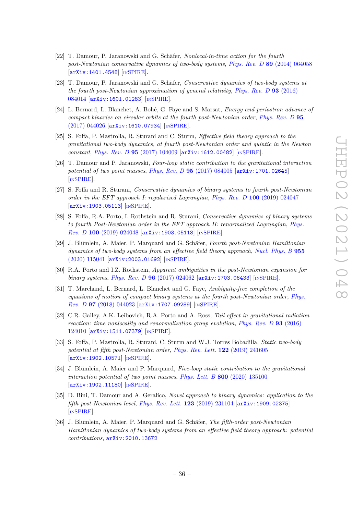- <span id="page-36-0"></span>[22] T. Damour, P. Jaranowski and G. Schäfer, *Nonlocal-in-time action for the fourth post-Newtonian conservative dynamics of two-body systems*, *Phys. Rev. D* **89** [\(2014\) 064058](https://doi.org/10.1103/PhysRevD.89.064058) [[arXiv:1401.4548](https://arxiv.org/abs/1401.4548)] [IN[SPIRE](https://inspirehep.net/search?p=find+EPRINT%2BarXiv%3A1401.4548)].
- [23] T. Damour, P. Jaranowski and G. Schäfer, *Conservative dynamics of two-body systems at the fourth post-Newtonian approximation of general relativity*, *[Phys. Rev. D](https://doi.org/10.1103/PhysRevD.93.084014)* **93** (2016) [084014](https://doi.org/10.1103/PhysRevD.93.084014) [[arXiv:1601.01283](https://arxiv.org/abs/1601.01283)] [IN[SPIRE](https://inspirehep.net/search?p=find+EPRINT%2BarXiv%3A1601.01283)].
- [24] L. Bernard, L. Blanchet, A. Bohé, G. Faye and S. Marsat, *Energy and periastron advance of compact binaries on circular orbits at the fourth post-Newtonian order*, *[Phys. Rev. D](https://doi.org/10.1103/PhysRevD.95.044026)* **95** [\(2017\) 044026](https://doi.org/10.1103/PhysRevD.95.044026) [[arXiv:1610.07934](https://arxiv.org/abs/1610.07934)] [IN[SPIRE](https://inspirehep.net/search?p=find+EPRINT%2BarXiv%3A1610.07934)].
- [25] S. Foffa, P. Mastrolia, R. Sturani and C. Sturm, *Effective field theory approach to the gravitational two-body dynamics, at fourth post-Newtonian order and quintic in the Newton constant*, *Phys. Rev. D* **95** [\(2017\) 104009](https://doi.org/10.1103/PhysRevD.95.104009) [[arXiv:1612.00482](https://arxiv.org/abs/1612.00482)] [IN[SPIRE](https://inspirehep.net/search?p=find+EPRINT%2BarXiv%3A1612.00482)].
- [26] T. Damour and P. Jaranowski, *Four-loop static contribution to the gravitational interaction potential of two point masses*, *Phys. Rev. D* **95** [\(2017\) 084005](https://doi.org/10.1103/PhysRevD.95.084005) [[arXiv:1701.02645](https://arxiv.org/abs/1701.02645)] [IN[SPIRE](https://inspirehep.net/search?p=find+EPRINT%2BarXiv%3A1701.02645)].
- [27] S. Foffa and R. Sturani, *Conservative dynamics of binary systems to fourth post-Newtonian order in the EFT approach I: regularized Lagrangian*, *Phys. Rev. D* **100** [\(2019\) 024047](https://doi.org/10.1103/PhysRevD.100.024047) [[arXiv:1903.05113](https://arxiv.org/abs/1903.05113)] [IN[SPIRE](https://inspirehep.net/search?p=find+EPRINT%2BarXiv%3A1903.05113)].
- <span id="page-36-4"></span>[28] S. Foffa, R.A. Porto, I. Rothstein and R. Sturani, *Conservative dynamics of binary systems to fourth Post-Newtonian order in the EFT approach II: renormalized Lagrangian*, *[Phys.](https://doi.org/10.1103/PhysRevD.100.024048) Rev. D* **100** [\(2019\) 024048](https://doi.org/10.1103/PhysRevD.100.024048) [[arXiv:1903.05118](https://arxiv.org/abs/1903.05118)] [IN[SPIRE](https://inspirehep.net/search?p=find+EPRINT%2BarXiv%3A1903.05118)].
- [29] J. Blümlein, A. Maier, P. Marquard and G. Schäfer, *Fourth post-Newtonian Hamiltonian dynamics of two-body systems from an effective field theory approach*, *[Nucl. Phys. B](https://doi.org/10.1016/j.nuclphysb.2020.115041)* **955** [\(2020\) 115041](https://doi.org/10.1016/j.nuclphysb.2020.115041) [[arXiv:2003.01692](https://arxiv.org/abs/2003.01692)] [IN[SPIRE](https://inspirehep.net/search?p=find+EPRINT%2BarXiv%3A2003.01692)].
- [30] R.A. Porto and I.Z. Rothstein, *Apparent ambiguities in the post-Newtonian expansion for binary systems*, *Phys. Rev. D* 96 [\(2017\) 024062](https://doi.org/10.1103/PhysRevD.96.024062) [[arXiv:1703.06433](https://arxiv.org/abs/1703.06433)] [IN[SPIRE](https://inspirehep.net/search?p=find+EPRINT%2BarXiv%3A1703.06433)].
- [31] T. Marchand, L. Bernard, L. Blanchet and G. Faye, *Ambiguity-free completion of the equations of motion of compact binary systems at the fourth post-Newtonian order*, *[Phys.](https://doi.org/10.1103/PhysRevD.97.044023) Rev. D* **97** [\(2018\) 044023](https://doi.org/10.1103/PhysRevD.97.044023) [[arXiv:1707.09289](https://arxiv.org/abs/1707.09289)] [IN[SPIRE](https://inspirehep.net/search?p=find+EPRINT%2BarXiv%3A1707.09289)].
- <span id="page-36-1"></span>[32] C.R. Galley, A.K. Leibovich, R.A. Porto and A. Ross, *Tail effect in gravitational radiation reaction: time nonlocality and renormalization group evolution*, *[Phys. Rev. D](https://doi.org/10.1103/PhysRevD.93.124010)* **93** (2016) [124010](https://doi.org/10.1103/PhysRevD.93.124010) [[arXiv:1511.07379](https://arxiv.org/abs/1511.07379)] [IN[SPIRE](https://inspirehep.net/search?p=find+EPRINT%2BarXiv%3A1511.07379)].
- <span id="page-36-2"></span>[33] S. Foffa, P. Mastrolia, R. Sturani, C. Sturm and W.J. Torres Bobadilla, *Static two-body potential at fifth post-Newtonian order*, *[Phys. Rev. Lett.](https://doi.org/10.1103/PhysRevLett.122.241605)* **122** (2019) 241605 [[arXiv:1902.10571](https://arxiv.org/abs/1902.10571)] [IN[SPIRE](https://inspirehep.net/search?p=find+EPRINT%2BarXiv%3A1902.10571)].
- [34] J. Blümlein, A. Maier and P. Marquard, *Five-loop static contribution to the gravitational interaction potential of two point masses*, *Phys. Lett. B* **800** [\(2020\) 135100](https://doi.org/10.1016/j.physletb.2019.135100) [[arXiv:1902.11180](https://arxiv.org/abs/1902.11180)] [IN[SPIRE](https://inspirehep.net/search?p=find+EPRINT%2BarXiv%3A1902.11180)].
- [35] D. Bini, T. Damour and A. Geralico, *Novel approach to binary dynamics: application to the fifth post-Newtonian level*, *[Phys. Rev. Lett.](https://doi.org/10.1103/PhysRevLett.123.231104)* **123** (2019) 231104 [[arXiv:1909.02375](https://arxiv.org/abs/1909.02375)] [IN[SPIRE](https://inspirehep.net/search?p=find+EPRINT%2BarXiv%3A1909.02375)].
- <span id="page-36-3"></span>[36] J. Blümlein, A. Maier, P. Marquard and G. Schäfer, *The fifth-order post-Newtonian Hamiltonian dynamics of two-body systems from an effective field theory approach: potential contributions*, [arXiv:2010.13672](https://arxiv.org/abs/2010.13672)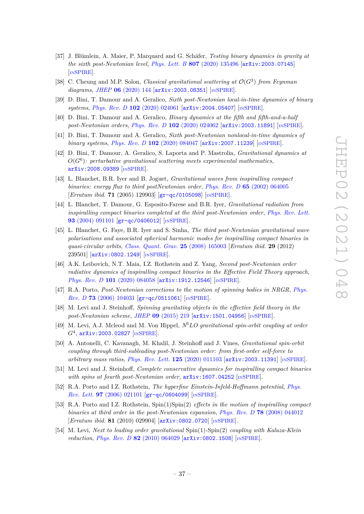- <span id="page-37-0"></span>[37] J. Blümlein, A. Maier, P. Marquard and G. Schäfer, *Testing binary dynamics in gravity at the sixth post-Newtonian level*, *Phys. Lett. B* **807** [\(2020\) 135496](https://doi.org/10.1016/j.physletb.2020.135496) [[arXiv:2003.07145](https://arxiv.org/abs/2003.07145)] [IN[SPIRE](https://inspirehep.net/search?p=find+EPRINT%2BarXiv%3A2003.07145)].
- <span id="page-37-10"></span>[38] C. Cheung and M.P. Solon, *Classical gravitational scattering at*  $\mathcal{O}(G^3)$  *from Feynman diagrams*, *JHEP* **06** [\(2020\) 144](https://doi.org/10.1007/JHEP06(2020)144) [[arXiv:2003.08351](https://arxiv.org/abs/2003.08351)] [IN[SPIRE](https://inspirehep.net/search?p=find+EPRINT%2BarXiv%3A2003.08351)].
- [39] D. Bini, T. Damour and A. Geralico, *Sixth post-Newtonian local-in-time dynamics of binary systems*, *Phys. Rev. D* **102** [\(2020\) 024061](https://doi.org/10.1103/PhysRevD.102.024061) [[arXiv:2004.05407](https://arxiv.org/abs/2004.05407)] [IN[SPIRE](https://inspirehep.net/search?p=find+EPRINT%2BarXiv%3A2004.05407)].
- [40] D. Bini, T. Damour and A. Geralico, *Binary dynamics at the fifth and fifth-and-a-half post-Newtonian orders*, *Phys. Rev. D* **102** [\(2020\) 024062](https://doi.org/10.1103/PhysRevD.102.024062) [[arXiv:2003.11891](https://arxiv.org/abs/2003.11891)] [IN[SPIRE](https://inspirehep.net/search?p=find+EPRINT%2BarXiv%3A2003.11891)].
- [41] D. Bini, T. Damour and A. Geralico, *Sixth post-Newtonian nonlocal-in-time dynamics of binary systems*, *Phys. Rev. D* **102** [\(2020\) 084047](https://doi.org/10.1103/PhysRevD.102.084047) [[arXiv:2007.11239](https://arxiv.org/abs/2007.11239)] [IN[SPIRE](https://inspirehep.net/search?p=find+EPRINT%2BarXiv%3A2007.11239)].
- <span id="page-37-1"></span>[42] D. Bini, T. Damour, A. Geralico, S. Laporta and P. Mastrolia, *Gravitational dynamics at*  $O(G^6)$ : perturbative gravitational scattering meets experimental mathematics, [arXiv:2008.09389](https://arxiv.org/abs/2008.09389) [IN[SPIRE](https://inspirehep.net/search?p=find+EPRINT%2BarXiv%3A2008.09389)].
- <span id="page-37-2"></span>[43] L. Blanchet, B.R. Iyer and B. Joguet, *Gravitational waves from inspiralling compact binaries: energy flux to third postNewtonian order*, *Phys. Rev. D* **65** [\(2002\) 064005](https://doi.org/10.1103/PhysRevD.65.064005) [*Erratum ibid.* **71** (2005) 129903] [[gr-qc/0105098](https://arxiv.org/abs/gr-qc/0105098)] [IN[SPIRE](https://inspirehep.net/search?p=find+EPRINT%2Bgr-qc%2F0105098)].
- [44] L. Blanchet, T. Damour, G. Esposito-Farese and B.R. Iyer, *Gravitational radiation from inspiralling compact binaries completed at the third post-Newtonian order*, *[Phys. Rev. Lett.](https://doi.org/10.1103/PhysRevLett.93.091101)* **93** [\(2004\) 091101](https://doi.org/10.1103/PhysRevLett.93.091101) [[gr-qc/0406012](https://arxiv.org/abs/gr-qc/0406012)] [IN[SPIRE](https://inspirehep.net/search?p=find+EPRINT%2Bgr-qc%2F0406012)].
- <span id="page-37-3"></span>[45] L. Blanchet, G. Faye, B.R. Iyer and S. Sinha, *The third post-Newtonian gravitational wave polarisations and associated spherical harmonic modes for inspiralling compact binaries in quasi-circular orbits*, *[Class. Quant. Grav.](https://doi.org/10.1088/0264-9381/25/16/165003)* **25** (2008) 165003 [*Erratum ibid.* **29** (2012) 239501] [[arXiv:0802.1249](https://arxiv.org/abs/0802.1249)] [IN[SPIRE](https://inspirehep.net/search?p=find+EPRINT%2BarXiv%3A0802.1249)].
- <span id="page-37-4"></span>[46] A.K. Leibovich, N.T. Maia, I.Z. Rothstein and Z. Yang, *Second post-Newtonian order radiative dynamics of inspiralling compact binaries in the Effective Field Theory approach*, *Phys. Rev. D* **101** [\(2020\) 084058](https://doi.org/10.1103/PhysRevD.101.084058) [[arXiv:1912.12546](https://arxiv.org/abs/1912.12546)] [IN[SPIRE](https://inspirehep.net/search?p=find+EPRINT%2BarXiv%3A1912.12546)].
- <span id="page-37-5"></span>[47] R.A. Porto, *Post-Newtonian corrections to the motion of spinning bodies in NRGR*, *[Phys.](https://doi.org/10.1103/PhysRevD.73.104031) Rev. D* **73** [\(2006\) 104031](https://doi.org/10.1103/PhysRevD.73.104031) [[gr-qc/0511061](https://arxiv.org/abs/gr-qc/0511061)] [IN[SPIRE](https://inspirehep.net/search?p=find+EPRINT%2Bgr-qc%2F0511061)].
- <span id="page-37-6"></span>[48] M. Levi and J. Steinhoff, *Spinning gravitating objects in the effective field theory in the post-Newtonian scheme*, *JHEP* **09** [\(2015\) 219](https://doi.org/10.1007/JHEP09(2015)219) [[arXiv:1501.04956](https://arxiv.org/abs/1501.04956)] [IN[SPIRE](https://inspirehep.net/search?p=find+EPRINT%2BarXiv%3A1501.04956)].
- <span id="page-37-7"></span>[49] M. Levi, A.J. Mcleod and M. Von Hippel, *N*<sup>3</sup>*LO gravitational spin-orbit coupling at order*  $G^4$ ,  $\mathtt{arXiv:}$  2003.02827 [IN[SPIRE](https://inspirehep.net/search?p=find+EPRINT%2BarXiv%3A2003.02827)].
- [50] A. Antonelli, C. Kavanagh, M. Khalil, J. Steinhoff and J. Vines, *Gravitational spin-orbit coupling through third-subleading post-Newtonian order: from first-order self-force to arbitrary mass ratios*, *[Phys. Rev. Lett.](https://doi.org/10.1103/PhysRevLett.125.011103)* **125** (2020) 011103 [[arXiv:2003.11391](https://arxiv.org/abs/2003.11391)] [IN[SPIRE](https://inspirehep.net/search?p=find+EPRINT%2BarXiv%3A2003.11391)].
- <span id="page-37-8"></span>[51] M. Levi and J. Steinhoff, *Complete conservative dynamics for inspiralling compact binaries with spins at fourth post-Newtonian order*,  $arXiv:1607.04252$  [IN[SPIRE](https://inspirehep.net/search?p=find+EPRINT%2BarXiv%3A1607.04252)].
- <span id="page-37-9"></span>[52] R.A. Porto and I.Z. Rothstein, *The hyperfine Einstein-Infeld-Hoffmann potential*, *[Phys.](https://doi.org/10.1103/PhysRevLett.97.021101) Rev. Lett.* **97** [\(2006\) 021101](https://doi.org/10.1103/PhysRevLett.97.021101) [[gr-qc/0604099](https://arxiv.org/abs/gr-qc/0604099)] [IN[SPIRE](https://inspirehep.net/search?p=find+EPRINT%2Bgr-qc%2F0604099)].
- [53] R.A. Porto and I.Z. Rothstein, Spin(1)Spin(2) *effects in the motion of inspiralling compact binaries at third order in the post-Newtonian expansion*, *Phys. Rev. D* **78** [\(2008\) 044012](https://doi.org/10.1103/PhysRevD.78.044012) [*Erratum ibid.* **81** (2010) 029904] [[arXiv:0802.0720](https://arxiv.org/abs/0802.0720)] [IN[SPIRE](https://inspirehep.net/search?p=find+EPRINT%2BarXiv%3A0802.0720)].
- [54] M. Levi, *Next to leading order gravitational* Spin(1)*-*Spin(2) *coupling with Kaluza-Klein reduction, Phys. Rev. D* **82** [\(2010\) 064029](https://doi.org/10.1103/PhysRevD.82.064029) [[arXiv:0802.1508](https://arxiv.org/abs/0802.1508)] [IN[SPIRE](https://inspirehep.net/search?p=find+EPRINT%2BarXiv%3A0802.1508)].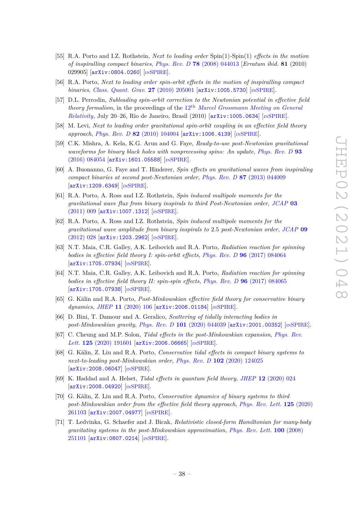- [55] R.A. Porto and I.Z. Rothstein, *Next to leading order* Spin(1)*-*Spin(1) *effects in the motion of inspiralling compact binaries*, *Phys. Rev. D* **78** [\(2008\) 044013](https://doi.org/10.1103/PhysRevD.78.044013) [*Erratum ibid.* **81** (2010) 029905] [[arXiv:0804.0260](https://arxiv.org/abs/0804.0260)] [IN[SPIRE](https://inspirehep.net/search?p=find+EPRINT%2BarXiv%3A0804.0260)].
- [56] R.A. Porto, *Next to leading order spin-orbit effects in the motion of inspiralling compact binaries*, *[Class. Quant. Grav.](https://doi.org/10.1088/0264-9381/27/20/205001)* **27** (2010) 205001 [[arXiv:1005.5730](https://arxiv.org/abs/1005.5730)] [IN[SPIRE](https://inspirehep.net/search?p=find+EPRINT%2BarXiv%3A1005.5730)].
- [57] D.L. Perrodin, *Subleading spin-orbit correction to the Newtonian potential in effective field theory formalism*, in the proceedings of the 12<sup>th</sup> *[Marcel Grossmann Meeting on General](https://doi.org/10.1142/9789814374552_0041) [Relativity](https://doi.org/10.1142/9789814374552_0041)*, July 20–26, Rio de Janeiro, Brasil (2010) [[arXiv:1005.0634](https://arxiv.org/abs/1005.0634)] [IN[SPIRE](https://inspirehep.net/search?p=find+EPRINT%2BarXiv%3A1005.0634)].
- <span id="page-38-0"></span>[58] M. Levi, *Next to leading order gravitational spin-orbit coupling in an effective field theory approach*, *Phys. Rev. D* **82** [\(2010\) 104004](https://doi.org/10.1103/PhysRevD.82.104004) [[arXiv:1006.4139](https://arxiv.org/abs/1006.4139)] [IN[SPIRE](https://inspirehep.net/search?p=find+EPRINT%2BarXiv%3A1006.4139)].
- <span id="page-38-1"></span>[59] C.K. Mishra, A. Kela, K.G. Arun and G. Faye, *Ready-to-use post-Newtonian gravitational waveforms for binary black holes with nonprecessing spins: An update*, *[Phys. Rev. D](https://doi.org/10.1103/PhysRevD.93.084054)* **93** [\(2016\) 084054](https://doi.org/10.1103/PhysRevD.93.084054) [[arXiv:1601.05588](https://arxiv.org/abs/1601.05588)] [IN[SPIRE](https://inspirehep.net/search?p=find+EPRINT%2BarXiv%3A1601.05588)].
- [60] A. Buonanno, G. Faye and T. Hinderer, *Spin effects on gravitational waves from inspiraling compact binaries at second post-Newtonian order*, *Phys. Rev. D* **87** [\(2013\) 044009](https://doi.org/10.1103/PhysRevD.87.044009) [[arXiv:1209.6349](https://arxiv.org/abs/1209.6349)] [IN[SPIRE](https://inspirehep.net/search?p=find+EPRINT%2BarXiv%3A1209.6349)].
- [61] R.A. Porto, A. Ross and I.Z. Rothstein, *Spin induced multipole moments for the gravitational wave flux from binary inspirals to third Post-Newtonian order*, *[JCAP](https://doi.org/10.1088/1475-7516/2011/03/009)* **03** [\(2011\) 009](https://doi.org/10.1088/1475-7516/2011/03/009) [[arXiv:1007.1312](https://arxiv.org/abs/1007.1312)] [IN[SPIRE](https://inspirehep.net/search?p=find+EPRINT%2BarXiv%3A1007.1312)].
- [62] R.A. Porto, A. Ross and I.Z. Rothstein, *Spin induced multipole moments for the gravitational wave amplitude from binary inspirals to* 2*.*5 *post-Newtonian order*, *[JCAP](https://doi.org/10.1088/1475-7516/2012/09/028)* **09** [\(2012\) 028](https://doi.org/10.1088/1475-7516/2012/09/028) [[arXiv:1203.2962](https://arxiv.org/abs/1203.2962)] [IN[SPIRE](https://inspirehep.net/search?p=find+EPRINT%2BarXiv%3A1203.2962)].
- [63] N.T. Maia, C.R. Galley, A.K. Leibovich and R.A. Porto, *Radiation reaction for spinning bodies in effective field theory I: spin-orbit effects*, *Phys. Rev. D* **96** [\(2017\) 084064](https://doi.org/10.1103/PhysRevD.96.084064) [[arXiv:1705.07934](https://arxiv.org/abs/1705.07934)] [IN[SPIRE](https://inspirehep.net/search?p=find+EPRINT%2BarXiv%3A1705.07934)].
- <span id="page-38-2"></span>[64] N.T. Maia, C.R. Galley, A.K. Leibovich and R.A. Porto, *Radiation reaction for spinning bodies in effective field theory II: spin-spin effects*, *Phys. Rev. D* **96** [\(2017\) 084065](https://doi.org/10.1103/PhysRevD.96.084065)  $\left[\text{arXiv}:1705.07938\right]$   $\left[\text{nSPIRE}\right]$  $\left[\text{nSPIRE}\right]$  $\left[\text{nSPIRE}\right]$ .
- <span id="page-38-3"></span>[65] G. Kälin and R.A. Porto, *Post-Minkowskian effective field theory for conservative binary dynamics*, *JHEP* **11** [\(2020\) 106](https://doi.org/10.1007/JHEP11(2020)106) [[arXiv:2006.01184](https://arxiv.org/abs/2006.01184)] [IN[SPIRE](https://inspirehep.net/search?p=find+EPRINT%2BarXiv%3A2006.01184)].
- <span id="page-38-4"></span>[66] D. Bini, T. Damour and A. Geralico, *Scattering of tidally interacting bodies in post-Minkowskian gravity*, *Phys. Rev. D* **101** [\(2020\) 044039](https://doi.org/10.1103/PhysRevD.101.044039) [[arXiv:2001.00352](https://arxiv.org/abs/2001.00352)] [IN[SPIRE](https://inspirehep.net/search?p=find+EPRINT%2BarXiv%3A2001.00352)].
- [67] C. Cheung and M.P. Solon, *Tidal effects in the post-Minkowskian expansion*, *[Phys. Rev.](https://doi.org/10.1103/PhysRevLett.125.191601) Lett.* **125** [\(2020\) 191601](https://doi.org/10.1103/PhysRevLett.125.191601) [[arXiv:2006.06665](https://arxiv.org/abs/2006.06665)] [IN[SPIRE](https://inspirehep.net/search?p=find+EPRINT%2BarXiv%3A2006.06665)].
- [68] G. Kälin, Z. Liu and R.A. Porto, *Conservative tidal effects in compact binary systems to next-to-leading post-Minkowskian order*, *Phys. Rev. D* **102** [\(2020\) 124025](https://doi.org/10.1103/PhysRevD.102.124025) [[arXiv:2008.06047](https://arxiv.org/abs/2008.06047)] [IN[SPIRE](https://inspirehep.net/search?p=find+EPRINT%2BarXiv%3A2008.06047)].
- <span id="page-38-5"></span>[69] K. Haddad and A. Helset, *Tidal effects in quantum field theory*, *JHEP* **12** [\(2020\) 024](https://doi.org/10.1007/JHEP12(2020)024) [[arXiv:2008.04920](https://arxiv.org/abs/2008.04920)] [IN[SPIRE](https://inspirehep.net/search?p=find+EPRINT%2BarXiv%3A2008.04920)].
- <span id="page-38-6"></span>[70] G. Kälin, Z. Liu and R.A. Porto, *Conservative dynamics of binary systems to third post-Minkowskian order from the effective field theory approach*, *[Phys. Rev. Lett.](https://doi.org/10.1103/PhysRevLett.125.261103)* **125** (2020) [261103](https://doi.org/10.1103/PhysRevLett.125.261103) [[arXiv:2007.04977](https://arxiv.org/abs/2007.04977)] [IN[SPIRE](https://inspirehep.net/search?p=find+EPRINT%2BarXiv%3A2007.04977)].
- <span id="page-38-7"></span>[71] T. Ledvinka, G. Schaefer and J. Bicak, *Relativistic closed-form Hamiltonian for many-body gravitating systems in the post-Minkowskian approximation*, *[Phys. Rev. Lett.](https://doi.org/10.1103/PhysRevLett.100.251101)* **100** (2008) [251101](https://doi.org/10.1103/PhysRevLett.100.251101) [[arXiv:0807.0214](https://arxiv.org/abs/0807.0214)] [IN[SPIRE](https://inspirehep.net/search?p=find+EPRINT%2BarXiv%3A0807.0214)].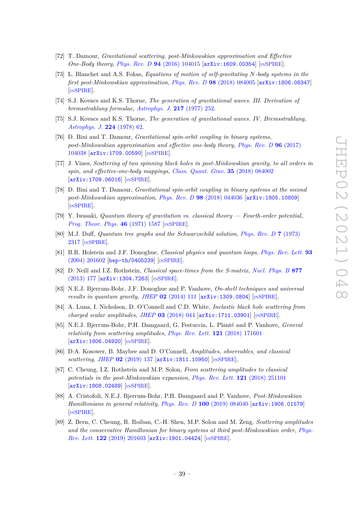- [72] T. Damour, *Gravitational scattering, post-Minkowskian approximation and Effective One-Body theory*, *Phys. Rev. D* **94** [\(2016\) 104015](https://doi.org/10.1103/PhysRevD.94.104015) [[arXiv:1609.00354](https://arxiv.org/abs/1609.00354)] [IN[SPIRE](https://inspirehep.net/search?p=find+EPRINT%2BarXiv%3A1609.00354)].
- <span id="page-39-0"></span>[73] L. Blanchet and A.S. Fokas, *Equations of motion of self-gravitating N-body systems in the first post-Minkowskian approximation*, *Phys. Rev. D* **98** [\(2018\) 084005](https://doi.org/10.1103/PhysRevD.98.084005) [[arXiv:1806.08347](https://arxiv.org/abs/1806.08347)] [IN[SPIRE](https://inspirehep.net/search?p=find+EPRINT%2BarXiv%3A1806.08347)].
- <span id="page-39-1"></span>[74] S.J. Kovacs and K.S. Thorne, *The generation of gravitational waves. III. Derivation of bremsstrahlung formulae*, *[Astrophys. J.](https://doi.org/10.1086/155576)* **217** (1977) 252.
- <span id="page-39-2"></span>[75] S.J. Kovacs and K.S. Thorne, *The generation of gravitational waves. IV. Bremsstrahlung*, *[Astrophys. J.](https://doi.org/10.1086/156350)* **224** (1978) 62.
- <span id="page-39-3"></span>[76] D. Bini and T. Damour, *Gravitational spin-orbit coupling in binary systems, post-Minkowskian approximation and effective one-body theory*, *[Phys. Rev. D](https://doi.org/10.1103/PhysRevD.96.104038)* **96** (2017) [104038](https://doi.org/10.1103/PhysRevD.96.104038) [[arXiv:1709.00590](https://arxiv.org/abs/1709.00590)] [IN[SPIRE](https://inspirehep.net/search?p=find+EPRINT%2BarXiv%3A1709.00590)].
- [77] J. Vines, *Scattering of two spinning black holes in post-Minkowskian gravity, to all orders in spin, and effective-one-body mappings*, *[Class. Quant. Grav.](https://doi.org/10.1088/1361-6382/aaa3a8)* **35** (2018) 084002 [[arXiv:1709.06016](https://arxiv.org/abs/1709.06016)] [IN[SPIRE](https://inspirehep.net/search?p=find+EPRINT%2BarXiv%3A1709.06016)].
- <span id="page-39-4"></span>[78] D. Bini and T. Damour, *Gravitational spin-orbit coupling in binary systems at the second post-Minkowskian approximation*, *Phys. Rev. D* **98** [\(2018\) 044036](https://doi.org/10.1103/PhysRevD.98.044036) [[arXiv:1805.10809](https://arxiv.org/abs/1805.10809)] [IN[SPIRE](https://inspirehep.net/search?p=find+EPRINT%2BarXiv%3A1805.10809)].
- <span id="page-39-5"></span>[79] Y. Iwasaki, *Quantum theory of gravitation vs. classical theory — Fourth-order potential*, *[Prog. Theor. Phys.](https://doi.org/10.1143/PTP.46.1587)* **46** (1971) 1587 [IN[SPIRE](https://inspirehep.net/search?p=find+J%20%22Prog.Theor.Phys.%2C46%2C1587%22)].
- [80] M.J. Duff, *Quantum tree graphs and the Schwarzschild solution*, *[Phys. Rev. D](https://doi.org/10.1103/PhysRevD.7.2317)* **7** (1973) [2317](https://doi.org/10.1103/PhysRevD.7.2317) [IN[SPIRE](https://inspirehep.net/search?p=find+J%20%22Phys.Rev.%2CD7%2C2317%22)].
- <span id="page-39-6"></span>[81] B.R. Holstein and J.F. Donoghue, *Classical physics and quantum loops*, *[Phys. Rev. Lett.](https://doi.org/10.1103/PhysRevLett.93.201602)* **93** [\(2004\) 201602](https://doi.org/10.1103/PhysRevLett.93.201602) [[hep-th/0405239](https://arxiv.org/abs/hep-th/0405239)] [IN[SPIRE](https://inspirehep.net/search?p=find+EPRINT%2Bhep-th%2F0405239)].
- <span id="page-39-7"></span>[82] D. Neill and I.Z. Rothstein, *Classical space-times from the S-matrix*, *[Nucl. Phys. B](https://doi.org/10.1016/j.nuclphysb.2013.09.007)* **877** [\(2013\) 177](https://doi.org/10.1016/j.nuclphysb.2013.09.007) [[arXiv:1304.7263](https://arxiv.org/abs/1304.7263)] [IN[SPIRE](https://inspirehep.net/search?p=find+EPRINT%2BarXiv%3A1304.7263)].
- [83] N.E.J. Bjerrum-Bohr, J.F. Donoghue and P. Vanhove, *On-shell techniques and universal results in quantum gravity, JHEP* 02 [\(2014\) 111](https://doi.org/10.1007/JHEP02(2014)111) [[arXiv:1309.0804](https://arxiv.org/abs/1309.0804)] [IN[SPIRE](https://inspirehep.net/search?p=find+EPRINT%2BarXiv%3A1309.0804)].
- <span id="page-39-13"></span>[84] A. Luna, I. Nicholson, D. O'Connell and C.D. White, *Inelastic black hole scattering from charged scalar amplitudes*, *JHEP* **03** [\(2018\) 044](https://doi.org/10.1007/JHEP03(2018)044) [[arXiv:1711.03901](https://arxiv.org/abs/1711.03901)] [IN[SPIRE](https://inspirehep.net/search?p=find+EPRINT%2BarXiv%3A1711.03901)].
- <span id="page-39-9"></span>[85] N.E.J. Bjerrum-Bohr, P.H. Damgaard, G. Festuccia, L. Planté and P. Vanhove, *General relativity from scattering amplitudes*, *[Phys. Rev. Lett.](https://doi.org/10.1103/PhysRevLett.121.171601)* **121** (2018) 171601 [[arXiv:1806.04920](https://arxiv.org/abs/1806.04920)] [IN[SPIRE](https://inspirehep.net/search?p=find+EPRINT%2BarXiv%3A1806.04920)].
- <span id="page-39-8"></span>[86] D.A. Kosower, B. Maybee and D. O'Connell, *Amplitudes, observables, and classical scattering*, *JHEP* **02** [\(2019\) 137](https://doi.org/10.1007/JHEP02(2019)137) [[arXiv:1811.10950](https://arxiv.org/abs/1811.10950)] [IN[SPIRE](https://inspirehep.net/search?p=find+EPRINT%2BarXiv%3A1811.10950)].
- <span id="page-39-10"></span>[87] C. Cheung, I.Z. Rothstein and M.P. Solon, *From scattering amplitudes to classical potentials in the post-Minkowskian expansion*, *[Phys. Rev. Lett.](https://doi.org/10.1103/PhysRevLett.121.251101)* **121** (2018) 251101 [[arXiv:1808.02489](https://arxiv.org/abs/1808.02489)] [IN[SPIRE](https://inspirehep.net/search?p=find+EPRINT%2BarXiv%3A1808.02489)].
- <span id="page-39-11"></span>[88] A. Cristofoli, N.E.J. Bjerrum-Bohr, P.H. Damgaard and P. Vanhove, *Post-Minkowskian Hamiltonians in general relativity*, *Phys. Rev. D* **100** [\(2019\) 084040](https://doi.org/10.1103/PhysRevD.100.084040) [[arXiv:1906.01579](https://arxiv.org/abs/1906.01579)] [IN[SPIRE](https://inspirehep.net/search?p=find+EPRINT%2BarXiv%3A1906.01579)].
- <span id="page-39-12"></span>[89] Z. Bern, C. Cheung, R. Roiban, C.-H. Shen, M.P. Solon and M. Zeng, *Scattering amplitudes and the conservative Hamiltonian for binary systems at third post-Minkowskian order*, *[Phys.](https://doi.org/10.1103/PhysRevLett.122.201603) Rev. Lett.* **122** [\(2019\) 201603](https://doi.org/10.1103/PhysRevLett.122.201603) [[arXiv:1901.04424](https://arxiv.org/abs/1901.04424)] [IN[SPIRE](https://inspirehep.net/search?p=find+EPRINT%2BarXiv%3A1901.04424)].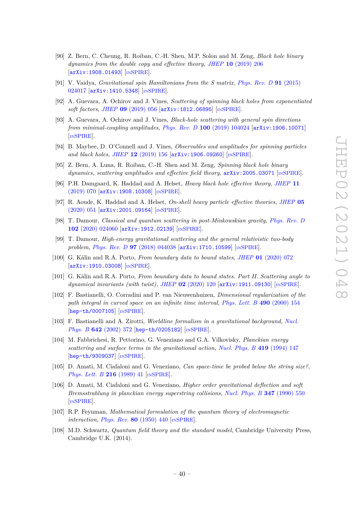- <span id="page-40-0"></span>[90] Z. Bern, C. Cheung, R. Roiban, C.-H. Shen, M.P. Solon and M. Zeng, *Black hole binary dynamics from the double copy and effective theory*, *JHEP* **10** [\(2019\) 206](https://doi.org/10.1007/JHEP10(2019)206) [[arXiv:1908.01493](https://arxiv.org/abs/1908.01493)] [IN[SPIRE](https://inspirehep.net/search?p=find+EPRINT%2BarXiv%3A1908.01493)].
- <span id="page-40-1"></span>[91] V. Vaidya, *Gravitational spin Hamiltonians from the S matrix*, *[Phys. Rev. D](https://doi.org/10.1103/PhysRevD.91.024017)* **91** (2015) [024017](https://doi.org/10.1103/PhysRevD.91.024017) [[arXiv:1410.5348](https://arxiv.org/abs/1410.5348)] [IN[SPIRE](https://inspirehep.net/search?p=find+EPRINT%2BarXiv%3A1410.5348)].
- <span id="page-40-15"></span>[92] A. Guevara, A. Ochirov and J. Vines, *Scattering of spinning black holes from exponentiated soft factors*, *JHEP* **09** [\(2019\) 056](https://doi.org/10.1007/JHEP09(2019)056) [[arXiv:1812.06895](https://arxiv.org/abs/1812.06895)] [IN[SPIRE](https://inspirehep.net/search?p=find+EPRINT%2BarXiv%3A1812.06895)].
- <span id="page-40-14"></span>[93] A. Guevara, A. Ochirov and J. Vines, *Black-hole scattering with general spin directions from minimal-coupling amplitudes*, *Phys. Rev. D* **100** [\(2019\) 104024](https://doi.org/10.1103/PhysRevD.100.104024) [[arXiv:1906.10071](https://arxiv.org/abs/1906.10071)] [IN[SPIRE](https://inspirehep.net/search?p=find+EPRINT%2BarXiv%3A1906.10071)].
- <span id="page-40-17"></span>[94] B. Maybee, D. O'Connell and J. Vines, *Observables and amplitudes for spinning particles and black holes*, *JHEP* **12** [\(2019\) 156](https://doi.org/10.1007/JHEP12(2019)156) [[arXiv:1906.09260](https://arxiv.org/abs/1906.09260)] [IN[SPIRE](https://inspirehep.net/search?p=find+EPRINT%2BarXiv%3A1906.09260)].
- <span id="page-40-16"></span>[95] Z. Bern, A. Luna, R. Roiban, C.-H. Shen and M. Zeng, *Spinning black hole binary dynamics, scattering amplitudes and effective field theory*, [arXiv:2005.03071](https://arxiv.org/abs/2005.03071) [IN[SPIRE](https://inspirehep.net/search?p=find+EPRINT%2BarXiv%3A2005.03071)].
- [96] P.H. Damgaard, K. Haddad and A. Helset, *Heavy black hole effective theory*, *[JHEP](https://doi.org/10.1007/JHEP11(2019)070)* **11** [\(2019\) 070](https://doi.org/10.1007/JHEP11(2019)070) [[arXiv:1908.10308](https://arxiv.org/abs/1908.10308)] [IN[SPIRE](https://inspirehep.net/search?p=find+EPRINT%2BarXiv%3A1908.10308)].
- <span id="page-40-2"></span>[97] R. Aoude, K. Haddad and A. Helset, *On-shell heavy particle effective theories*, *[JHEP](https://doi.org/10.1007/JHEP05(2020)051)* **05** [\(2020\) 051](https://doi.org/10.1007/JHEP05(2020)051) [[arXiv:2001.09164](https://arxiv.org/abs/2001.09164)] [IN[SPIRE](https://inspirehep.net/search?p=find+EPRINT%2BarXiv%3A2001.09164)].
- <span id="page-40-3"></span>[98] T. Damour, *Classical and quantum scattering in post-Minkowskian gravity*, *[Phys. Rev. D](https://doi.org/10.1103/PhysRevD.102.024060)* **102** [\(2020\) 024060](https://doi.org/10.1103/PhysRevD.102.024060) [[arXiv:1912.02139](https://arxiv.org/abs/1912.02139)] [IN[SPIRE](https://inspirehep.net/search?p=find+EPRINT%2BarXiv%3A1912.02139)].
- <span id="page-40-4"></span>[99] T. Damour, *High-energy gravitational scattering and the general relativistic two-body problem*, *Phys. Rev. D* **97** [\(2018\) 044038](https://doi.org/10.1103/PhysRevD.97.044038) [[arXiv:1710.10599](https://arxiv.org/abs/1710.10599)] [IN[SPIRE](https://inspirehep.net/search?p=find+EPRINT%2BarXiv%3A1710.10599)].
- <span id="page-40-5"></span>[100] G. Kälin and R.A. Porto, *From boundary data to bound states*, *JHEP* **01** [\(2020\) 072](https://doi.org/10.1007/JHEP01(2020)072) [[arXiv:1910.03008](https://arxiv.org/abs/1910.03008)] [IN[SPIRE](https://inspirehep.net/search?p=find+EPRINT%2BarXiv%3A1910.03008)].
- <span id="page-40-6"></span>[101] G. Kälin and R.A. Porto, *From boundary data to bound states. Part II. Scattering angle to dynamical invariants (with twist)*, *JHEP* **02** [\(2020\) 120](https://doi.org/10.1007/JHEP02(2020)120) [[arXiv:1911.09130](https://arxiv.org/abs/1911.09130)] [IN[SPIRE](https://inspirehep.net/search?p=find+EPRINT%2BarXiv%3A1911.09130)].
- <span id="page-40-7"></span>[102] F. Bastianelli, O. Corradini and P. van Nieuwenhuizen, *Dimensional regularization of the path integral in curved space on an infinite time interval*, *[Phys. Lett. B](https://doi.org/10.1016/S0370-2693(00)00978-3)* **490** (2000) 154 [[hep-th/0007105](https://arxiv.org/abs/hep-th/0007105)] [IN[SPIRE](https://inspirehep.net/search?p=find+EPRINT%2Bhep-th%2F0007105)].
- <span id="page-40-8"></span>[103] F. Bastianelli and A. Zirotti, *Worldline formalism in a gravitational background*, *[Nucl.](https://doi.org/10.1016/S0550-3213(02)00683-1) Phys. B* **642** [\(2002\) 372](https://doi.org/10.1016/S0550-3213(02)00683-1) [[hep-th/0205182](https://arxiv.org/abs/hep-th/0205182)] [IN[SPIRE](https://inspirehep.net/search?p=find+EPRINT%2Bhep-th%2F0205182)].
- <span id="page-40-9"></span>[104] M. Fabbrichesi, R. Pettorino, G. Veneziano and G.A. Vilkovisky, *Planckian energy scattering and surface terms in the gravitational action*, *[Nucl. Phys. B](https://doi.org/10.1016/0550-3213(94)90361-1)* **419** (1994) 147 [[hep-th/9309037](https://arxiv.org/abs/hep-th/9309037)] [IN[SPIRE](https://inspirehep.net/search?p=find+EPRINT%2Bhep-th%2F9309037)].
- <span id="page-40-10"></span>[105] D. Amati, M. Ciafaloni and G. Veneziano, *Can space-time be probed below the string size?*, *[Phys. Lett. B](https://doi.org/10.1016/0370-2693(89)91366-X)* **216** (1989) 41 [IN[SPIRE](https://inspirehep.net/search?p=find+J%20%22Phys.Lett.%2CB216%2C41%22)].
- <span id="page-40-11"></span>[106] D. Amati, M. Ciafaloni and G. Veneziano, *Higher order gravitational deflection and soft Bremsstrahlung in planckian energy superstring collisions*, *[Nucl. Phys. B](https://doi.org/10.1016/0550-3213(90)90375-N)* **347** (1990) 550 [IN[SPIRE](https://inspirehep.net/search?p=find+J%20%22Nucl.Phys.%2CB347%2C550%22)].
- <span id="page-40-12"></span>[107] R.P. Feynman, *Mathematical formulation of the quantum theory of electromagnetic interaction*, *[Phys. Rev.](https://doi.org/10.1103/PhysRev.80.440)* **80** (1950) 440 [IN[SPIRE](https://inspirehep.net/search?p=find+J%20%22Phys.Rev.%2C80%2C440%22)].
- <span id="page-40-13"></span>[108] M.D. Schwartz, *Quantum field theory and the standard model*, Cambridge University Press, Cambridge U.K. (2014).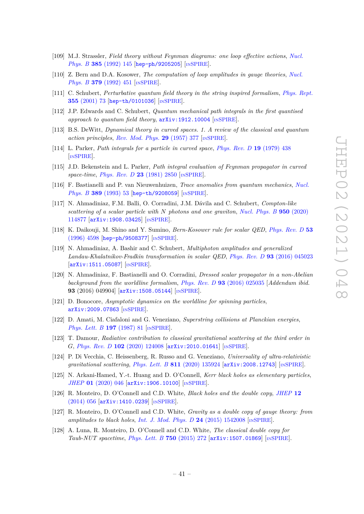- <span id="page-41-0"></span>[109] M.J. Strassler, *Field theory without Feynman diagrams: one loop effective actions*, *[Nucl.](https://doi.org/10.1016/0550-3213(92)90098-V) Phys. B* **385** [\(1992\) 145](https://doi.org/10.1016/0550-3213(92)90098-V) [[hep-ph/9205205](https://arxiv.org/abs/hep-ph/9205205)] [IN[SPIRE](https://inspirehep.net/search?p=find+EPRINT%2Bhep-ph%2F9205205)].
- <span id="page-41-1"></span>[110] Z. Bern and D.A. Kosower, *The computation of loop amplitudes in gauge theories*, *[Nucl.](https://doi.org/10.1016/0550-3213(92)90134-W) Phys. B* **379** [\(1992\) 451](https://doi.org/10.1016/0550-3213(92)90134-W) [IN[SPIRE](https://inspirehep.net/search?p=find+J%20%22Nucl.Phys.%2CB379%2C451%22)].
- <span id="page-41-2"></span>[111] C. Schubert, *Perturbative quantum field theory in the string inspired formalism*, *[Phys. Rept.](https://doi.org/10.1016/S0370-1573(01)00013-8)* **355** [\(2001\) 73](https://doi.org/10.1016/S0370-1573(01)00013-8) [[hep-th/0101036](https://arxiv.org/abs/hep-th/0101036)] [IN[SPIRE](https://inspirehep.net/search?p=find+EPRINT%2Bhep-th%2F0101036)].
- <span id="page-41-3"></span>[112] J.P. Edwards and C. Schubert, *Quantum mechanical path integrals in the first quantised* approach to quantum field theory,  $arXiv:1912.10004$  [IN[SPIRE](https://inspirehep.net/search?p=find+EPRINT%2BarXiv%3A1912.10004)].
- <span id="page-41-4"></span>[113] B.S. DeWitt, *Dynamical theory in curved spaces. 1. A review of the classical and quantum action principles*, *[Rev. Mod. Phys.](https://doi.org/10.1103/RevModPhys.29.377)* **29** (1957) 377 [IN[SPIRE](https://inspirehep.net/search?p=find+J%20%22Rev.Mod.Phys.%2C29%2C377%22)].
- <span id="page-41-5"></span>[114] L. Parker, *Path integrals for a particle in curved space*, *[Phys. Rev. D](https://doi.org/10.1103/PhysRevD.19.438)* **19** (1979) 438 [IN[SPIRE](https://inspirehep.net/search?p=find+J%20%22Phys.Rev.%2CD19%2C438%22)].
- <span id="page-41-6"></span>[115] J.D. Bekenstein and L. Parker, *Path integral evaluation of Feynman propagator in curved space-time*, *[Phys. Rev. D](https://doi.org/10.1103/PhysRevD.23.2850)* **23** (1981) 2850 [IN[SPIRE](https://inspirehep.net/search?p=find+J%20%22Phys.Rev.%2CD23%2C2850%22)].
- <span id="page-41-7"></span>[116] F. Bastianelli and P. van Nieuwenhuizen, *Trace anomalies from quantum mechanics*, *[Nucl.](https://doi.org/10.1016/0550-3213(93)90285-W) Phys. B* **389** [\(1993\) 53](https://doi.org/10.1016/0550-3213(93)90285-W) [[hep-th/9208059](https://arxiv.org/abs/hep-th/9208059)] [IN[SPIRE](https://inspirehep.net/search?p=find+EPRINT%2Bhep-th%2F9208059)].
- <span id="page-41-8"></span>[117] N. Ahmadiniaz, F.M. Balli, O. Corradini, J.M. Dávila and C. Schubert, *Compton-like scattering of a scalar particle with N photons and one graviton*, *[Nucl. Phys. B](https://doi.org/10.1016/j.nuclphysb.2019.114877)* **950** (2020) [114877](https://doi.org/10.1016/j.nuclphysb.2019.114877) [[arXiv:1908.03425](https://arxiv.org/abs/1908.03425)] [IN[SPIRE](https://inspirehep.net/search?p=find+EPRINT%2BarXiv%3A1908.03425)].
- <span id="page-41-9"></span>[118] K. Daikouji, M. Shino and Y. Sumino, *Bern-Kosower rule for scalar QED*, *[Phys. Rev. D](https://doi.org/10.1103/PhysRevD.53.4598)* **53** [\(1996\) 4598](https://doi.org/10.1103/PhysRevD.53.4598) [[hep-ph/9508377](https://arxiv.org/abs/hep-ph/9508377)] [IN[SPIRE](https://inspirehep.net/search?p=find+EPRINT%2Bhep-ph%2F9508377)].
- <span id="page-41-10"></span>[119] N. Ahmadiniaz, A. Bashir and C. Schubert, *Multiphoton amplitudes and generalized Landau-Khalatnikov-Fradkin transformation in scalar QED*, *Phys. Rev. D* **93** [\(2016\) 045023](https://doi.org/10.1103/PhysRevD.93.045023) [[arXiv:1511.05087](https://arxiv.org/abs/1511.05087)] [IN[SPIRE](https://inspirehep.net/search?p=find+EPRINT%2BarXiv%3A1511.05087)].
- <span id="page-41-11"></span>[120] N. Ahmadiniaz, F. Bastianelli and O. Corradini, *Dressed scalar propagator in a non-Abelian background from the worldline formalism*, *Phys. Rev. D* **93** [\(2016\) 025035](https://doi.org/10.1103/PhysRevD.93.025035) [*Addendum ibid.* **93** (2016) 049904] [[arXiv:1508.05144](https://arxiv.org/abs/1508.05144)] [IN[SPIRE](https://inspirehep.net/search?p=find+EPRINT%2BarXiv%3A1508.05144)].
- <span id="page-41-12"></span>[121] D. Bonocore, *Asymptotic dynamics on the worldline for spinning particles*, [arXiv:2009.07863](https://arxiv.org/abs/2009.07863) [IN[SPIRE](https://inspirehep.net/search?p=find+EPRINT%2BarXiv%3A2009.07863)].
- <span id="page-41-13"></span>[122] D. Amati, M. Ciafaloni and G. Veneziano, *Superstring collisions at Planckian energies*, *[Phys. Lett. B](https://doi.org/10.1016/0370-2693(87)90346-7)* **197** (1987) 81 [IN[SPIRE](https://inspirehep.net/search?p=find+J%20%22Phys.Lett.%2CB197%2C81%22)].
- <span id="page-41-14"></span>[123] T. Damour, *Radiative contribution to classical gravitational scattering at the third order in G*, *Phys. Rev. D* **102** [\(2020\) 124008](https://doi.org/10.1103/PhysRevD.102.124008) [[arXiv:2010.01641](https://arxiv.org/abs/2010.01641)] [IN[SPIRE](https://inspirehep.net/search?p=find+EPRINT%2BarXiv%3A2010.01641)].
- <span id="page-41-15"></span>[124] P. Di Vecchia, C. Heissenberg, R. Russo and G. Veneziano, *Universality of ultra-relativistic gravitational scattering*, *Phys. Lett. B* **811** [\(2020\) 135924](https://doi.org/10.1016/j.physletb.2020.135924) [[arXiv:2008.12743](https://arxiv.org/abs/2008.12743)] [IN[SPIRE](https://inspirehep.net/search?p=find+EPRINT%2BarXiv%3A2008.12743)].
- <span id="page-41-16"></span>[125] N. Arkani-Hamed, Y.-t. Huang and D. O'Connell, *Kerr black holes as elementary particles*, *JHEP* **01** [\(2020\) 046](https://doi.org/10.1007/JHEP01(2020)046) [[arXiv:1906.10100](https://arxiv.org/abs/1906.10100)] [IN[SPIRE](https://inspirehep.net/search?p=find+EPRINT%2BarXiv%3A1906.10100)].
- <span id="page-41-17"></span>[126] R. Monteiro, D. O'Connell and C.D. White, *Black holes and the double copy*, *[JHEP](https://doi.org/10.1007/JHEP12(2014)056)* **12** [\(2014\) 056](https://doi.org/10.1007/JHEP12(2014)056) [[arXiv:1410.0239](https://arxiv.org/abs/1410.0239)] [IN[SPIRE](https://inspirehep.net/search?p=find+EPRINT%2BarXiv%3A1410.0239)].
- [127] R. Monteiro, D. O'Connell and C.D. White, *Gravity as a double copy of gauge theory: from amplitudes to black holes*, *[Int. J. Mod. Phys. D](https://doi.org/10.1142/S0218271815420080)* **24** (2015) 1542008 [IN[SPIRE](https://inspirehep.net/search?p=find+J%20%22Int.J.Mod.Phys.%2CD24%2C1542008%22)].
- <span id="page-41-18"></span>[128] A. Luna, R. Monteiro, D. O'Connell and C.D. White, *The classical double copy for Taub-NUT spacetime*, *[Phys. Lett. B](https://doi.org/10.1016/j.physletb.2015.09.021)* **750** (2015) 272 [[arXiv:1507.01869](https://arxiv.org/abs/1507.01869)] [IN[SPIRE](https://inspirehep.net/search?p=find+EPRINT%2BarXiv%3A1507.01869)].